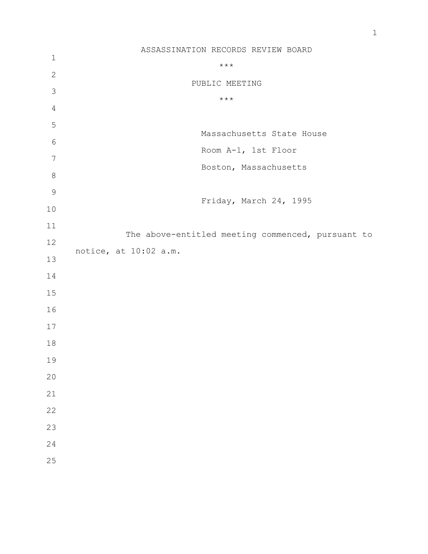|                | ASSASSINATION RECORDS REVIEW BOARD                |
|----------------|---------------------------------------------------|
| $\mathbf{1}$   | $***$                                             |
| $\mathbf{2}$   | PUBLIC MEETING                                    |
| $\mathcal{S}$  | $\star\star\star$                                 |
| $\overline{4}$ |                                                   |
| $\mathsf S$    |                                                   |
| 6              | Massachusetts State House                         |
| $\overline{7}$ | Room A-1, 1st Floor                               |
| $\,8\,$        | Boston, Massachusetts                             |
| $\mathcal{G}$  |                                                   |
|                | Friday, March 24, 1995                            |
| 10             |                                                   |
| 11             | The above-entitled meeting commenced, pursuant to |
| 12             |                                                   |
| 13             | notice, at 10:02 a.m.                             |
| 14             |                                                   |
| 15             |                                                   |
| 16             |                                                   |
| 17             |                                                   |
| 18             |                                                   |
| 19             |                                                   |
| 20             |                                                   |
| 21             |                                                   |
| 22             |                                                   |
| 23             |                                                   |
| 24             |                                                   |
| 25             |                                                   |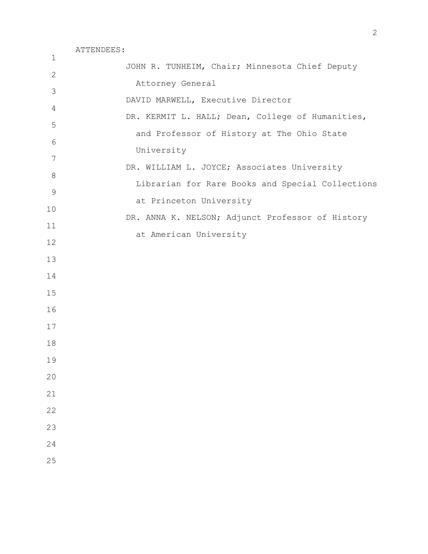| $\mathbf{1}$   |                                                  |
|----------------|--------------------------------------------------|
| $\mathbf{2}$   | JOHN R. TUNHEIM, Chair; Minnesota Chief Deputy   |
| 3              | Attorney General                                 |
| $\overline{4}$ | DAVID MARWELL, Executive Director                |
| 5              | DR. KERMIT L. HALL; Dean, College of Humanities, |
| $6\,$          | and Professor of History at The Ohio State       |
| 7              | University                                       |
|                | DR. WILLIAM L. JOYCE; Associates University      |
| $8\,$          | Librarian for Rare Books and Special Collections |
| $\mathsf 9$    | at Princeton University                          |
| 10             | DR. ANNA K. NELSON; Adjunct Professor of History |
| 11             | at American University                           |
| 12             |                                                  |
| 13             |                                                  |
| 14             |                                                  |
| 15             |                                                  |
| 16             |                                                  |
| 17             |                                                  |
| 18             |                                                  |
| 19             |                                                  |
| 20             |                                                  |
| 21             |                                                  |
| 22             |                                                  |
| 23             |                                                  |
| 24             |                                                  |
| 25             |                                                  |
|                |                                                  |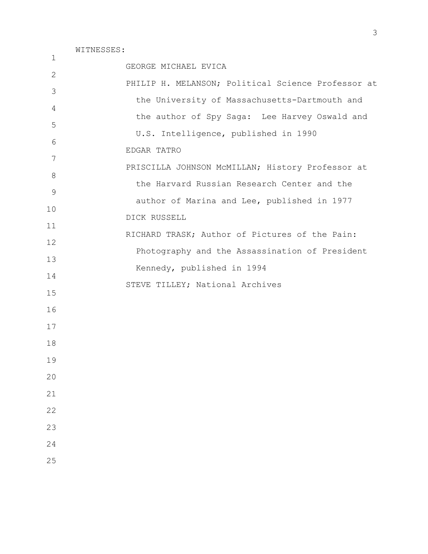| $\mathbf{1}$ |                                                    |
|--------------|----------------------------------------------------|
|              | GEORGE MICHAEL EVICA                               |
| 2            | PHILIP H. MELANSON; Political Science Professor at |
| 3            | the University of Massachusetts-Dartmouth and      |
| 4            | the author of Spy Saga: Lee Harvey Oswald and      |
| 5            | U.S. Intelligence, published in 1990               |
| 6            |                                                    |
| 7            | EDGAR TATRO                                        |
| 8            | PRISCILLA JOHNSON McMILLAN; History Professor at   |
| 9            | the Harvard Russian Research Center and the        |
| 10           | author of Marina and Lee, published in 1977        |
|              | DICK RUSSELL                                       |
| 11           | RICHARD TRASK; Author of Pictures of the Pain:     |
| 12           | Photography and the Assassination of President     |
| 13           | Kennedy, published in 1994                         |
| 14           | STEVE TILLEY; National Archives                    |
| 15           |                                                    |
| 16           |                                                    |
| 17           |                                                    |
| 18           |                                                    |
| 19           |                                                    |
| 20           |                                                    |
| 21           |                                                    |
|              |                                                    |
| 22           |                                                    |
| 23           |                                                    |
| 24           |                                                    |
| 25           |                                                    |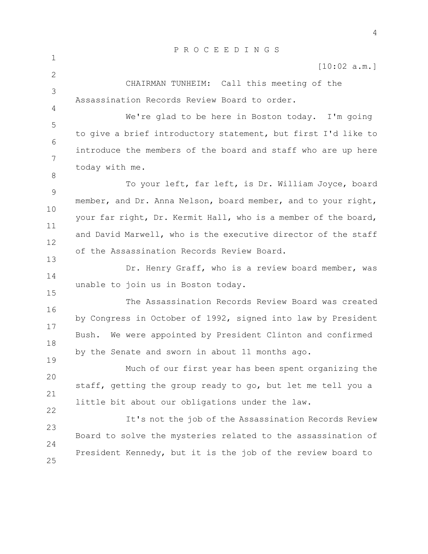|       | PROCEEDINGS                                                    |
|-------|----------------------------------------------------------------|
|       | [10:02 a.m.]                                                   |
|       | CHAIRMAN TUNHEIM: Call this meeting of the                     |
|       | Assassination Records Review Board to order.                   |
|       | We're glad to be here in Boston today. I'm going               |
|       | to give a brief introductory statement, but first I'd like to  |
|       | introduce the members of the board and staff who are up here   |
|       | today with me.                                                 |
|       | To your left, far left, is Dr. William Joyce, board            |
|       | member, and Dr. Anna Nelson, board member, and to your right,  |
|       | your far right, Dr. Kermit Hall, who is a member of the board, |
|       | and David Marwell, who is the executive director of the staff  |
|       | of the Assassination Records Review Board.                     |
|       | Dr. Henry Graff, who is a review board member, was             |
|       | unable to join us in Boston today.                             |
|       | The Assassination Records Review Board was created             |
|       | by Congress in October of 1992, signed into law by President   |
| Bush. | We were appointed by President Clinton and confirmed           |
|       | by the Senate and sworn in about 11 months ago.                |
|       | Much of our first year has been spent organizing the           |
|       | staff, getting the group ready to go, but let me tell you a    |
|       | little bit about our obligations under the law.                |
|       | It's not the job of the Assassination Records Review           |
|       | Board to solve the mysteries related to the assassination of   |
|       | President Kennedy, but it is the job of the review board to    |
|       |                                                                |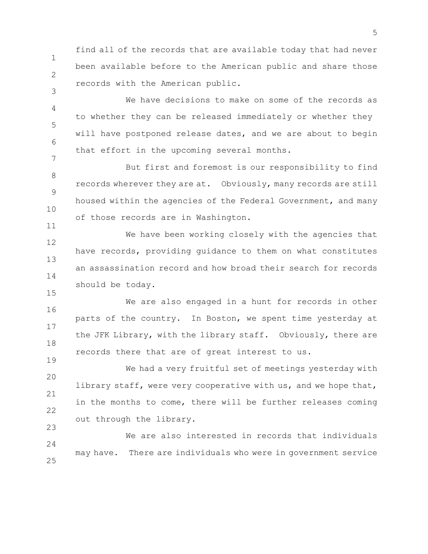1 2 find all of the records that are available today that had never been available before to the American public and share those records with the American public.

3

15

19

4 5 6 7 We have decisions to make on some of the records as to whether they can be released immediately or whether they will have postponed release dates, and we are about to begin that effort in the upcoming several months.

8 9 10 11 But first and foremost is our responsibility to find records wherever they are at. Obviously, many records are still housed within the agencies of the Federal Government, and many of those records are in Washington.

12 13 14 We have been working closely with the agencies that have records, providing guidance to them on what constitutes an assassination record and how broad their search for records should be today.

16 17 18 We are also engaged in a hunt for records in other parts of the country. In Boston, we spent time yesterday at the JFK Library, with the library staff. Obviously, there are records there that are of great interest to us.

20 21 22 23 We had a very fruitful set of meetings yesterday with library staff, were very cooperative with us, and we hope that, in the months to come, there will be further releases coming out through the library.

 $24$ 25 We are also interested in records that individuals may have. There are individuals who were in government service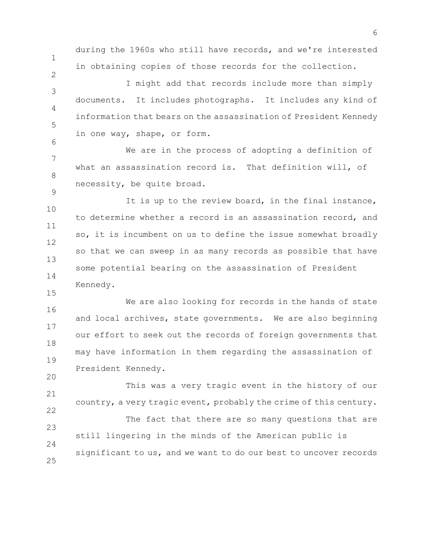during the 1960s who still have records, and we're interested in obtaining copies of those records for the collection.

1

2

6

9

15

20

3 4 5 I might add that records include more than simply documents. It includes photographs. It includes any kind of information that bears on the assassination of President Kennedy in one way, shape, or form.

7 8 We are in the process of adopting a definition of what an assassination record is. That definition will, of necessity, be quite broad.

10 11 12 13 14 It is up to the review board, in the final instance, to determine whether a record is an assassination record, and so, it is incumbent on us to define the issue somewhat broadly so that we can sweep in as many records as possible that have some potential bearing on the assassination of President Kennedy.

16 17 18 19 We are also looking for records in the hands of state and local archives, state governments. We are also beginning our effort to seek out the records of foreign governments that may have information in them regarding the assassination of President Kennedy.

21 22 This was a very tragic event in the history of our country, a very tragic event, probably the crime of this century.

23  $24$ 25 The fact that there are so many questions that are still lingering in the minds of the American public is significant to us, and we want to do our best to uncover records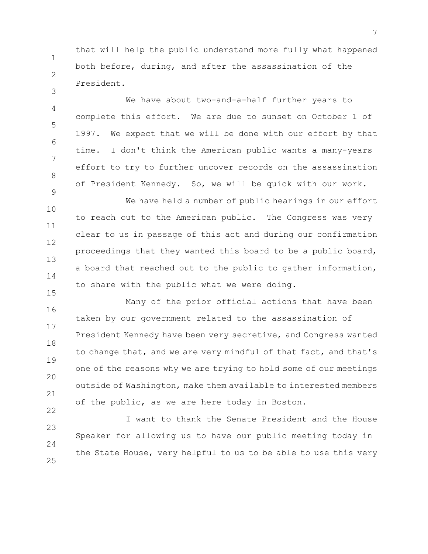that will help the public understand more fully what happened both before, during, and after the assassination of the President.

1

2

3

9

22

4 5 6 7 8 We have about two-and-a-half further years to complete this effort. We are due to sunset on October 1 of 1997. We expect that we will be done with our effort by that time. I don't think the American public wants a many-years effort to try to further uncover records on the assassination of President Kennedy. So, we will be quick with our work.

10 11 12 13 14 15 We have held a number of public hearings in our effort to reach out to the American public. The Congress was very clear to us in passage of this act and during our confirmation proceedings that they wanted this board to be a public board, a board that reached out to the public to gather information, to share with the public what we were doing.

16 17 18 19 20 21 Many of the prior official actions that have been taken by our government related to the assassination of President Kennedy have been very secretive, and Congress wanted to change that, and we are very mindful of that fact, and that's one of the reasons why we are trying to hold some of our meetings outside of Washington, make them available to interested members of the public, as we are here today in Boston.

23  $24$ 25 I want to thank the Senate President and the House Speaker for allowing us to have our public meeting today in the State House, very helpful to us to be able to use this very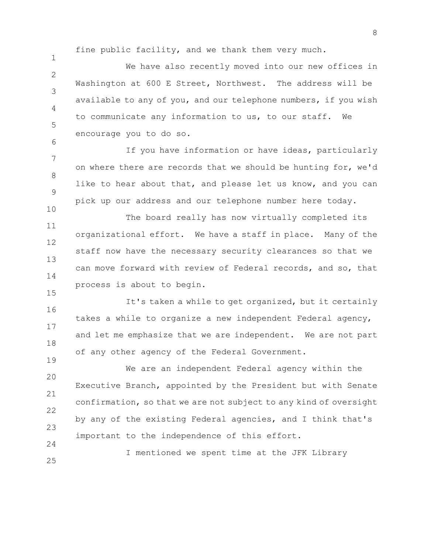fine public facility, and we thank them very much.

1

6

10

15

19

 $\mathfrak{D}$ 3 4 5 We have also recently moved into our new offices in Washington at 600 E Street, Northwest. The address will be available to any of you, and our telephone numbers, if you wish to communicate any information to us, to our staff. We encourage you to do so.

7 8 9 If you have information or have ideas, particularly on where there are records that we should be hunting for, we'd like to hear about that, and please let us know, and you can pick up our address and our telephone number here today.

11 12 13 14 The board really has now virtually completed its organizational effort. We have a staff in place. Many of the staff now have the necessary security clearances so that we can move forward with review of Federal records, and so, that process is about to begin.

16 17 18 It's taken a while to get organized, but it certainly takes a while to organize a new independent Federal agency, and let me emphasize that we are independent. We are not part of any other agency of the Federal Government.

20 21 22 23  $24$ We are an independent Federal agency within the Executive Branch, appointed by the President but with Senate confirmation, so that we are not subject to any kind of oversight by any of the existing Federal agencies, and I think that's important to the independence of this effort.

25 I mentioned we spent time at the JFK Library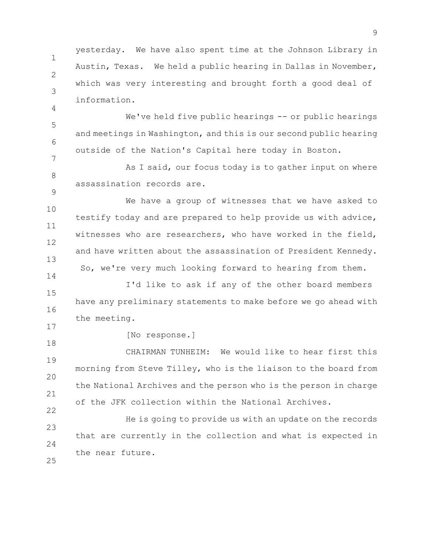1 2 3 yesterday. We have also spent time at the Johnson Library in Austin, Texas. We held a public hearing in Dallas in November, which was very interesting and brought forth a good deal of information.

5 6 7 We've held five public hearings -- or public hearings and meetings in Washington, and this is our second public hearing outside of the Nation's Capital here today in Boston.

8 9 As I said, our focus today is to gather input on where assassination records are.

10 11 12 13 We have a group of witnesses that we have asked to testify today and are prepared to help provide us with advice, witnesses who are researchers, who have worked in the field, and have written about the assassination of President Kennedy. So, we're very much looking forward to hearing from them.

15 16 17 I'd like to ask if any of the other board members have any preliminary statements to make before we go ahead with the meeting.

18

14

4

[No response.]

19 20 21 22 CHAIRMAN TUNHEIM: We would like to hear first this morning from Steve Tilley, who is the liaison to the board from the National Archives and the person who is the person in charge of the JFK collection within the National Archives.

23  $24$ 25 He is going to provide us with an update on the records that are currently in the collection and what is expected in the near future.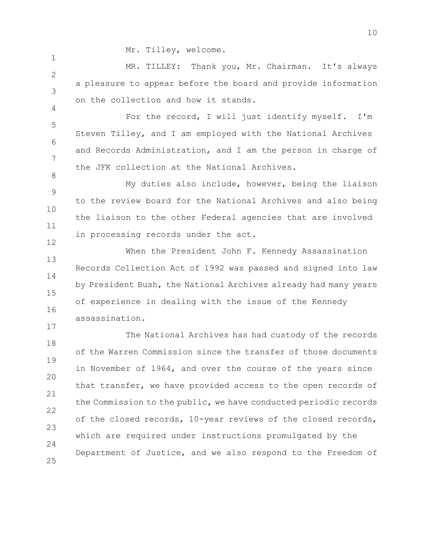Mr. Tilley, welcome.

1

4

8

17

 $\mathfrak{D}$ 3 MR. TILLEY: Thank you, Mr. Chairman. It's always a pleasure to appear before the board and provide information on the collection and how it stands.

5 6 7 For the record, I will just identify myself. I'm Steven Tilley, and I am employed with the National Archives and Records Administration, and I am the person in charge of the JFK collection at the National Archives.

9 10 11 12 My duties also include, however, being the liaison to the review board for the National Archives and also being the liaison to the other Federal agencies that are involved in processing records under the act.

13 14 15 16 When the President John F. Kennedy Assassination Records Collection Act of 1992 was passed and signed into law by President Bush, the National Archives already had many years of experience in dealing with the issue of the Kennedy assassination.

18 19 20 21 22 23  $24$ 25 The National Archives has had custody of the records of the Warren Commission since the transfer of those documents in November of 1964, and over the course of the years since that transfer, we have provided access to the open records of the Commission to the public, we have conducted periodic records of the closed records, 10-year reviews of the closed records, which are required under instructions promulgated by the Department of Justice, and we also respond to the Freedom of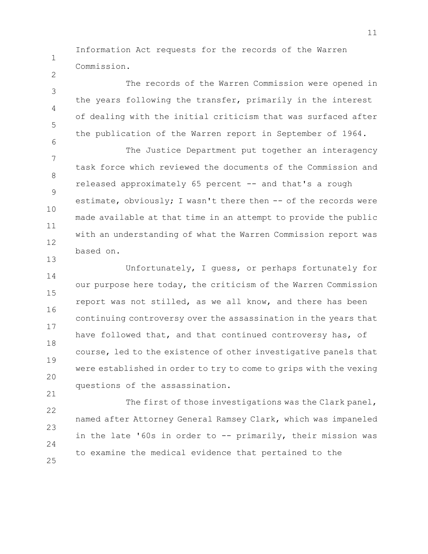Information Act requests for the records of the Warren Commission.

1

2

21

3 4 5 6 The records of the Warren Commission were opened in the years following the transfer, primarily in the interest of dealing with the initial criticism that was surfaced after the publication of the Warren report in September of 1964.

7 8 9 10 11 12 13 The Justice Department put together an interagency task force which reviewed the documents of the Commission and released approximately 65 percent -- and that's a rough estimate, obviously; I wasn't there then  $--$  of the records were made available at that time in an attempt to provide the public with an understanding of what the Warren Commission report was based on.

14 15 16 17 18 19 20 Unfortunately, I guess, or perhaps fortunately for our purpose here today, the criticism of the Warren Commission report was not stilled, as we all know, and there has been continuing controversy over the assassination in the years that have followed that, and that continued controversy has, of course, led to the existence of other investigative panels that were established in order to try to come to grips with the vexing questions of the assassination.

22 23 24 25 The first of those investigations was the Clark panel, named after Attorney General Ramsey Clark, which was impaneled in the late '60s in order to -- primarily, their mission was to examine the medical evidence that pertained to the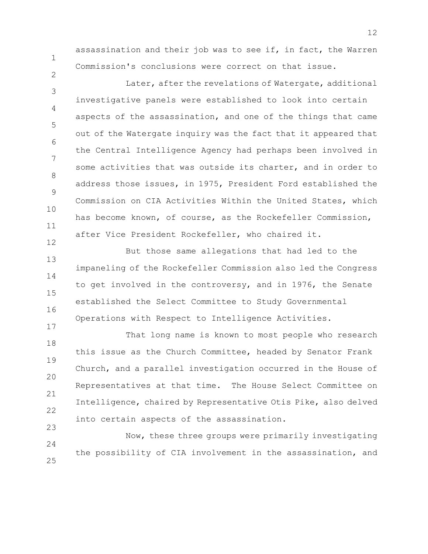2

12

17

assassination and their job was to see if, in fact, the Warren Commission's conclusions were correct on that issue.

3 4 5 6 7 8 9 10 11 Later, after the revelations of Watergate, additional investigative panels were established to look into certain aspects of the assassination, and one of the things that came out of the Watergate inquiry was the fact that it appeared that the Central Intelligence Agency had perhaps been involved in some activities that was outside its charter, and in order to address those issues, in 1975, President Ford established the Commission on CIA Activities Within the United States, which has become known, of course, as the Rockefeller Commission, after Vice President Rockefeller, who chaired it.

13 14 15 16 But those same allegations that had led to the impaneling of the Rockefeller Commission also led the Congress to get involved in the controversy, and in 1976, the Senate established the Select Committee to Study Governmental Operations with Respect to Intelligence Activities.

18 19 20 21 22 23 That long name is known to most people who research this issue as the Church Committee, headed by Senator Frank Church, and a parallel investigation occurred in the House of Representatives at that time. The House Select Committee on Intelligence, chaired by Representative Otis Pike, also delved into certain aspects of the assassination.

24 25 Now, these three groups were primarily investigating the possibility of CIA involvement in the assassination, and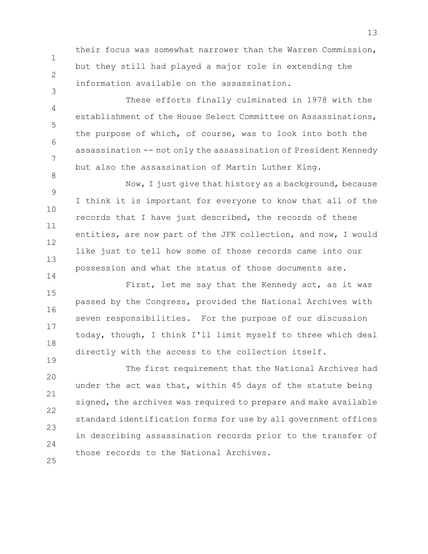their focus was somewhat narrower than the Warren Commission, but they still had played a major role in extending the information available on the assassination.

1

2

3

4

5

6

7

8

19

These efforts finally culminated in 1978 with the establishment of the House Select Committee on Assassinations, the purpose of which, of course, was to look into both the assassination -- not only the assassination of President Kennedy but also the assassination of Martin Luther King.

9 10 11 12 13 14 Now, I just give that history as a background, because I think it is important for everyone to know that all of the records that I have just described, the records of these entities, are now part of the JFK collection, and now, I would like just to tell how some of those records came into our possession and what the status of those documents are.

15 16 17 18 First, let me say that the Kennedy act, as it was passed by the Congress, provided the National Archives with seven responsibilities. For the purpose of our discussion today, though, I think I'll limit myself to three which deal directly with the access to the collection itself.

20 21 22 23  $24$ 25 The first requirement that the National Archives had under the act was that, within 45 days of the statute being signed, the archives was required to prepare and make available standard identification forms for use by all government offices in describing assassination records prior to the transfer of those records to the National Archives.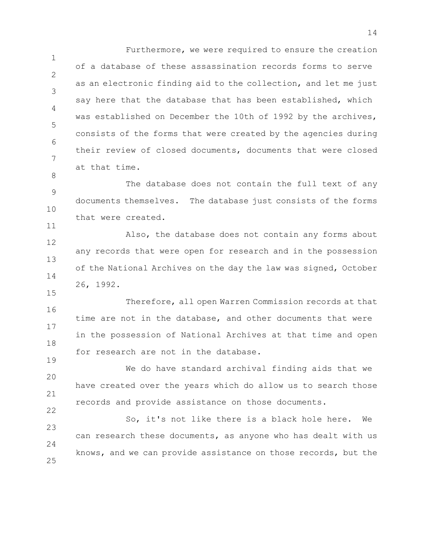1 2 3 4 5 6 7 Furthermore, we were required to ensure the creation of a database of these assassination records forms to serve as an electronic finding aid to the collection, and let me just say here that the database that has been established, which was established on December the 10th of 1992 by the archives, consists of the forms that were created by the agencies during their review of closed documents, documents that were closed at that time.

9 10 The database does not contain the full text of any documents themselves. The database just consists of the forms that were created.

8

11

15

19

22

12 13 14 Also, the database does not contain any forms about any records that were open for research and in the possession of the National Archives on the day the law was signed, October 26, 1992.

16 17 18 Therefore, all open Warren Commission records at that time are not in the database, and other documents that were in the possession of National Archives at that time and open for research are not in the database.

20 21 We do have standard archival finding aids that we have created over the years which do allow us to search those records and provide assistance on those documents.

23  $24$ 25 So, it's not like there is a black hole here. We can research these documents, as anyone who has dealt with us knows, and we can provide assistance on those records, but the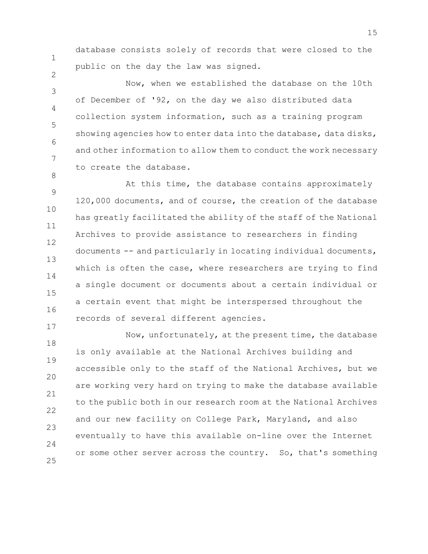database consists solely of records that were closed to the public on the day the law was signed.

1

2

8

17

3 4 5 6 7 Now, when we established the database on the 10th of December of '92, on the day we also distributed data collection system information, such as a training program showing agencies how to enter data into the database, data disks, and other information to allow them to conduct the work necessary to create the database.

9 10 11 12 13 14 15 16 At this time, the database contains approximately 120,000 documents, and of course, the creation of the database has greatly facilitated the ability of the staff of the National Archives to provide assistance to researchers in finding documents -- and particularly in locating individual documents, which is often the case, where researchers are trying to find a single document or documents about a certain individual or a certain event that might be interspersed throughout the records of several different agencies.

18 19 20 21 22 23  $24$ 25 Now, unfortunately, at the present time, the database is only available at the National Archives building and accessible only to the staff of the National Archives, but we are working very hard on trying to make the database available to the public both in our research room at the National Archives and our new facility on College Park, Maryland, and also eventually to have this available on-line over the Internet or some other server across the country. So, that's something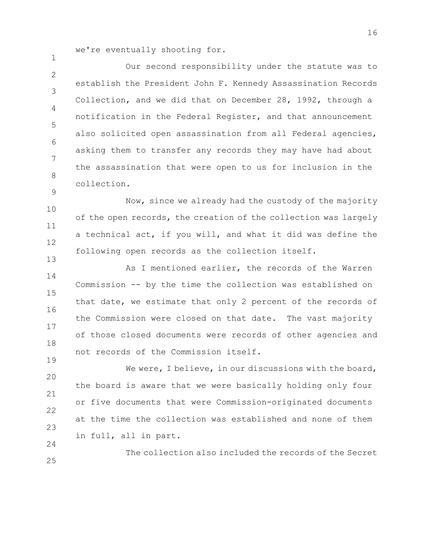we're eventually shooting for.

1

9

13

19

25

 $\mathfrak{D}$ 3 4 5 6 7 8 Our second responsibility under the statute was to establish the President John F. Kennedy Assassination Records Collection, and we did that on December 28, 1992, through a notification in the Federal Register, and that announcement also solicited open assassination from all Federal agencies, asking them to transfer any records they may have had about the assassination that were open to us for inclusion in the collection.

10 11 12 Now, since we already had the custody of the majority of the open records, the creation of the collection was largely a technical act, if you will, and what it did was define the following open records as the collection itself.

14 15 16 17 18 As I mentioned earlier, the records of the Warren Commission -- by the time the collection was established on that date, we estimate that only 2 percent of the records of the Commission were closed on that date. The vast majority of those closed documents were records of other agencies and not records of the Commission itself.

20 21 22 23 24 We were, I believe, in our discussions with the board, the board is aware that we were basically holding only four or five documents that were Commission-originated documents at the time the collection was established and none of them in full, all in part.

The collection also included the records of the Secret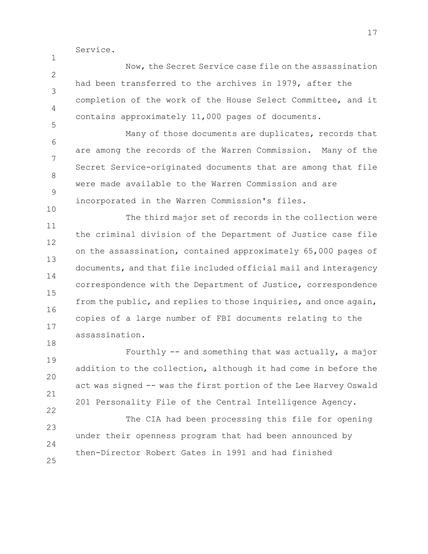Service.

1

10

18

 $\mathfrak{D}$ 3 4 5 Now, the Secret Service case file on the assassination had been transferred to the archives in 1979, after the completion of the work of the House Select Committee, and it contains approximately 11,000 pages of documents.

6 7 8 9 Many of those documents are duplicates, records that are among the records of the Warren Commission. Many of the Secret Service-originated documents that are among that file were made available to the Warren Commission and are incorporated in the Warren Commission's files.

11 12 13 14 15 16 17 The third major set of records in the collection were the criminal division of the Department of Justice case file on the assassination, contained approximately 65,000 pages of documents, and that file included official mail and interagency correspondence with the Department of Justice, correspondence from the public, and replies to those inquiries, and once again, copies of a large number of FBI documents relating to the assassination.

19 20 21 22 Fourthly -- and something that was actually, a major addition to the collection, although it had come in before the act was signed -- was the first portion of the Lee Harvey Oswald 201 Personality File of the Central Intelligence Agency.

23  $24$ 25 The CIA had been processing this file for opening under their openness program that had been announced by then-Director Robert Gates in 1991 and had finished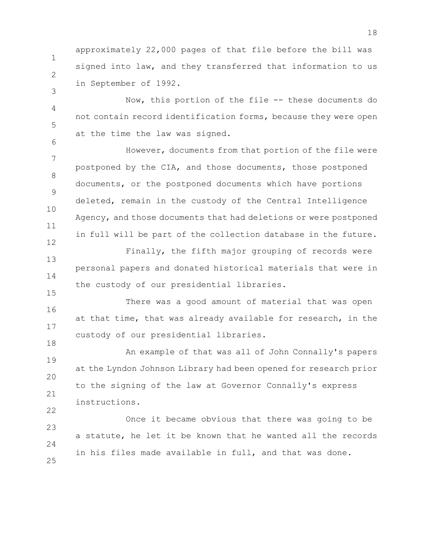approximately 22,000 pages of that file before the bill was signed into law, and they transferred that information to us in September of 1992.

1

2

3

6

15

22

4 5 Now, this portion of the file -- these documents do not contain record identification forms, because they were open at the time the law was signed.

7 8 9 10 11 12 However, documents from that portion of the file were postponed by the CIA, and those documents, those postponed documents, or the postponed documents which have portions deleted, remain in the custody of the Central Intelligence Agency, and those documents that had deletions or were postponed in full will be part of the collection database in the future.

13 14 Finally, the fifth major grouping of records were personal papers and donated historical materials that were in the custody of our presidential libraries.

16 17 18 There was a good amount of material that was open at that time, that was already available for research, in the custody of our presidential libraries.

19 20 21 An example of that was all of John Connally's papers at the Lyndon Johnson Library had been opened for research prior to the signing of the law at Governor Connally's express instructions.

23  $24$ 25 Once it became obvious that there was going to be a statute, he let it be known that he wanted all the records in his files made available in full, and that was done.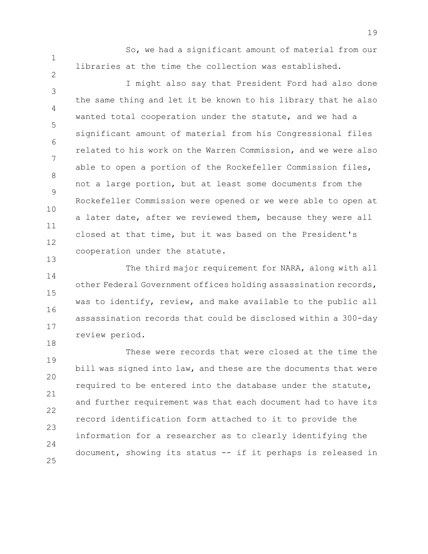2

13

So, we had a significant amount of material from our libraries at the time the collection was established.

3 4 5 6 7 8 9 10 11 12 I might also say that President Ford had also done the same thing and let it be known to his library that he also wanted total cooperation under the statute, and we had a significant amount of material from his Congressional files related to his work on the Warren Commission, and we were also able to open a portion of the Rockefeller Commission files, not a large portion, but at least some documents from the Rockefeller Commission were opened or we were able to open at a later date, after we reviewed them, because they were all closed at that time, but it was based on the President's cooperation under the statute.

14 15 16 17 18 The third major requirement for NARA, along with all other Federal Government offices holding assassination records, was to identify, review, and make available to the public all assassination records that could be disclosed within a 300-day review period.

19 20 21 22 23  $24$ 25 These were records that were closed at the time the bill was signed into law, and these are the documents that were required to be entered into the database under the statute, and further requirement was that each document had to have its record identification form attached to it to provide the information for a researcher as to clearly identifying the document, showing its status -- if it perhaps is released in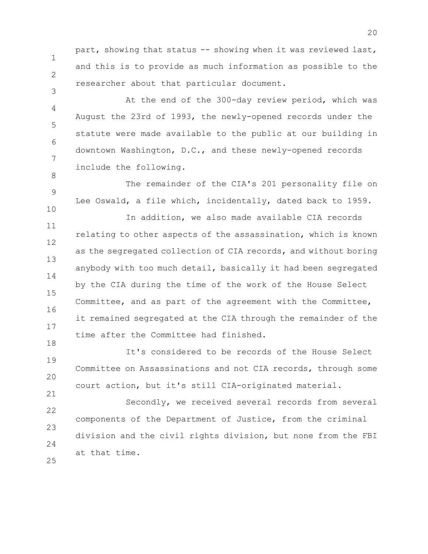1 2 part, showing that status -- showing when it was reviewed last, and this is to provide as much information as possible to the researcher about that particular document.

3

8

9

10

21

4 5 6 7 At the end of the 300-day review period, which was August the 23rd of 1993, the newly-opened records under the statute were made available to the public at our building in downtown Washington, D.C., and these newly-opened records include the following.

The remainder of the CIA's 201 personality file on Lee Oswald, a file which, incidentally, dated back to 1959.

11 12 13 14 15 16 17 18 In addition, we also made available CIA records relating to other aspects of the assassination, which is known as the segregated collection of CIA records, and without boring anybody with too much detail, basically it had been segregated by the CIA during the time of the work of the House Select Committee, and as part of the agreement with the Committee, it remained segregated at the CIA through the remainder of the time after the Committee had finished.

19 20 It's considered to be records of the House Select Committee on Assassinations and not CIA records, through some court action, but it's still CIA-originated material.

22 23  $24$ 25 Secondly, we received several records from several components of the Department of Justice, from the criminal division and the civil rights division, but none from the FBI at that time.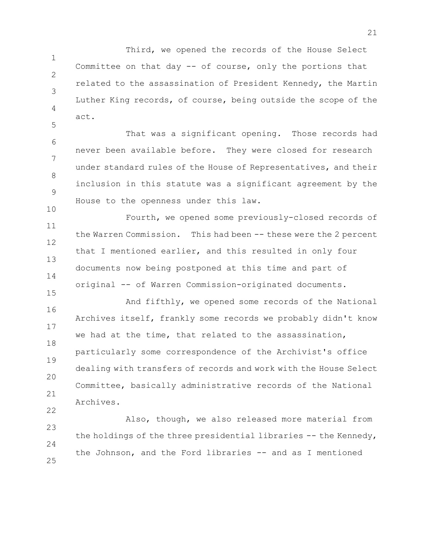1 2 3 4 Third, we opened the records of the House Select Committee on that day -- of course, only the portions that related to the assassination of President Kennedy, the Martin Luther King records, of course, being outside the scope of the act.

6 7 8 9 10 That was a significant opening. Those records had never been available before. They were closed for research under standard rules of the House of Representatives, and their inclusion in this statute was a significant agreement by the House to the openness under this law.

5

22

11 12 13 14 15 Fourth, we opened some previously-closed records of the Warren Commission. This had been -- these were the 2 percent that I mentioned earlier, and this resulted in only four documents now being postponed at this time and part of original -- of Warren Commission-originated documents.

16 17 18 19 20 21 And fifthly, we opened some records of the National Archives itself, frankly some records we probably didn't know we had at the time, that related to the assassination, particularly some correspondence of the Archivist's office dealing with transfers of records and work with the House Select Committee, basically administrative records of the National Archives.

23  $24$ 25 Also, though, we also released more material from the holdings of the three presidential libraries -- the Kennedy, the Johnson, and the Ford libraries -- and as I mentioned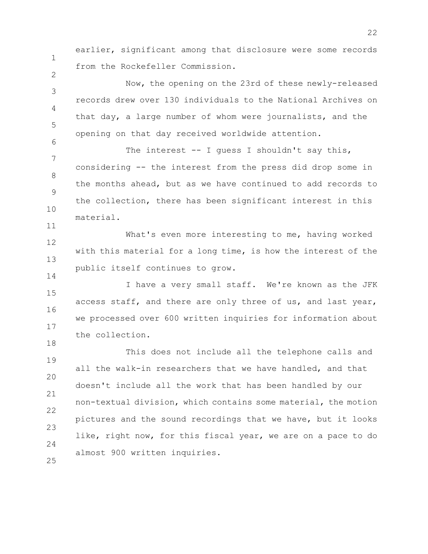2

6

11

14

18

earlier, significant among that disclosure were some records from the Rockefeller Commission.

3 4 5 Now, the opening on the 23rd of these newly-released records drew over 130 individuals to the National Archives on that day, a large number of whom were journalists, and the opening on that day received worldwide attention.

7 8 9 10 The interest -- I quess I shouldn't say this, considering -- the interest from the press did drop some in the months ahead, but as we have continued to add records to the collection, there has been significant interest in this material.

12 13 What's even more interesting to me, having worked with this material for a long time, is how the interest of the public itself continues to grow.

15 16 17 I have a very small staff. We're known as the JFK access staff, and there are only three of us, and last year, we processed over 600 written inquiries for information about the collection.

19 20 21 22 23  $24$ 25 This does not include all the telephone calls and all the walk-in researchers that we have handled, and that doesn't include all the work that has been handled by our non-textual division, which contains some material, the motion pictures and the sound recordings that we have, but it looks like, right now, for this fiscal year, we are on a pace to do almost 900 written inquiries.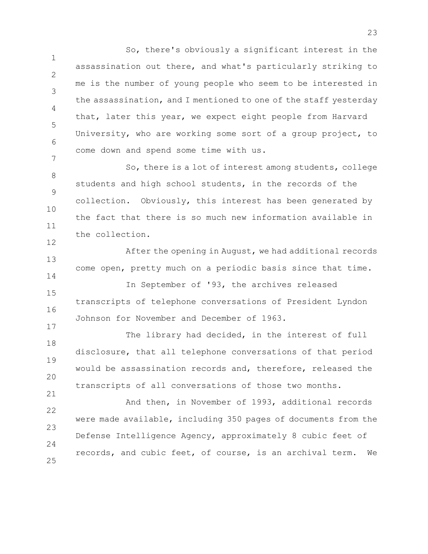1 2 3 4 5 6 7 So, there's obviously a significant interest in the assassination out there, and what's particularly striking to me is the number of young people who seem to be interested in the assassination, and I mentioned to one of the staff yesterday that, later this year, we expect eight people from Harvard University, who are working some sort of a group project, to come down and spend some time with us.

8 9 10 11 So, there is a lot of interest among students, college students and high school students, in the records of the collection. Obviously, this interest has been generated by the fact that there is so much new information available in the collection.

13 14 15 16 After the opening in August, we had additional records come open, pretty much on a periodic basis since that time. In September of '93, the archives released transcripts of telephone conversations of President Lyndon

Johnson for November and December of 1963.

12

17

18 19 20 21 The library had decided, in the interest of full disclosure, that all telephone conversations of that period would be assassination records and, therefore, released the transcripts of all conversations of those two months.

22 23  $24$ 25 And then, in November of 1993, additional records were made available, including 350 pages of documents from the Defense Intelligence Agency, approximately 8 cubic feet of records, and cubic feet, of course, is an archival term. We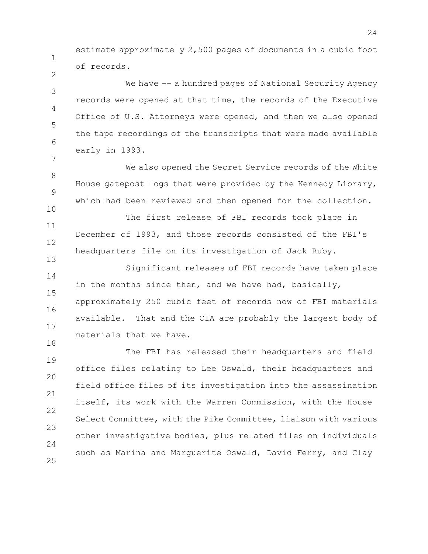estimate approximately 2,500 pages of documents in a cubic foot of records.

1

2

10

13

18

3 4 5 6 7 We have -- a hundred pages of National Security Agency records were opened at that time, the records of the Executive Office of U.S. Attorneys were opened, and then we also opened the tape recordings of the transcripts that were made available early in 1993.

8 9 We also opened the Secret Service records of the White House gatepost logs that were provided by the Kennedy Library, which had been reviewed and then opened for the collection.

11 12 The first release of FBI records took place in December of 1993, and those records consisted of the FBI's headquarters file on its investigation of Jack Ruby.

14 15 16 17 Significant releases of FBI records have taken place in the months since then, and we have had, basically, approximately 250 cubic feet of records now of FBI materials available. That and the CIA are probably the largest body of materials that we have.

19 20 21 22 23  $24$ 25 The FBI has released their headquarters and field office files relating to Lee Oswald, their headquarters and field office files of its investigation into the assassination itself, its work with the Warren Commission, with the House Select Committee, with the Pike Committee, liaison with various other investigative bodies, plus related files on individuals such as Marina and Marguerite Oswald, David Ferry, and Clay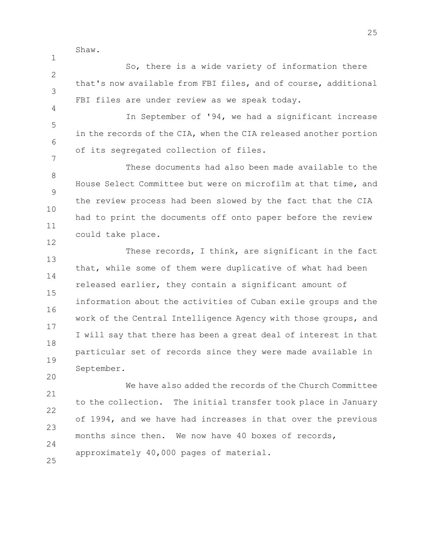Shaw.

1

 $\mathfrak{D}$ 3 4 So, there is a wide variety of information there that's now available from FBI files, and of course, additional FBI files are under review as we speak today.

5 6 7 In September of '94, we had a significant increase in the records of the CIA, when the CIA released another portion of its segregated collection of files.

8 9 10 11 12 These documents had also been made available to the House Select Committee but were on microfilm at that time, and the review process had been slowed by the fact that the CIA had to print the documents off onto paper before the review could take place.

13 14 15 16 17 18 19 These records, I think, are significant in the fact that, while some of them were duplicative of what had been released earlier, they contain a significant amount of information about the activities of Cuban exile groups and the work of the Central Intelligence Agency with those groups, and I will say that there has been a great deal of interest in that particular set of records since they were made available in September.

21 22 23  $24$ We have also added the records of the Church Committee to the collection. The initial transfer took place in January of 1994, and we have had increases in that over the previous months since then. We now have 40 boxes of records, approximately 40,000 pages of material.

25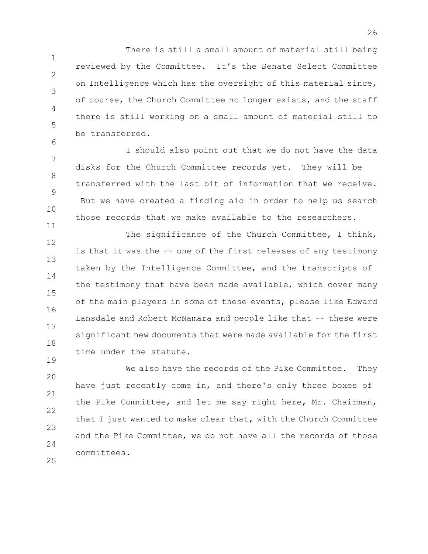1 2 3 4 5 There is still a small amount of material still being reviewed by the Committee. It's the Senate Select Committee on Intelligence which has the oversight of this material since, of course, the Church Committee no longer exists, and the staff there is still working on a small amount of material still to be transferred.

7 8 9 10 I should also point out that we do not have the data disks for the Church Committee records yet. They will be transferred with the last bit of information that we receive. But we have created a finding aid in order to help us search those records that we make available to the researchers.

6

11

19

12 13 14 15 16 17 18 The significance of the Church Committee, I think, is that it was the -- one of the first releases of any testimony taken by the Intelligence Committee, and the transcripts of the testimony that have been made available, which cover many of the main players in some of these events, please like Edward Lansdale and Robert McNamara and people like that -- these were significant new documents that were made available for the first time under the statute.

20 21 22 23 24 25 We also have the records of the Pike Committee. They have just recently come in, and there's only three boxes of the Pike Committee, and let me say right here, Mr. Chairman, that I just wanted to make clear that, with the Church Committee and the Pike Committee, we do not have all the records of those committees.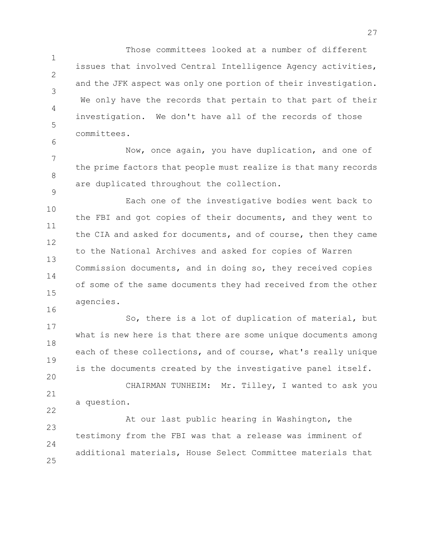1 2 3 4 5 Those committees looked at a number of different issues that involved Central Intelligence Agency activities, and the JFK aspect was only one portion of their investigation. We only have the records that pertain to that part of their investigation. We don't have all of the records of those committees.

7 8 9 Now, once again, you have duplication, and one of the prime factors that people must realize is that many records are duplicated throughout the collection.

6

20

10 11 12 13 14 15 16 Each one of the investigative bodies went back to the FBI and got copies of their documents, and they went to the CIA and asked for documents, and of course, then they came to the National Archives and asked for copies of Warren Commission documents, and in doing so, they received copies of some of the same documents they had received from the other agencies.

17 18 19 So, there is a lot of duplication of material, but what is new here is that there are some unique documents among each of these collections, and of course, what's really unique is the documents created by the investigative panel itself.

21 22 CHAIRMAN TUNHEIM: Mr. Tilley, I wanted to ask you a question.

23  $24$ 25 At our last public hearing in Washington, the testimony from the FBI was that a release was imminent of additional materials, House Select Committee materials that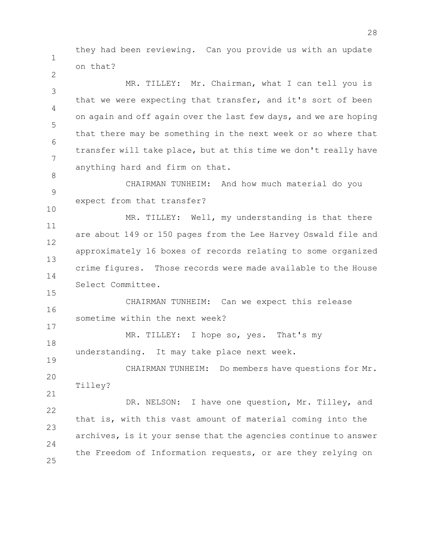1 they had been reviewing. Can you provide us with an update on that?

2

8

15

17

19

3 4 5 6 7 MR. TILLEY: Mr. Chairman, what I can tell you is that we were expecting that transfer, and it's sort of been on again and off again over the last few days, and we are hoping that there may be something in the next week or so where that transfer will take place, but at this time we don't really have anything hard and firm on that.

9 10 CHAIRMAN TUNHEIM: And how much material do you expect from that transfer?

11 12 13 14 MR. TILLEY: Well, my understanding is that there are about 149 or 150 pages from the Lee Harvey Oswald file and approximately 16 boxes of records relating to some organized crime figures. Those records were made available to the House Select Committee.

16 CHAIRMAN TUNHEIM: Can we expect this release sometime within the next week?

18 MR. TILLEY: I hope so, yes. That's my understanding. It may take place next week.

20 21 CHAIRMAN TUNHEIM: Do members have questions for Mr. Tilley?

22 23  $24$ 25 DR. NELSON: I have one question, Mr. Tilley, and that is, with this vast amount of material coming into the archives, is it your sense that the agencies continue to answer the Freedom of Information requests, or are they relying on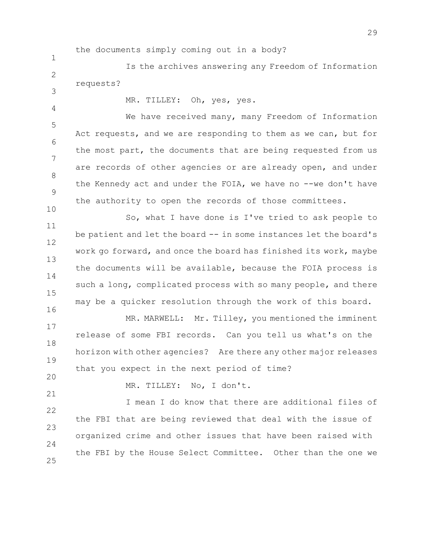the documents simply coming out in a body?

 $\mathfrak{D}$ Is the archives answering any Freedom of Information requests?

3 4

10

MR. TILLEY: Oh, yes, yes.

5 6 7 8 9 We have received many, many Freedom of Information Act requests, and we are responding to them as we can, but for the most part, the documents that are being requested from us are records of other agencies or are already open, and under the Kennedy act and under the FOIA, we have no --we don't have the authority to open the records of those committees.

11 12 13 14 15 16 So, what I have done is I've tried to ask people to be patient and let the board -- in some instances let the board's work go forward, and once the board has finished its work, maybe the documents will be available, because the FOIA process is such a long, complicated process with so many people, and there may be a quicker resolution through the work of this board.

17 18 19 MR. MARWELL: Mr. Tilley, you mentioned the imminent release of some FBI records. Can you tell us what's on the horizon with other agencies? Are there any other major releases that you expect in the next period of time?

20

21

MR. TILLEY: No, I don't.

22 23 24 25 I mean I do know that there are additional files of the FBI that are being reviewed that deal with the issue of organized crime and other issues that have been raised with the FBI by the House Select Committee. Other than the one we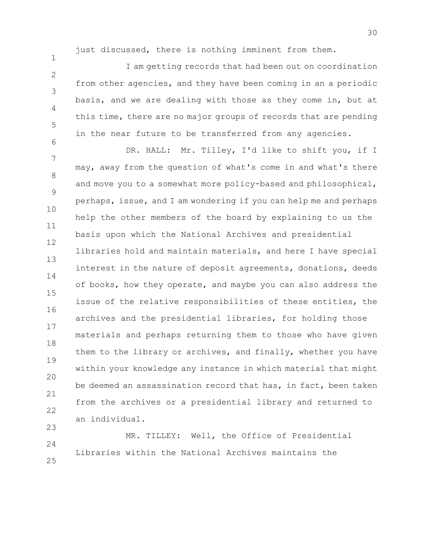23

just discussed, there is nothing imminent from them.

2 3 4 5 6 I am getting records that had been out on coordination from other agencies, and they have been coming in an a periodic basis, and we are dealing with those as they come in, but at this time, there are no major groups of records that are pending in the near future to be transferred from any agencies.

7 8 9 10 11 12 13 14 15 16 17 18 19 20 21 22 DR. HALL: Mr. Tilley, I'd like to shift you, if I may, away from the question of what's come in and what's there and move you to a somewhat more policy-based and philosophical, perhaps, issue, and I am wondering if you can help me and perhaps help the other members of the board by explaining to us the basis upon which the National Archives and presidential libraries hold and maintain materials, and here I have special interest in the nature of deposit agreements, donations, deeds of books, how they operate, and maybe you can also address the issue of the relative responsibilities of these entities, the archives and the presidential libraries, for holding those materials and perhaps returning them to those who have given them to the library or archives, and finally, whether you have within your knowledge any instance in which material that might be deemed an assassination record that has, in fact, been taken from the archives or a presidential library and returned to an individual.

24 25 MR. TILLEY: Well, the Office of Presidential Libraries within the National Archives maintains the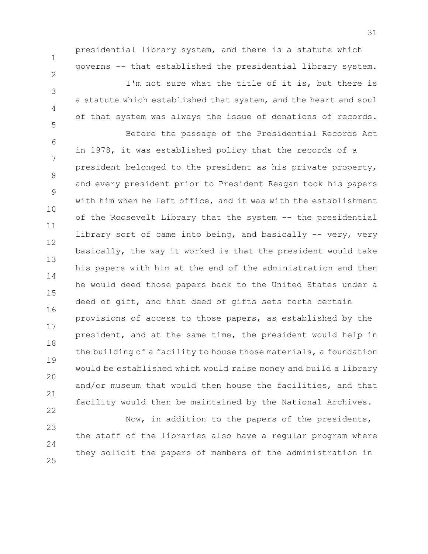presidential library system, and there is a statute which governs -- that established the presidential library system. I'm not sure what the title of it is, but there is a statute which established that system, and the heart and soul of that system was always the issue of donations of records.

Before the passage of the Presidential Records Act

1

2

3

4

5

6 7 8 9 10 11 12 13 14 15 16 17 18 19 20 21 22 in 1978, it was established policy that the records of a president belonged to the president as his private property, and every president prior to President Reagan took his papers with him when he left office, and it was with the establishment of the Roosevelt Library that the system -- the presidential library sort of came into being, and basically -- very, very basically, the way it worked is that the president would take his papers with him at the end of the administration and then he would deed those papers back to the United States under a deed of gift, and that deed of gifts sets forth certain provisions of access to those papers, as established by the president, and at the same time, the president would help in the building of a facility to house those materials, a foundation would be established which would raise money and build a library and/or museum that would then house the facilities, and that facility would then be maintained by the National Archives.

23 24 25 Now, in addition to the papers of the presidents, the staff of the libraries also have a regular program where they solicit the papers of members of the administration in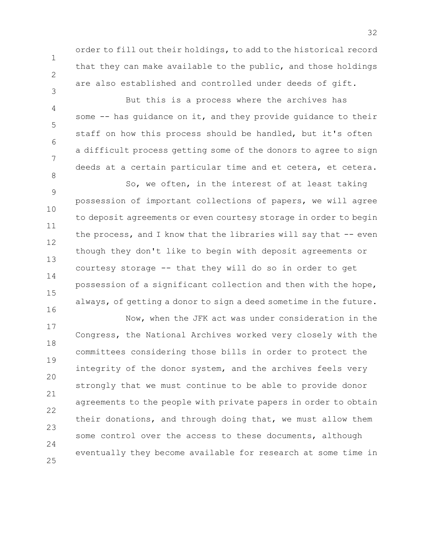3

4

5

6

7

8

order to fill out their holdings, to add to the historical record that they can make available to the public, and those holdings are also established and controlled under deeds of gift.

But this is a process where the archives has some -- has quidance on it, and they provide quidance to their staff on how this process should be handled, but it's often a difficult process getting some of the donors to agree to sign deeds at a certain particular time and et cetera, et cetera.

9 10 11 12 13 14 15 16 So, we often, in the interest of at least taking possession of important collections of papers, we will agree to deposit agreements or even courtesy storage in order to begin the process, and I know that the libraries will say that -- even though they don't like to begin with deposit agreements or courtesy storage -- that they will do so in order to get possession of a significant collection and then with the hope, always, of getting a donor to sign a deed sometime in the future.

17 18 19 20 21 22 23  $24$ 25 Now, when the JFK act was under consideration in the Congress, the National Archives worked very closely with the committees considering those bills in order to protect the integrity of the donor system, and the archives feels very strongly that we must continue to be able to provide donor agreements to the people with private papers in order to obtain their donations, and through doing that, we must allow them some control over the access to these documents, although eventually they become available for research at some time in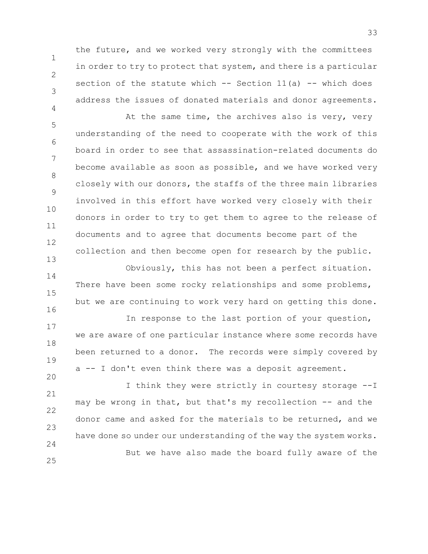the future, and we worked very strongly with the committees in order to try to protect that system, and there is a particular section of the statute which  $--$  Section 11(a)  $--$  which does address the issues of donated materials and donor agreements.

1

2

3

4

5 6 7 8 9 10 11 12 13 At the same time, the archives also is very, very understanding of the need to cooperate with the work of this board in order to see that assassination-related documents do become available as soon as possible, and we have worked very closely with our donors, the staffs of the three main libraries involved in this effort have worked very closely with their donors in order to try to get them to agree to the release of documents and to agree that documents become part of the collection and then become open for research by the public.

14 15 16 Obviously, this has not been a perfect situation. There have been some rocky relationships and some problems, but we are continuing to work very hard on getting this done.

17 18 19 20 In response to the last portion of your question, we are aware of one particular instance where some records have been returned to a donor. The records were simply covered by a -- I don't even think there was a deposit agreement.

21 22 23 24 25 I think they were strictly in courtesy storage --I may be wrong in that, but that's my recollection -- and the donor came and asked for the materials to be returned, and we have done so under our understanding of the way the system works. But we have also made the board fully aware of the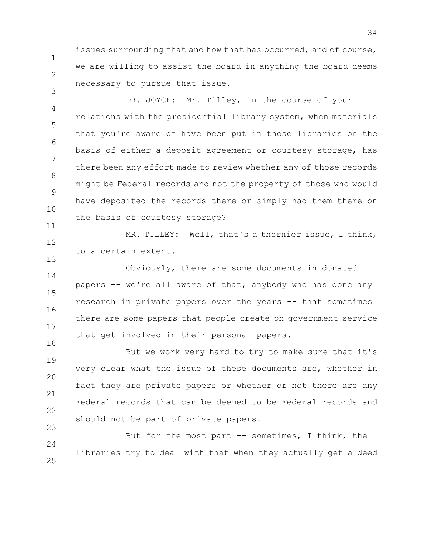issues surrounding that and how that has occurred, and of course, we are willing to assist the board in anything the board deems necessary to pursue that issue.

1

2

3

13

4 5 6 7 8 9 10 11 DR. JOYCE: Mr. Tilley, in the course of your relations with the presidential library system, when materials that you're aware of have been put in those libraries on the basis of either a deposit agreement or courtesy storage, has there been any effort made to review whether any of those records might be Federal records and not the property of those who would have deposited the records there or simply had them there on the basis of courtesy storage?

12 MR. TILLEY: Well, that's a thornier issue, I think, to a certain extent.

14 15 16 17 18 Obviously, there are some documents in donated papers -- we're all aware of that, anybody who has done any research in private papers over the years -- that sometimes there are some papers that people create on government service that get involved in their personal papers.

19 20 21 22 23 But we work very hard to try to make sure that it's very clear what the issue of these documents are, whether in fact they are private papers or whether or not there are any Federal records that can be deemed to be Federal records and should not be part of private papers.

 $24$ 25 But for the most part -- sometimes, I think, the libraries try to deal with that when they actually get a deed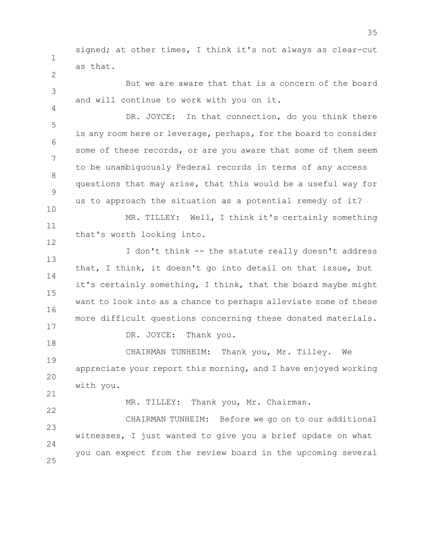1 signed; at other times, I think it's not always as clear-cut as that.

But we are aware that that is a concern of the board and will continue to work with you on it.

5 6 7 8 9 10 DR. JOYCE: In that connection, do you think there is any room here or leverage, perhaps, for the board to consider some of these records, or are you aware that some of them seem to be unambiguously Federal records in terms of any access questions that may arise, that this would be a useful way for us to approach the situation as a potential remedy of it?

11 12 MR. TILLEY: Well, I think it's certainly something that's worth looking into.

13 14 15 16 17 I don't think -- the statute really doesn't address that, I think, it doesn't go into detail on that issue, but it's certainly something, I think, that the board maybe might want to look into as a chance to perhaps alleviate some of these more difficult questions concerning these donated materials.

DR. JOYCE: Thank you.

19 20 21 CHAIRMAN TUNHEIM: Thank you, Mr. Tilley. We appreciate your report this morning, and I have enjoyed working with you.

2

3

4

18

22

MR. TILLEY: Thank you, Mr. Chairman.

23  $24$ 25 CHAIRMAN TUNHEIM: Before we go on to our additional witnesses, I just wanted to give you a brief update on what you can expect from the review board in the upcoming several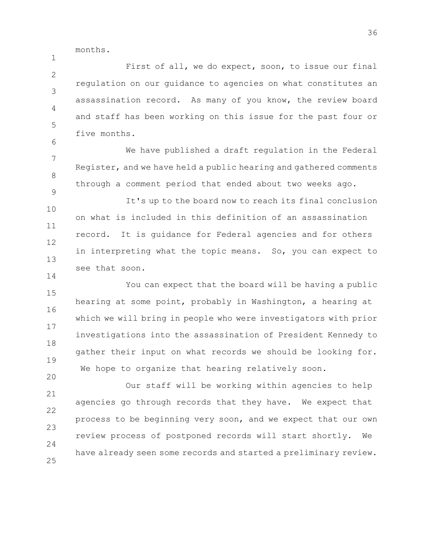months.

1

14

20

 $\mathfrak{D}$ 3 4 5 6 First of all, we do expect, soon, to issue our final regulation on our guidance to agencies on what constitutes an assassination record. As many of you know, the review board and staff has been working on this issue for the past four or five months.

7 8 9 We have published a draft regulation in the Federal Register, and we have held a public hearing and gathered comments through a comment period that ended about two weeks ago.

10 11 12 13 It's up to the board now to reach its final conclusion on what is included in this definition of an assassination record. It is guidance for Federal agencies and for others in interpreting what the topic means. So, you can expect to see that soon.

15 16 17 18 19 You can expect that the board will be having a public hearing at some point, probably in Washington, a hearing at which we will bring in people who were investigators with prior investigations into the assassination of President Kennedy to gather their input on what records we should be looking for. We hope to organize that hearing relatively soon.

21 22 23  $24$ 25 Our staff will be working within agencies to help agencies go through records that they have. We expect that process to be beginning very soon, and we expect that our own review process of postponed records will start shortly. We have already seen some records and started a preliminary review.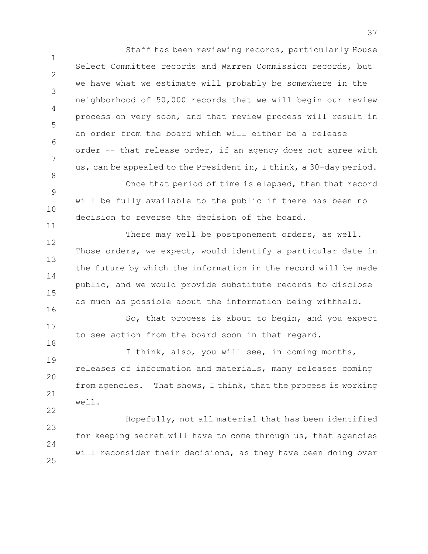1 2 3 4 5 6 7 8 Staff has been reviewing records, particularly House Select Committee records and Warren Commission records, but we have what we estimate will probably be somewhere in the neighborhood of 50,000 records that we will begin our review process on very soon, and that review process will result in an order from the board which will either be a release order -- that release order, if an agency does not agree with us, can be appealed to the President in, I think, a 30-day period.

9 10 Once that period of time is elapsed, then that record will be fully available to the public if there has been no decision to reverse the decision of the board.

11

18

22

12 13 14 15 16 There may well be postponement orders, as well. Those orders, we expect, would identify a particular date in the future by which the information in the record will be made public, and we would provide substitute records to disclose as much as possible about the information being withheld.

17 So, that process is about to begin, and you expect to see action from the board soon in that regard.

19 20 21 I think, also, you will see, in coming months, releases of information and materials, many releases coming from agencies. That shows, I think, that the process is working well.

23  $24$ 25 Hopefully, not all material that has been identified for keeping secret will have to come through us, that agencies will reconsider their decisions, as they have been doing over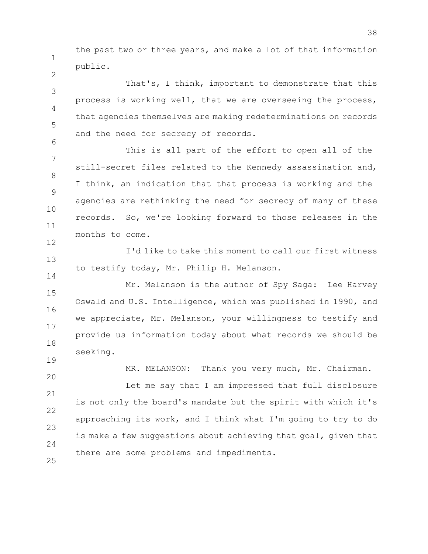1 the past two or three years, and make a lot of that information public.

2

6

14

19

3 4 5 That's, I think, important to demonstrate that this process is working well, that we are overseeing the process, that agencies themselves are making redeterminations on records and the need for secrecy of records.

7 8 9 10 11 12 This is all part of the effort to open all of the still-secret files related to the Kennedy assassination and, I think, an indication that that process is working and the agencies are rethinking the need for secrecy of many of these records. So, we're looking forward to those releases in the months to come.

13 I'd like to take this moment to call our first witness to testify today, Mr. Philip H. Melanson.

15 16 17 18 Mr. Melanson is the author of Spy Saga: Lee Harvey Oswald and U.S. Intelligence, which was published in 1990, and we appreciate, Mr. Melanson, your willingness to testify and provide us information today about what records we should be seeking.

20 21 22 23  $24$ 25 MR. MELANSON: Thank you very much, Mr. Chairman. Let me say that I am impressed that full disclosure is not only the board's mandate but the spirit with which it's approaching its work, and I think what I'm going to try to do is make a few suggestions about achieving that goal, given that there are some problems and impediments.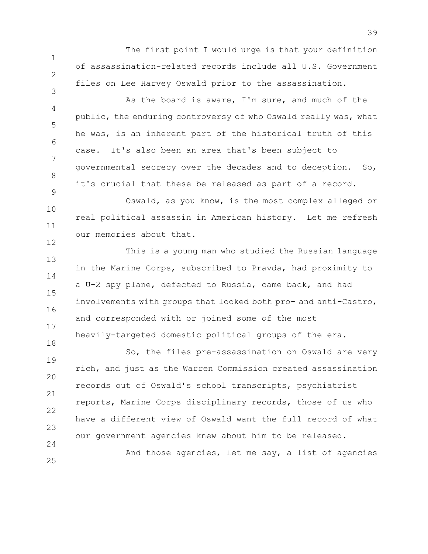The first point I would urge is that your definition of assassination-related records include all U.S. Government files on Lee Harvey Oswald prior to the assassination.

1

2

3

9

18

25

4 5 6 7 8 As the board is aware, I'm sure, and much of the public, the enduring controversy of who Oswald really was, what he was, is an inherent part of the historical truth of this case. It's also been an area that's been subject to governmental secrecy over the decades and to deception. So, it's crucial that these be released as part of a record.

10 11 12 Oswald, as you know, is the most complex alleged or real political assassin in American history. Let me refresh our memories about that.

13 14 15 16 17 This is a young man who studied the Russian language in the Marine Corps, subscribed to Pravda, had proximity to a U-2 spy plane, defected to Russia, came back, and had involvements with groups that looked both pro- and anti-Castro, and corresponded with or joined some of the most heavily-targeted domestic political groups of the era.

19 20 21 22 23 24 So, the files pre-assassination on Oswald are very rich, and just as the Warren Commission created assassination records out of Oswald's school transcripts, psychiatrist reports, Marine Corps disciplinary records, those of us who have a different view of Oswald want the full record of what our government agencies knew about him to be released.

And those agencies, let me say, a list of agencies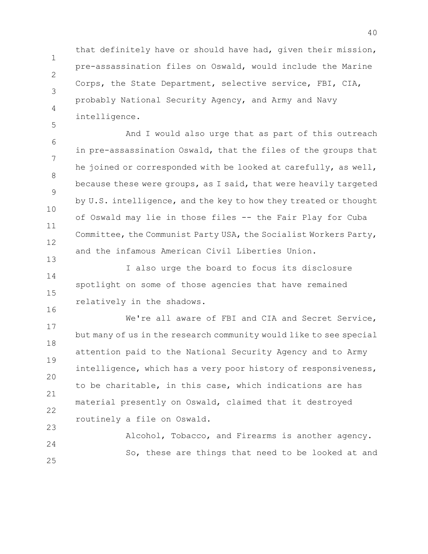that definitely have or should have had, given their mission, pre-assassination files on Oswald, would include the Marine Corps, the State Department, selective service, FBI, CIA, probably National Security Agency, and Army and Navy intelligence.

1

2

3

4

5

13

16

6 7 8 9 10 11 12 And I would also urge that as part of this outreach in pre-assassination Oswald, that the files of the groups that he joined or corresponded with be looked at carefully, as well, because these were groups, as I said, that were heavily targeted by U.S. intelligence, and the key to how they treated or thought of Oswald may lie in those files -- the Fair Play for Cuba Committee, the Communist Party USA, the Socialist Workers Party, and the infamous American Civil Liberties Union.

14 15 I also urge the board to focus its disclosure spotlight on some of those agencies that have remained relatively in the shadows.

17 18 19 20 21 22 23 We're all aware of FBI and CIA and Secret Service, but many of us in the research community would like to see special attention paid to the National Security Agency and to Army intelligence, which has a very poor history of responsiveness, to be charitable, in this case, which indications are has material presently on Oswald, claimed that it destroyed routinely a file on Oswald.

 $24$ 25 Alcohol, Tobacco, and Firearms is another agency. So, these are things that need to be looked at and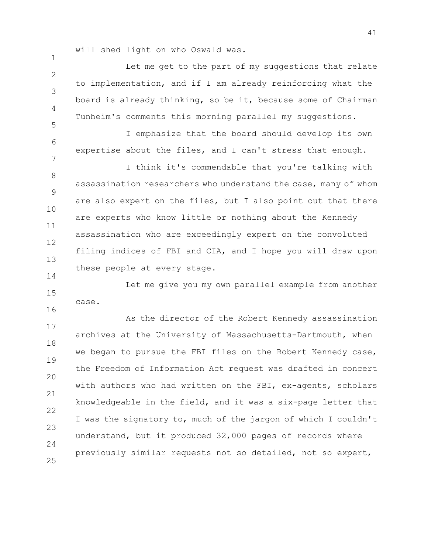will shed light on who Oswald was.

1

6

7

14

 $\mathfrak{D}$ 3 4 5 Let me get to the part of my suggestions that relate to implementation, and if I am already reinforcing what the board is already thinking, so be it, because some of Chairman Tunheim's comments this morning parallel my suggestions.

I emphasize that the board should develop its own expertise about the files, and I can't stress that enough.

8 9 10 11 12 13 I think it's commendable that you're talking with assassination researchers who understand the case, many of whom are also expert on the files, but I also point out that there are experts who know little or nothing about the Kennedy assassination who are exceedingly expert on the convoluted filing indices of FBI and CIA, and I hope you will draw upon these people at every stage.

15 16 Let me give you my own parallel example from another case.

17 18 19 20 21 22 23  $24$ 25 As the director of the Robert Kennedy assassination archives at the University of Massachusetts-Dartmouth, when we began to pursue the FBI files on the Robert Kennedy case, the Freedom of Information Act request was drafted in concert with authors who had written on the FBI, ex-agents, scholars knowledgeable in the field, and it was a six-page letter that I was the signatory to, much of the jargon of which I couldn't understand, but it produced 32,000 pages of records where previously similar requests not so detailed, not so expert,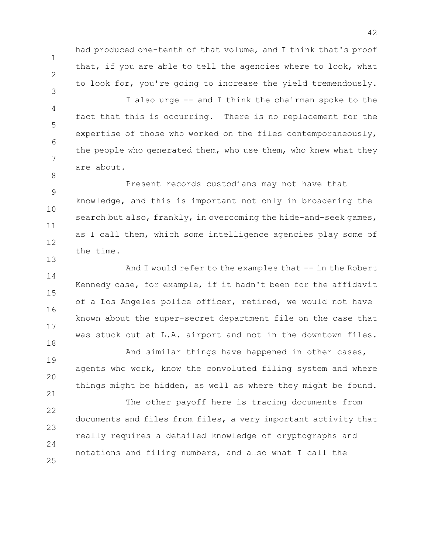had produced one-tenth of that volume, and I think that's proof that, if you are able to tell the agencies where to look, what to look for, you're going to increase the yield tremendously.

1

2

3

8

13

18

21

4 5 6 7 I also urge -- and I think the chairman spoke to the fact that this is occurring. There is no replacement for the expertise of those who worked on the files contemporaneously, the people who generated them, who use them, who knew what they are about.

9 10 11 12 Present records custodians may not have that knowledge, and this is important not only in broadening the search but also, frankly, in overcoming the hide-and-seek games, as I call them, which some intelligence agencies play some of the time.

14 15 16 17 And I would refer to the examples that -- in the Robert Kennedy case, for example, if it hadn't been for the affidavit of a Los Angeles police officer, retired, we would not have known about the super-secret department file on the case that was stuck out at L.A. airport and not in the downtown files.

19 20 And similar things have happened in other cases, agents who work, know the convoluted filing system and where things might be hidden, as well as where they might be found.

22 23  $24$ 25 The other payoff here is tracing documents from documents and files from files, a very important activity that really requires a detailed knowledge of cryptographs and notations and filing numbers, and also what I call the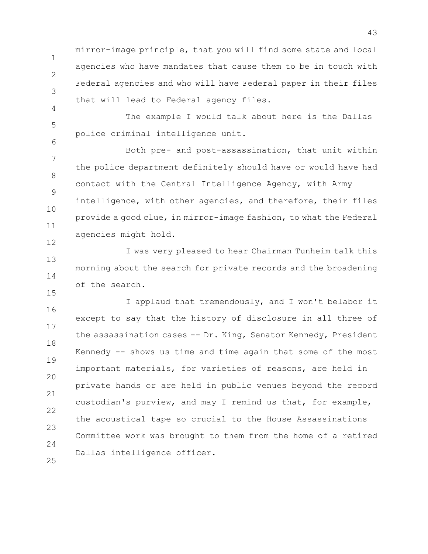1 2 3 mirror-image principle, that you will find some state and local agencies who have mandates that cause them to be in touch with Federal agencies and who will have Federal paper in their files that will lead to Federal agency files.

5 The example I would talk about here is the Dallas police criminal intelligence unit.

4

6

15

7 8 9 10 11 12 Both pre- and post-assassination, that unit within the police department definitely should have or would have had contact with the Central Intelligence Agency, with Army intelligence, with other agencies, and therefore, their files provide a good clue, in mirror-image fashion, to what the Federal agencies might hold.

13 14 I was very pleased to hear Chairman Tunheim talk this morning about the search for private records and the broadening of the search.

16 17 18 19 20 21 22 23 24 25 I applaud that tremendously, and I won't belabor it except to say that the history of disclosure in all three of the assassination cases -- Dr. King, Senator Kennedy, President Kennedy -- shows us time and time again that some of the most important materials, for varieties of reasons, are held in private hands or are held in public venues beyond the record custodian's purview, and may I remind us that, for example, the acoustical tape so crucial to the House Assassinations Committee work was brought to them from the home of a retired Dallas intelligence officer.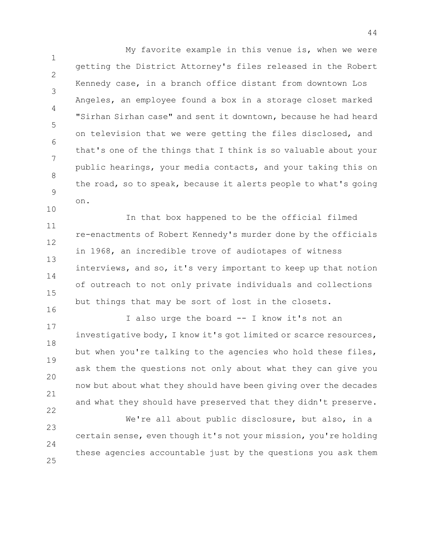1 2 3 4 5 6 7 8 9 10 My favorite example in this venue is, when we were getting the District Attorney's files released in the Robert Kennedy case, in a branch office distant from downtown Los Angeles, an employee found a box in a storage closet marked "Sirhan Sirhan case" and sent it downtown, because he had heard on television that we were getting the files disclosed, and that's one of the things that I think is so valuable about your public hearings, your media contacts, and your taking this on the road, so to speak, because it alerts people to what's going on.

11 12 13 14 15 16 In that box happened to be the official filmed re-enactments of Robert Kennedy's murder done by the officials in 1968, an incredible trove of audiotapes of witness interviews, and so, it's very important to keep up that notion of outreach to not only private individuals and collections but things that may be sort of lost in the closets.

17 18 19 20 21 22 I also urge the board -- I know it's not an investigative body, I know it's got limited or scarce resources, but when you're talking to the agencies who hold these files, ask them the questions not only about what they can give you now but about what they should have been giving over the decades and what they should have preserved that they didn't preserve.

23  $24$ 25 We're all about public disclosure, but also, in a certain sense, even though it's not your mission, you're holding these agencies accountable just by the questions you ask them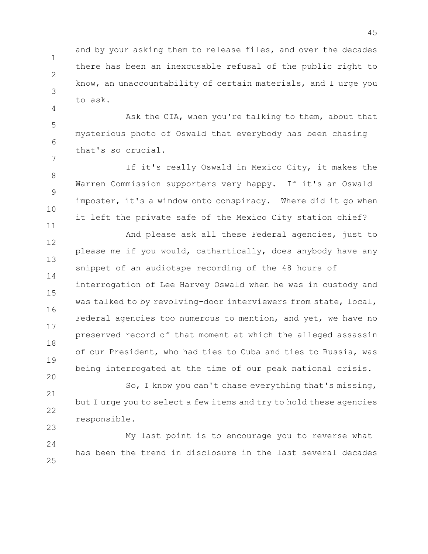1 2 3 and by your asking them to release files, and over the decades there has been an inexcusable refusal of the public right to know, an unaccountability of certain materials, and I urge you to ask.

5 6 7 Ask the CIA, when you're talking to them, about that mysterious photo of Oswald that everybody has been chasing that's so crucial.

4

11

20

8 9 10 If it's really Oswald in Mexico City, it makes the Warren Commission supporters very happy. If it's an Oswald imposter, it's a window onto conspiracy. Where did it go when it left the private safe of the Mexico City station chief?

12 13 14 15 16 17 18 19 And please ask all these Federal agencies, just to please me if you would, cathartically, does anybody have any snippet of an audiotape recording of the 48 hours of interrogation of Lee Harvey Oswald when he was in custody and was talked to by revolving-door interviewers from state, local, Federal agencies too numerous to mention, and yet, we have no preserved record of that moment at which the alleged assassin of our President, who had ties to Cuba and ties to Russia, was being interrogated at the time of our peak national crisis.

21 22 23 So, I know you can't chase everything that's missing, but I urge you to select a few items and try to hold these agencies responsible.

 $24$ 25 My last point is to encourage you to reverse what has been the trend in disclosure in the last several decades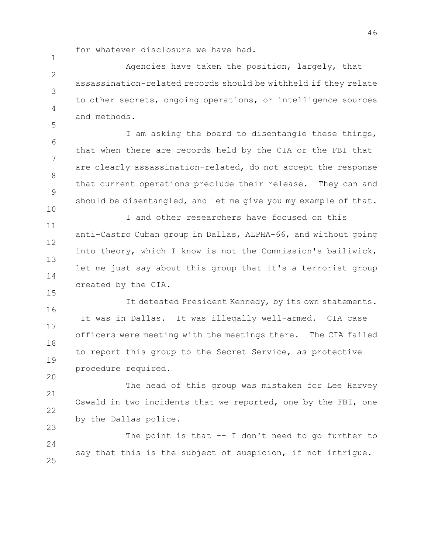for whatever disclosure we have had.

1

15

20

 $\mathfrak{D}$ 3 4 5 Agencies have taken the position, largely, that assassination-related records should be withheld if they relate to other secrets, ongoing operations, or intelligence sources and methods.

6 7 8 9 10 I am asking the board to disentangle these things, that when there are records held by the CIA or the FBI that are clearly assassination-related, do not accept the response that current operations preclude their release. They can and should be disentangled, and let me give you my example of that.

11 12 13 14 I and other researchers have focused on this anti-Castro Cuban group in Dallas, ALPHA-66, and without going into theory, which I know is not the Commission's bailiwick, let me just say about this group that it's a terrorist group created by the CIA.

16 17 18 19 It detested President Kennedy, by its own statements. It was in Dallas. It was illegally well-armed. CIA case officers were meeting with the meetings there. The CIA failed to report this group to the Secret Service, as protective procedure required.

21 22 23 The head of this group was mistaken for Lee Harvey Oswald in two incidents that we reported, one by the FBI, one by the Dallas police.

24 25 The point is that -- I don't need to go further to say that this is the subject of suspicion, if not intrigue.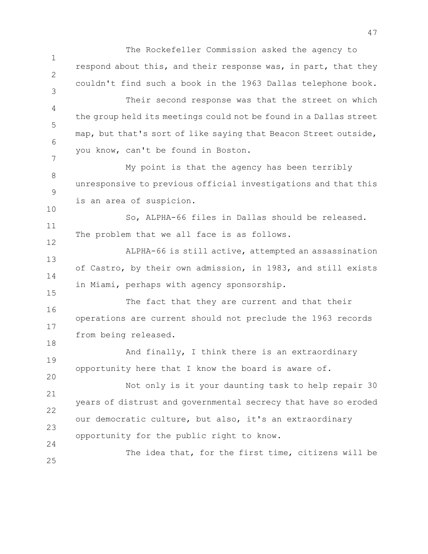1 2 3 4 5 6 7 8 9 10 11 12 13 14 15 16 17 18 19 20 21 22 23  $24$ 25 The Rockefeller Commission asked the agency to respond about this, and their response was, in part, that they couldn't find such a book in the 1963 Dallas telephone book. Their second response was that the street on which the group held its meetings could not be found in a Dallas street map, but that's sort of like saying that Beacon Street outside, you know, can't be found in Boston. My point is that the agency has been terribly unresponsive to previous official investigations and that this is an area of suspicion. So, ALPHA-66 files in Dallas should be released. The problem that we all face is as follows. ALPHA-66 is still active, attempted an assassination of Castro, by their own admission, in 1983, and still exists in Miami, perhaps with agency sponsorship. The fact that they are current and that their operations are current should not preclude the 1963 records from being released. And finally, I think there is an extraordinary opportunity here that I know the board is aware of. Not only is it your daunting task to help repair 30 years of distrust and governmental secrecy that have so eroded our democratic culture, but also, it's an extraordinary opportunity for the public right to know. The idea that, for the first time, citizens will be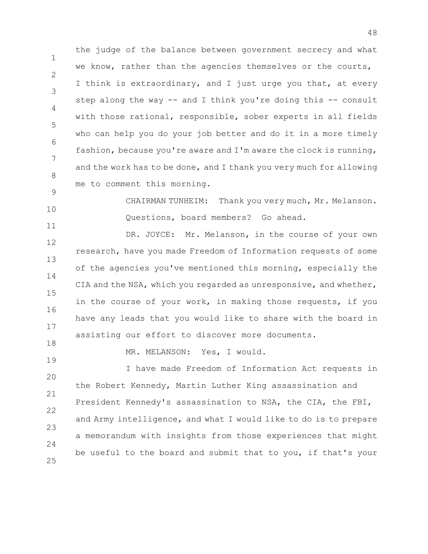1 2 3 4 5 6 7 8 the judge of the balance between government secrecy and what we know, rather than the agencies themselves or the courts, I think is extraordinary, and I just urge you that, at every step along the way -- and I think you're doing this -- consult with those rational, responsible, sober experts in all fields who can help you do your job better and do it in a more timely fashion, because you're aware and I'm aware the clock is running, and the work has to be done, and I thank you very much for allowing me to comment this morning.

CHAIRMAN TUNHEIM: Thank you very much, Mr. Melanson. Questions, board members? Go ahead.

12 13 14 15 16 17 DR. JOYCE: Mr. Melanson, in the course of your own research, have you made Freedom of Information requests of some of the agencies you've mentioned this morning, especially the CIA and the NSA, which you regarded as unresponsive, and whether, in the course of your work, in making those requests, if you have any leads that you would like to share with the board in assisting our effort to discover more documents.

18 19

9

10

11

MR. MELANSON: Yes, I would.

20 21 22 23  $24$ 25 I have made Freedom of Information Act requests in the Robert Kennedy, Martin Luther King assassination and President Kennedy's assassination to NSA, the CIA, the FBI, and Army intelligence, and what I would like to do is to prepare a memorandum with insights from those experiences that might be useful to the board and submit that to you, if that's your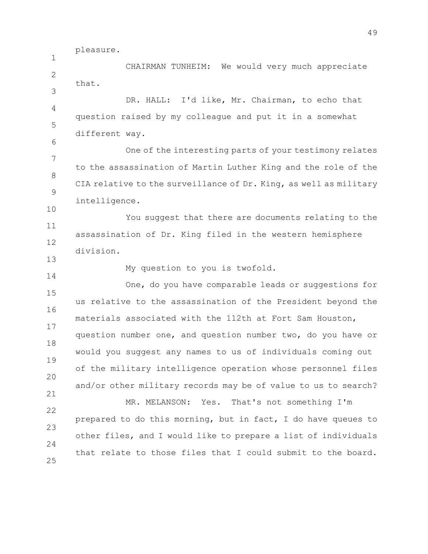pleasure.

1  $\mathfrak{D}$ 3 4 5 6 7 8 9 10 11 12 13 14 15 16 17 18 19 20 21 22 23 24 25 CHAIRMAN TUNHEIM: We would very much appreciate that. DR. HALL: I'd like, Mr. Chairman, to echo that question raised by my colleague and put it in a somewhat different way. One of the interesting parts of your testimony relates to the assassination of Martin Luther King and the role of the CIA relative to the surveillance of Dr. King, as well as military intelligence. You suggest that there are documents relating to the assassination of Dr. King filed in the western hemisphere division. My question to you is twofold. One, do you have comparable leads or suggestions for us relative to the assassination of the President beyond the materials associated with the 112th at Fort Sam Houston, question number one, and question number two, do you have or would you suggest any names to us of individuals coming out of the military intelligence operation whose personnel files and/or other military records may be of value to us to search? MR. MELANSON: Yes. That's not something I'm prepared to do this morning, but in fact, I do have queues to other files, and I would like to prepare a list of individuals that relate to those files that I could submit to the board.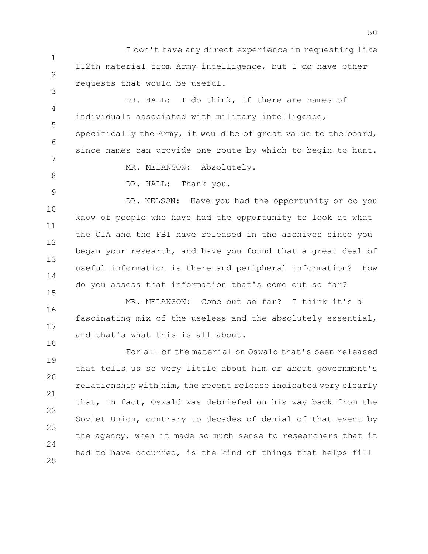1 2 I don't have any direct experience in requesting like 112th material from Army intelligence, but I do have other requests that would be useful.

4 5 6 7 DR. HALL: I do think, if there are names of individuals associated with military intelligence, specifically the Army, it would be of great value to the board, since names can provide one route by which to begin to hunt. MR. MELANSON: Absolutely.

8 9

15

18

3

DR. HALL: Thank you.

10 11 12 13 14 DR. NELSON: Have you had the opportunity or do you know of people who have had the opportunity to look at what the CIA and the FBI have released in the archives since you began your research, and have you found that a great deal of useful information is there and peripheral information? How do you assess that information that's come out so far?

16 17 MR. MELANSON: Come out so far? I think it's a fascinating mix of the useless and the absolutely essential, and that's what this is all about.

19 20 21 22 23  $24$ 25 For all of the material on Oswald that's been released that tells us so very little about him or about government's relationship with him, the recent release indicated very clearly that, in fact, Oswald was debriefed on his way back from the Soviet Union, contrary to decades of denial of that event by the agency, when it made so much sense to researchers that it had to have occurred, is the kind of things that helps fill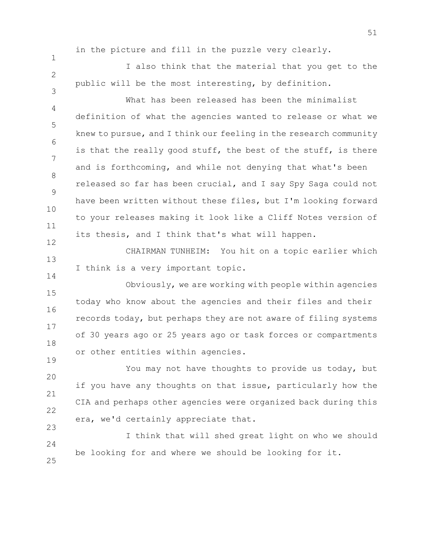1

 $\mathfrak{D}$ 

3

12

14

19

in the picture and fill in the puzzle very clearly.

I also think that the material that you get to the public will be the most interesting, by definition.

4 5 6 7 8 9 10 11 What has been released has been the minimalist definition of what the agencies wanted to release or what we knew to pursue, and I think our feeling in the research community is that the really good stuff, the best of the stuff, is there and is forthcoming, and while not denying that what's been released so far has been crucial, and I say Spy Saga could not have been written without these files, but I'm looking forward to your releases making it look like a Cliff Notes version of its thesis, and I think that's what will happen.

13 CHAIRMAN TUNHEIM: You hit on a topic earlier which I think is a very important topic.

15 16 17 18 Obviously, we are working with people within agencies today who know about the agencies and their files and their records today, but perhaps they are not aware of filing systems of 30 years ago or 25 years ago or task forces or compartments or other entities within agencies.

20 21 22 23 You may not have thoughts to provide us today, but if you have any thoughts on that issue, particularly how the CIA and perhaps other agencies were organized back during this era, we'd certainly appreciate that.

24 25 I think that will shed great light on who we should be looking for and where we should be looking for it.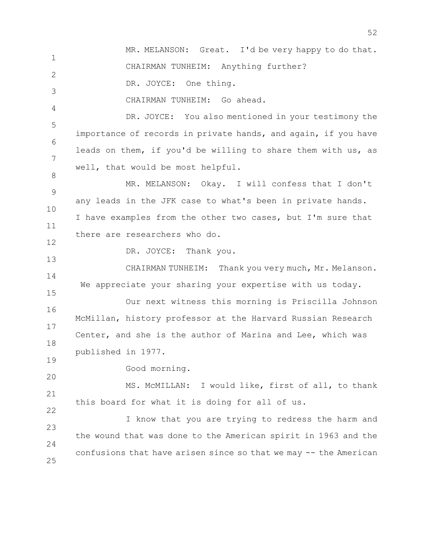1  $\mathfrak{D}$ 3 4 5 6 7 8 9 10 11 12 13 14 15 16 17 18 MR. MELANSON: Great. I'd be very happy to do that. CHAIRMAN TUNHEIM: Anything further? DR. JOYCE: One thing. CHAIRMAN TUNHEIM: Go ahead. DR. JOYCE: You also mentioned in your testimony the importance of records in private hands, and again, if you have leads on them, if you'd be willing to share them with us, as well, that would be most helpful. MR. MELANSON: Okay. I will confess that I don't any leads in the JFK case to what's been in private hands. I have examples from the other two cases, but I'm sure that there are researchers who do. DR. JOYCE: Thank you. CHAIRMAN TUNHEIM: Thank you very much, Mr. Melanson. We appreciate your sharing your expertise with us today. Our next witness this morning is Priscilla Johnson McMillan, history professor at the Harvard Russian Research Center, and she is the author of Marina and Lee, which was published in 1977.

52

19 20

22

Good morning.

21 MS. McMILLAN: I would like, first of all, to thank this board for what it is doing for all of us.

23  $24$ 25 I know that you are trying to redress the harm and the wound that was done to the American spirit in 1963 and the confusions that have arisen since so that we may -- the American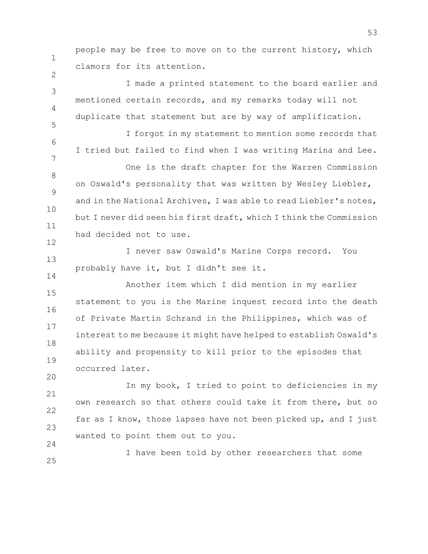people may be free to move on to the current history, which clamors for its attention.

1

2

3

4

5

6

7

12

14

20

I made a printed statement to the board earlier and mentioned certain records, and my remarks today will not duplicate that statement but are by way of amplification.

I forgot in my statement to mention some records that I tried but failed to find when I was writing Marina and Lee.

8 9 10 11 One is the draft chapter for the Warren Commission on Oswald's personality that was written by Wesley Liebler, and in the National Archives, I was able to read Liebler's notes, but I never did seen his first draft, which I think the Commission had decided not to use.

13 I never saw Oswald's Marine Corps record. You probably have it, but I didn't see it.

15 16 17 18 19 Another item which I did mention in my earlier statement to you is the Marine inquest record into the death of Private Martin Schrand in the Philippines, which was of interest to me because it might have helped to establish Oswald's ability and propensity to kill prior to the episodes that occurred later.

21 22 23  $24$ In my book, I tried to point to deficiencies in my own research so that others could take it from there, but so far as I know, those lapses have not been picked up, and I just wanted to point them out to you.

25 I have been told by other researchers that some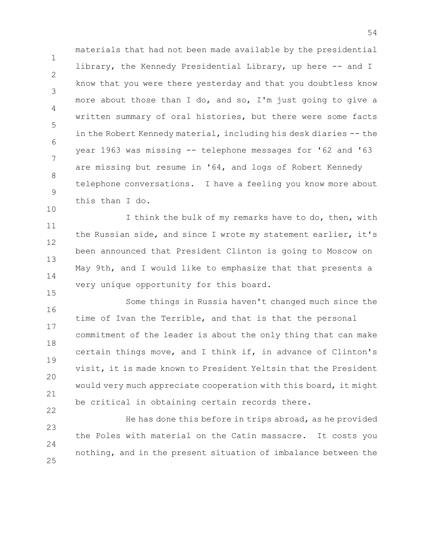1 2 3 4 5 6 7 8 9 10 materials that had not been made available by the presidential library, the Kennedy Presidential Library, up here -- and I know that you were there yesterday and that you doubtless know more about those than I do, and so, I'm just going to give a written summary of oral histories, but there were some facts in the Robert Kennedy material, including his desk diaries -- the year 1963 was missing -- telephone messages for '62 and '63 are missing but resume in '64, and logs of Robert Kennedy telephone conversations. I have a feeling you know more about this than I do.

11 12 13 14 I think the bulk of my remarks have to do, then, with the Russian side, and since I wrote my statement earlier, it's been announced that President Clinton is going to Moscow on May 9th, and I would like to emphasize that that presents a very unique opportunity for this board.

15

22

16 17 18 19 20 21 Some things in Russia haven't changed much since the time of Ivan the Terrible, and that is that the personal commitment of the leader is about the only thing that can make certain things move, and I think if, in advance of Clinton's visit, it is made known to President Yeltsin that the President would very much appreciate cooperation with this board, it might be critical in obtaining certain records there.

23  $24$ 25 He has done this before in trips abroad, as he provided the Poles with material on the Catin massacre. It costs you nothing, and in the present situation of imbalance between the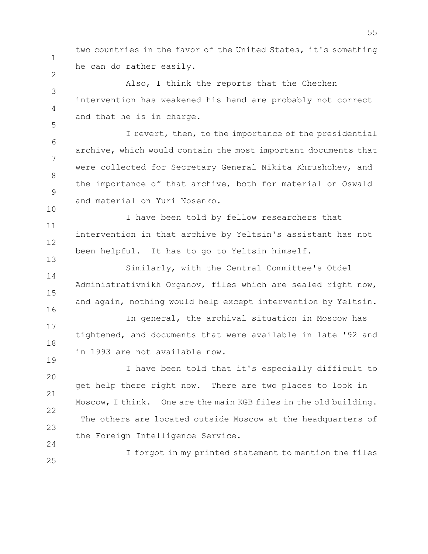two countries in the favor of the United States, it's something he can do rather easily.

1

2

5

10

19

3 4 Also, I think the reports that the Chechen intervention has weakened his hand are probably not correct and that he is in charge.

6 7 8 9 I revert, then, to the importance of the presidential archive, which would contain the most important documents that were collected for Secretary General Nikita Khrushchev, and the importance of that archive, both for material on Oswald and material on Yuri Nosenko.

11 12 13 I have been told by fellow researchers that intervention in that archive by Yeltsin's assistant has not been helpful. It has to go to Yeltsin himself.

14 15 16 Similarly, with the Central Committee's Otdel Administrativnikh Organov, files which are sealed right now, and again, nothing would help except intervention by Yeltsin.

17 18 In general, the archival situation in Moscow has tightened, and documents that were available in late '92 and in 1993 are not available now.

20 21 22 23 24 I have been told that it's especially difficult to get help there right now. There are two places to look in Moscow, I think. One are the main KGB files in the old building. The others are located outside Moscow at the headquarters of the Foreign Intelligence Service.

25 I forgot in my printed statement to mention the files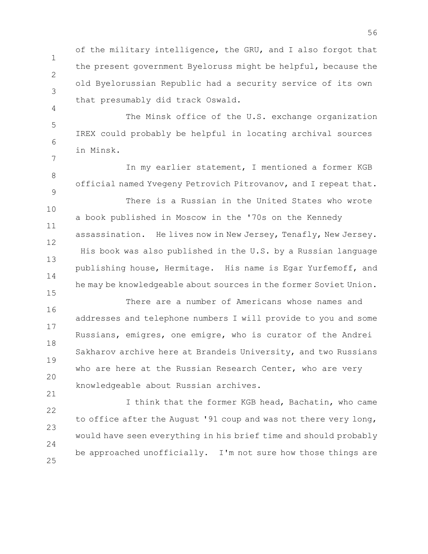1 2 3 of the military intelligence, the GRU, and I also forgot that the present government Byeloruss might be helpful, because the old Byelorussian Republic had a security service of its own that presumably did track Oswald.

5 6 7 The Minsk office of the U.S. exchange organization IREX could probably be helpful in locating archival sources in Minsk.

4

15

21

8 9 10 11 12 13 14 In my earlier statement, I mentioned a former KGB official named Yvegeny Petrovich Pitrovanov, and I repeat that. There is a Russian in the United States who wrote a book published in Moscow in the '70s on the Kennedy assassination. He lives now in New Jersey, Tenafly, New Jersey. His book was also published in the U.S. by a Russian language publishing house, Hermitage. His name is Egar Yurfemoff, and he may be knowledgeable about sources in the former Soviet Union.

16 17 18 19 20 There are a number of Americans whose names and addresses and telephone numbers I will provide to you and some Russians, emigres, one emigre, who is curator of the Andrei Sakharov archive here at Brandeis University, and two Russians who are here at the Russian Research Center, who are very knowledgeable about Russian archives.

22 23  $24$ 25 I think that the former KGB head, Bachatin, who came to office after the August '91 coup and was not there very long, would have seen everything in his brief time and should probably be approached unofficially. I'm not sure how those things are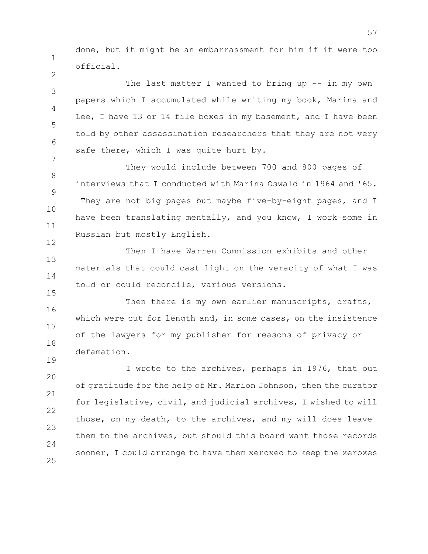done, but it might be an embarrassment for him if it were too official.

1

2

15

19

3 4 5 6 7 The last matter I wanted to bring up -- in my own papers which I accumulated while writing my book, Marina and Lee, I have 13 or 14 file boxes in my basement, and I have been told by other assassination researchers that they are not very safe there, which I was quite hurt by.

8 9 10 11 12 They would include between 700 and 800 pages of interviews that I conducted with Marina Oswald in 1964 and '65. They are not big pages but maybe five-by-eight pages, and I have been translating mentally, and you know, I work some in Russian but mostly English.

13 14 Then I have Warren Commission exhibits and other materials that could cast light on the veracity of what I was told or could reconcile, various versions.

16 17 18 Then there is my own earlier manuscripts, drafts, which were cut for length and, in some cases, on the insistence of the lawyers for my publisher for reasons of privacy or defamation.

20 21 22 23  $24$ 25 I wrote to the archives, perhaps in 1976, that out of gratitude for the help of Mr. Marion Johnson, then the curator for legislative, civil, and judicial archives, I wished to will those, on my death, to the archives, and my will does leave them to the archives, but should this board want those records sooner, I could arrange to have them xeroxed to keep the xeroxes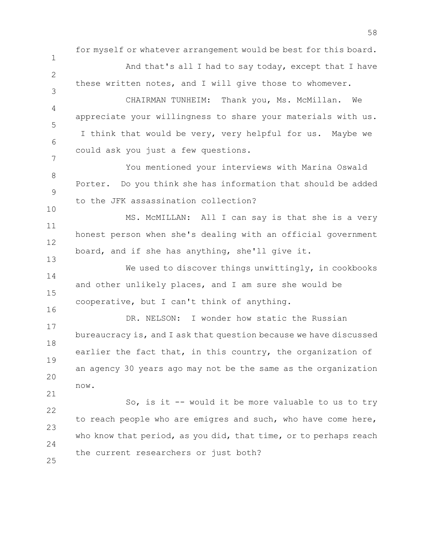for myself or whatever arrangement would be best for this board.

And that's all I had to say today, except that I have these written notes, and I will give those to whomever.

1

 $\mathcal{P}$ 

3

13

16

21

4 5 6 7 CHAIRMAN TUNHEIM: Thank you, Ms. McMillan. We appreciate your willingness to share your materials with us. I think that would be very, very helpful for us. Maybe we could ask you just a few questions.

8 9 10 You mentioned your interviews with Marina Oswald Porter. Do you think she has information that should be added to the JFK assassination collection?

11 12 MS. McMILLAN: All I can say is that she is a very honest person when she's dealing with an official government board, and if she has anything, she'll give it.

14 15 We used to discover things unwittingly, in cookbooks and other unlikely places, and I am sure she would be cooperative, but I can't think of anything.

17 18 19 20 DR. NELSON: I wonder how static the Russian bureaucracy is, and I ask that question because we have discussed earlier the fact that, in this country, the organization of an agency 30 years ago may not be the same as the organization now.

22 23  $24$ 25 So, is it -- would it be more valuable to us to try to reach people who are emigres and such, who have come here, who know that period, as you did, that time, or to perhaps reach the current researchers or just both?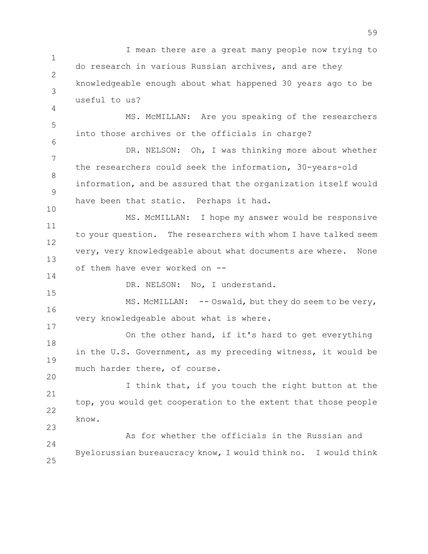1 2 3 4 5 6 7 8 9 10 11 12 13 14 15 16 17 18 19 20 21 22 23  $24$ 25 I mean there are a great many people now trying to do research in various Russian archives, and are they knowledgeable enough about what happened 30 years ago to be useful to us? MS. McMILLAN: Are you speaking of the researchers into those archives or the officials in charge? DR. NELSON: Oh, I was thinking more about whether the researchers could seek the information, 30-years-old information, and be assured that the organization itself would have been that static. Perhaps it had. MS. McMILLAN: I hope my answer would be responsive to your question. The researchers with whom I have talked seem very, very knowledgeable about what documents are where. None of them have ever worked on -- DR. NELSON: No, I understand. MS. McMILLAN: -- Oswald, but they do seem to be very, very knowledgeable about what is where. On the other hand, if it's hard to get everything in the U.S. Government, as my preceding witness, it would be much harder there, of course. I think that, if you touch the right button at the top, you would get cooperation to the extent that those people know. As for whether the officials in the Russian and Byelorussian bureaucracy know, I would think no. I would think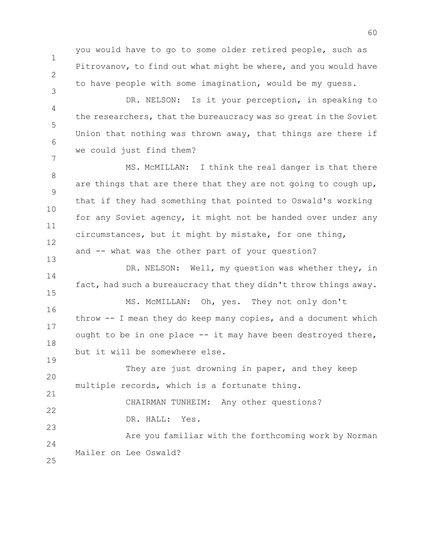you would have to go to some older retired people, such as Pitrovanov, to find out what might be where, and you would have to have people with some imagination, would be my guess.

4 5 6 7 DR. NELSON: Is it your perception, in speaking to the researchers, that the bureaucracy was so great in the Soviet Union that nothing was thrown away, that things are there if we could just find them?

8 9 10 11 12 MS. McMILLAN: I think the real danger is that there are things that are there that they are not going to cough up, that if they had something that pointed to Oswald's working for any Soviet agency, it might not be handed over under any circumstances, but it might by mistake, for one thing, and -- what was the other part of your question?

14 15 DR. NELSON: Well, my question was whether they, in fact, had such a bureaucracy that they didn't throw things away.

16 17 18 MS. McMILLAN: Oh, yes. They not only don't throw -- I mean they do keep many copies, and a document which ought to be in one place -- it may have been destroyed there, but it will be somewhere else.

20 21 22 They are just drowning in paper, and they keep multiple records, which is a fortunate thing. CHAIRMAN TUNHEIM: Any other questions? DR. HALL: Yes.

 $24$ Are you familiar with the forthcoming work by Norman Mailer on Lee Oswald?

25

23

1

2

3

13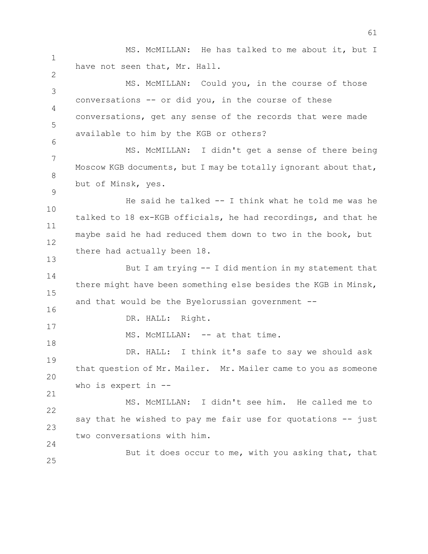1 2 3 4 5 6 7 8 9 10 11 12 13 14 15 16 17 18 19 20 21 22 23  $24$ 25 MS. McMILLAN: He has talked to me about it, but I have not seen that, Mr. Hall. MS. McMILLAN: Could you, in the course of those conversations -- or did you, in the course of these conversations, get any sense of the records that were made available to him by the KGB or others? MS. McMILLAN: I didn't get a sense of there being Moscow KGB documents, but I may be totally ignorant about that, but of Minsk, yes. He said he talked -- I think what he told me was he talked to 18 ex-KGB officials, he had recordings, and that he maybe said he had reduced them down to two in the book, but there had actually been 18. But I am trying -- I did mention in my statement that there might have been something else besides the KGB in Minsk, and that would be the Byelorussian government -- DR. HALL: Right. MS. McMILLAN: -- at that time. DR. HALL: I think it's safe to say we should ask that question of Mr. Mailer. Mr. Mailer came to you as someone who is expert in -- MS. McMILLAN: I didn't see him. He called me to say that he wished to pay me fair use for quotations -- just two conversations with him. But it does occur to me, with you asking that, that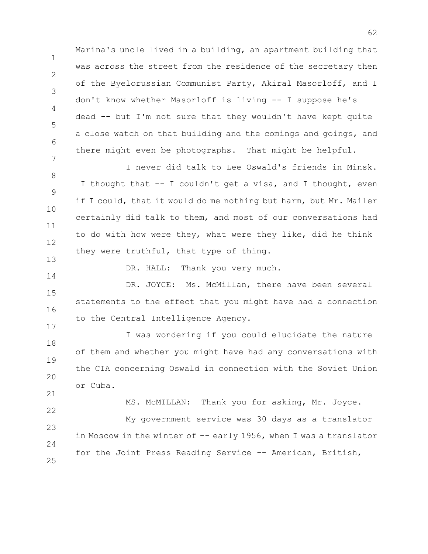1 2 3 4 5 6 7 Marina's uncle lived in a building, an apartment building that was across the street from the residence of the secretary then of the Byelorussian Communist Party, Akiral Masorloff, and I don't know whether Masorloff is living -- I suppose he's dead -- but I'm not sure that they wouldn't have kept quite a close watch on that building and the comings and goings, and there might even be photographs. That might be helpful.

8 9 10 11 12 13 I never did talk to Lee Oswald's friends in Minsk. I thought that -- I couldn't get a visa, and I thought, even if I could, that it would do me nothing but harm, but Mr. Mailer certainly did talk to them, and most of our conversations had to do with how were they, what were they like, did he think they were truthful, that type of thing.

DR. HALL: Thank you very much.

14

17

15 16 DR. JOYCE: Ms. McMillan, there have been several statements to the effect that you might have had a connection to the Central Intelligence Agency.

18 19 20 21 I was wondering if you could elucidate the nature of them and whether you might have had any conversations with the CIA concerning Oswald in connection with the Soviet Union or Cuba.

22 23  $24$ 25 MS. McMILLAN: Thank you for asking, Mr. Joyce. My government service was 30 days as a translator in Moscow in the winter of -- early 1956, when I was a translator for the Joint Press Reading Service -- American, British,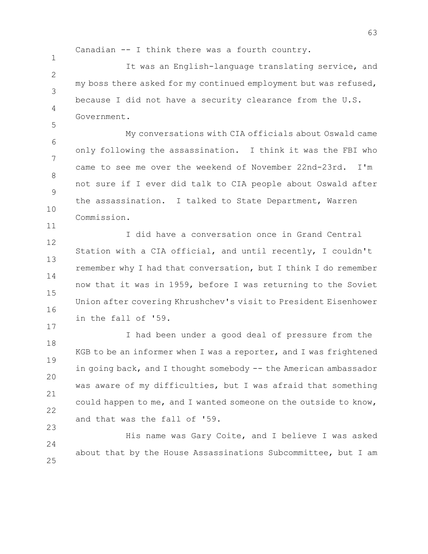Canadian -- I think there was a fourth country.

1

5

11

17

 $\mathfrak{D}$ 3 4 It was an English-language translating service, and my boss there asked for my continued employment but was refused, because I did not have a security clearance from the U.S. Government.

6 7 8 9 10 My conversations with CIA officials about Oswald came only following the assassination. I think it was the FBI who came to see me over the weekend of November 22nd-23rd. I'm not sure if I ever did talk to CIA people about Oswald after the assassination. I talked to State Department, Warren Commission.

12 13 14 15 16 I did have a conversation once in Grand Central Station with a CIA official, and until recently, I couldn't remember why I had that conversation, but I think I do remember now that it was in 1959, before I was returning to the Soviet Union after covering Khrushchev's visit to President Eisenhower in the fall of '59.

18 19 20 21 22 23 I had been under a good deal of pressure from the KGB to be an informer when I was a reporter, and I was frightened in going back, and I thought somebody -- the American ambassador was aware of my difficulties, but I was afraid that something could happen to me, and I wanted someone on the outside to know, and that was the fall of '59.

 $24$ 25 His name was Gary Coite, and I believe I was asked about that by the House Assassinations Subcommittee, but I am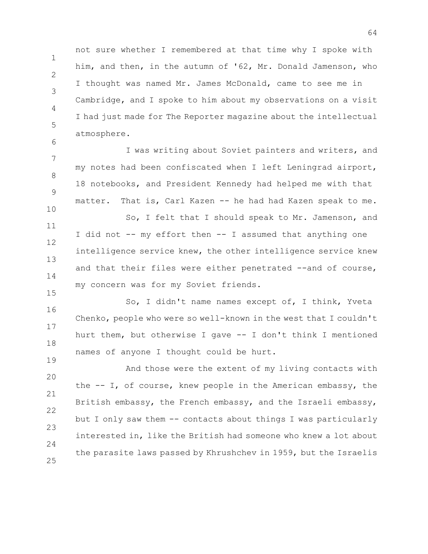not sure whether I remembered at that time why I spoke with him, and then, in the autumn of '62, Mr. Donald Jamenson, who I thought was named Mr. James McDonald, came to see me in Cambridge, and I spoke to him about my observations on a visit I had just made for The Reporter magazine about the intellectual atmosphere.

1

2

3

4

5

6

10

15

19

7 8 9 I was writing about Soviet painters and writers, and my notes had been confiscated when I left Leningrad airport, 18 notebooks, and President Kennedy had helped me with that matter. That is, Carl Kazen -- he had had Kazen speak to me.

11 12 13 14 So, I felt that I should speak to Mr. Jamenson, and I did not -- my effort then -- I assumed that anything one intelligence service knew, the other intelligence service knew and that their files were either penetrated --and of course, my concern was for my Soviet friends.

16 17 18 So, I didn't name names except of, I think, Yveta Chenko, people who were so well-known in the west that I couldn't hurt them, but otherwise I gave -- I don't think I mentioned names of anyone I thought could be hurt.

20 21 22 23 24 25 And those were the extent of my living contacts with the -- I, of course, knew people in the American embassy, the British embassy, the French embassy, and the Israeli embassy, but I only saw them -- contacts about things I was particularly interested in, like the British had someone who knew a lot about the parasite laws passed by Khrushchev in 1959, but the Israelis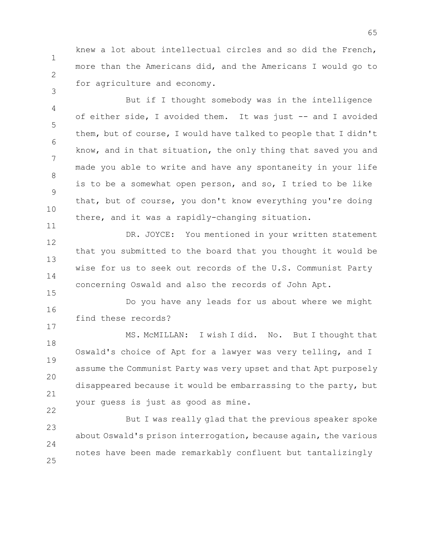knew a lot about intellectual circles and so did the French, more than the Americans did, and the Americans I would go to for agriculture and economy.

1

2

3

11

4 5 6 7 8 9 10 But if I thought somebody was in the intelligence of either side, I avoided them. It was just -- and I avoided them, but of course, I would have talked to people that I didn't know, and in that situation, the only thing that saved you and made you able to write and have any spontaneity in your life is to be a somewhat open person, and so, I tried to be like that, but of course, you don't know everything you're doing there, and it was a rapidly-changing situation.

12 13 14 15 DR. JOYCE: You mentioned in your written statement that you submitted to the board that you thought it would be wise for us to seek out records of the U.S. Communist Party concerning Oswald and also the records of John Apt.

16 17 Do you have any leads for us about where we might find these records?

18 19 20 21 22 MS. McMILLAN: I wish I did. No. But I thought that Oswald's choice of Apt for a lawyer was very telling, and I assume the Communist Party was very upset and that Apt purposely disappeared because it would be embarrassing to the party, but your guess is just as good as mine.

23  $24$ 25 But I was really glad that the previous speaker spoke about Oswald's prison interrogation, because again, the various notes have been made remarkably confluent but tantalizingly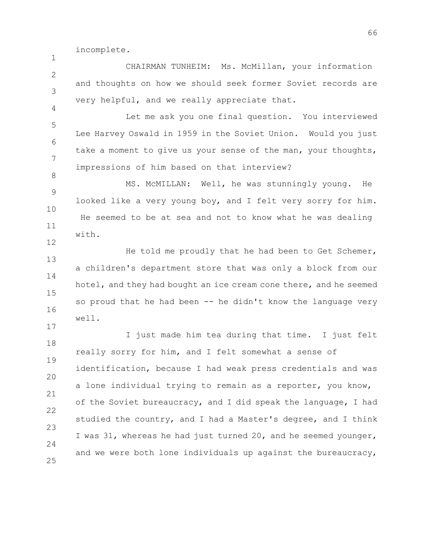incomplete.

1

4

8

17

 $\mathfrak{D}$ 3 CHAIRMAN TUNHEIM: Ms. McMillan, your information and thoughts on how we should seek former Soviet records are very helpful, and we really appreciate that.

5 6 7 Let me ask you one final question. You interviewed Lee Harvey Oswald in 1959 in the Soviet Union. Would you just take a moment to give us your sense of the man, your thoughts, impressions of him based on that interview?

9 10 11 12 MS. McMILLAN: Well, he was stunningly young. He looked like a very young boy, and I felt very sorry for him. He seemed to be at sea and not to know what he was dealing with.

13 14 15 16 He told me proudly that he had been to Get Schemer, a children's department store that was only a block from our hotel, and they had bought an ice cream cone there, and he seemed so proud that he had been  $-$ - he didn't know the language very well.

18 19 20 21 22 23  $24$ 25 I just made him tea during that time. I just felt really sorry for him, and I felt somewhat a sense of identification, because I had weak press credentials and was a lone individual trying to remain as a reporter, you know, of the Soviet bureaucracy, and I did speak the language, I had studied the country, and I had a Master's degree, and I think I was 31, whereas he had just turned 20, and he seemed younger, and we were both lone individuals up against the bureaucracy,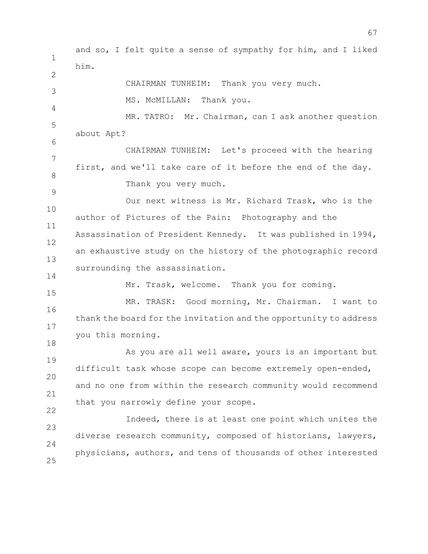1 2 3 4 5 6 7 8 9 10 11 12 13 14 15 16 17 18 19 20 21 22 23 24 25 and so, I felt quite a sense of sympathy for him, and I liked him. CHAIRMAN TUNHEIM: Thank you very much. MS. McMILLAN: Thank you. MR. TATRO: Mr. Chairman, can I ask another question about Apt? CHAIRMAN TUNHEIM: Let's proceed with the hearing first, and we'll take care of it before the end of the day. Thank you very much. Our next witness is Mr. Richard Trask, who is the author of Pictures of the Pain: Photography and the Assassination of President Kennedy. It was published in 1994, an exhaustive study on the history of the photographic record surrounding the assassination. Mr. Trask, welcome. Thank you for coming. MR. TRASK: Good morning, Mr. Chairman. I want to thank the board for the invitation and the opportunity to address you this morning. As you are all well aware, yours is an important but difficult task whose scope can become extremely open-ended, and no one from within the research community would recommend that you narrowly define your scope. Indeed, there is at least one point which unites the diverse research community, composed of historians, lawyers, physicians, authors, and tens of thousands of other interested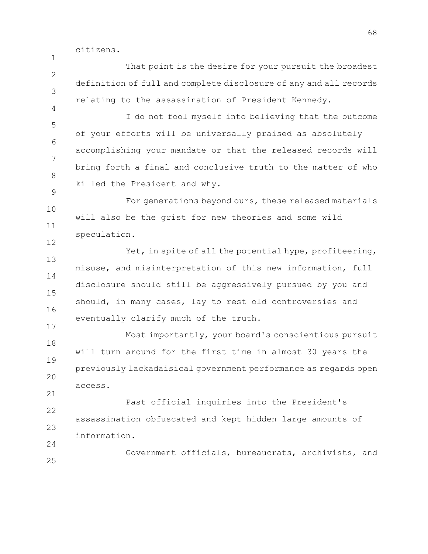citizens.

1

17

 $24$ 

 $\mathcal{P}$ 3 4 That point is the desire for your pursuit the broadest definition of full and complete disclosure of any and all records relating to the assassination of President Kennedy.

5 6 7 8 9 I do not fool myself into believing that the outcome of your efforts will be universally praised as absolutely accomplishing your mandate or that the released records will bring forth a final and conclusive truth to the matter of who killed the President and why.

10 11 12 For generations beyond ours, these released materials will also be the grist for new theories and some wild speculation.

13 14 15 16 Yet, in spite of all the potential hype, profiteering, misuse, and misinterpretation of this new information, full disclosure should still be aggressively pursued by you and should, in many cases, lay to rest old controversies and eventually clarify much of the truth.

18 19 20 21 Most importantly, your board's conscientious pursuit will turn around for the first time in almost 30 years the previously lackadaisical government performance as regards open access.

22 23 Past official inquiries into the President's assassination obfuscated and kept hidden large amounts of information.

25 Government officials, bureaucrats, archivists, and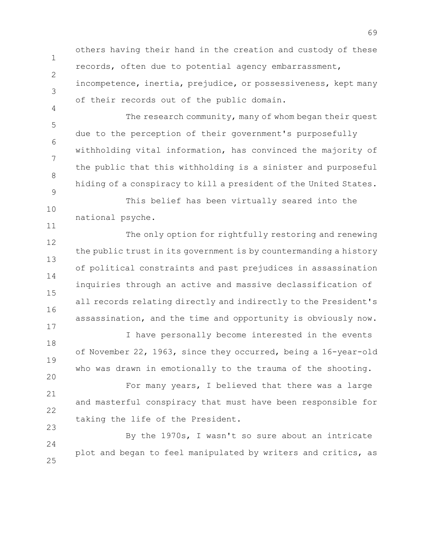others having their hand in the creation and custody of these records, often due to potential agency embarrassment, incompetence, inertia, prejudice, or possessiveness, kept many

1

2

17

20

3 4 5 of their records out of the public domain. The research community, many of whom began their quest

6 7 8 9 due to the perception of their government's purposefully withholding vital information, has convinced the majority of the public that this withholding is a sinister and purposeful hiding of a conspiracy to kill a president of the United States.

10 11 This belief has been virtually seared into the national psyche.

12 13 14 15 16 The only option for rightfully restoring and renewing the public trust in its government is by countermanding a history of political constraints and past prejudices in assassination inquiries through an active and massive declassification of all records relating directly and indirectly to the President's assassination, and the time and opportunity is obviously now.

18 19 I have personally become interested in the events of November 22, 1963, since they occurred, being a 16-year-old who was drawn in emotionally to the trauma of the shooting.

21 22 23 For many years, I believed that there was a large and masterful conspiracy that must have been responsible for taking the life of the President.

24 25 By the 1970s, I wasn't so sure about an intricate plot and began to feel manipulated by writers and critics, as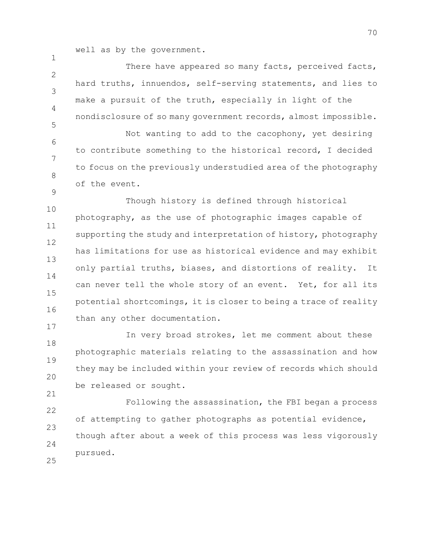well as by the government.

1

9

17

 $\mathfrak{D}$ 3 4 5 There have appeared so many facts, perceived facts, hard truths, innuendos, self-serving statements, and lies to make a pursuit of the truth, especially in light of the nondisclosure of so many government records, almost impossible.

6 7 8 Not wanting to add to the cacophony, yet desiring to contribute something to the historical record, I decided to focus on the previously understudied area of the photography of the event.

10 11 12 13 14 15 16 Though history is defined through historical photography, as the use of photographic images capable of supporting the study and interpretation of history, photography has limitations for use as historical evidence and may exhibit only partial truths, biases, and distortions of reality. It can never tell the whole story of an event. Yet, for all its potential shortcomings, it is closer to being a trace of reality than any other documentation.

18 19 20 21 In very broad strokes, let me comment about these photographic materials relating to the assassination and how they may be included within your review of records which should be released or sought.

22 23 24 25 Following the assassination, the FBI began a process of attempting to gather photographs as potential evidence, though after about a week of this process was less vigorously pursued.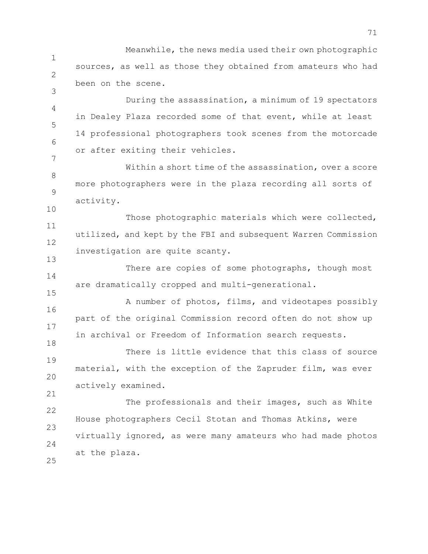1 2 Meanwhile, the news media used their own photographic sources, as well as those they obtained from amateurs who had been on the scene.

3

10

13

21

4 5 6 7 During the assassination, a minimum of 19 spectators in Dealey Plaza recorded some of that event, while at least 14 professional photographers took scenes from the motorcade or after exiting their vehicles.

8 9 Within a short time of the assassination, over a score more photographers were in the plaza recording all sorts of activity.

11 12 Those photographic materials which were collected, utilized, and kept by the FBI and subsequent Warren Commission investigation are quite scanty.

14 15 There are copies of some photographs, though most are dramatically cropped and multi-generational.

16 17 18 A number of photos, films, and videotapes possibly part of the original Commission record often do not show up in archival or Freedom of Information search requests.

19 20 There is little evidence that this class of source material, with the exception of the Zapruder film, was ever actively examined.

22 23 24 25 The professionals and their images, such as White House photographers Cecil Stotan and Thomas Atkins, were virtually ignored, as were many amateurs who had made photos at the plaza.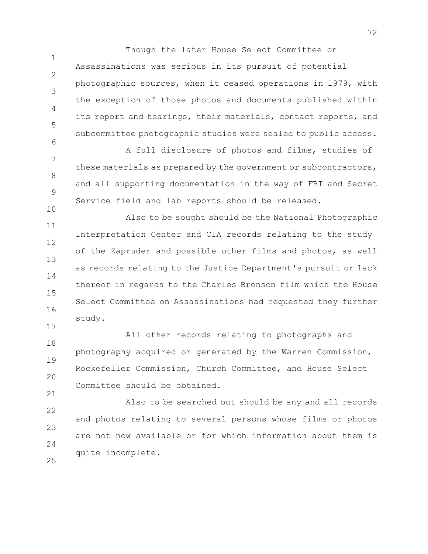Though the later House Select Committee on

 $\mathcal{P}$ 3 4 5 6 Assassinations was serious in its pursuit of potential photographic sources, when it ceased operations in 1979, with the exception of those photos and documents published within its report and hearings, their materials, contact reports, and subcommittee photographic studies were sealed to public access.

1

10

17

7 8 9 A full disclosure of photos and films, studies of these materials as prepared by the government or subcontractors, and all supporting documentation in the way of FBI and Secret Service field and lab reports should be released.

11 12 13 14 15 16 Also to be sought should be the National Photographic Interpretation Center and CIA records relating to the study of the Zapruder and possible other films and photos, as well as records relating to the Justice Department's pursuit or lack thereof in regards to the Charles Bronson film which the House Select Committee on Assassinations had requested they further study.

18 19 20 21 All other records relating to photographs and photography acquired or generated by the Warren Commission, Rockefeller Commission, Church Committee, and House Select Committee should be obtained.

22 23 24 25 Also to be searched out should be any and all records and photos relating to several persons whose films or photos are not now available or for which information about them is quite incomplete.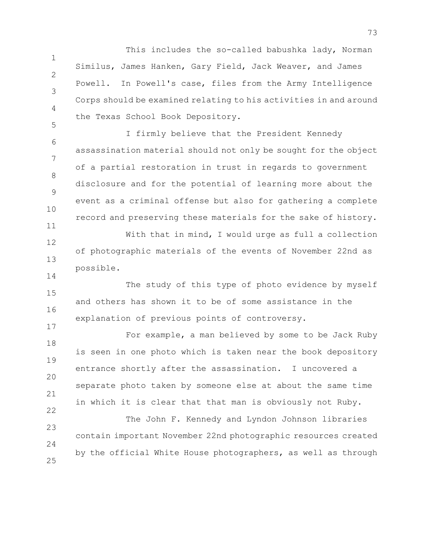1 2 3 4 5 This includes the so-called babushka lady, Norman Similus, James Hanken, Gary Field, Jack Weaver, and James Powell. In Powell's case, files from the Army Intelligence Corps should be examined relating to his activities in and around the Texas School Book Depository.

6 7 8 9 10 11 I firmly believe that the President Kennedy assassination material should not only be sought for the object of a partial restoration in trust in regards to government disclosure and for the potential of learning more about the event as a criminal offense but also for gathering a complete record and preserving these materials for the sake of history.

12 13 With that in mind, I would urge as full a collection of photographic materials of the events of November 22nd as possible.

15 16 The study of this type of photo evidence by myself and others has shown it to be of some assistance in the explanation of previous points of controversy.

14

17

18 19 20 21 22 For example, a man believed by some to be Jack Ruby is seen in one photo which is taken near the book depository entrance shortly after the assassination. I uncovered a separate photo taken by someone else at about the same time in which it is clear that that man is obviously not Ruby.

23  $24$ 25 The John F. Kennedy and Lyndon Johnson libraries contain important November 22nd photographic resources created by the official White House photographers, as well as through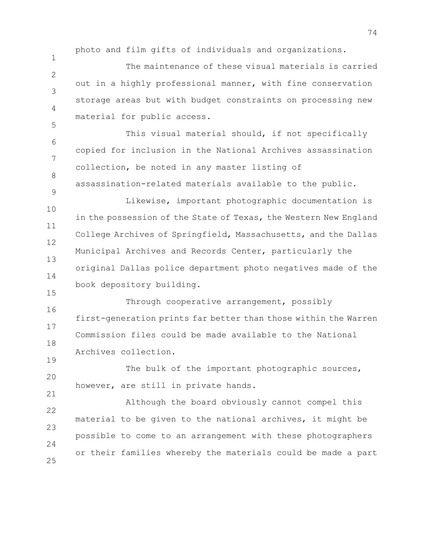photo and film gifts of individuals and organizations.

9

19

1  $\mathcal{P}$ 3 4 5 The maintenance of these visual materials is carried out in a highly professional manner, with fine conservation storage areas but with budget constraints on processing new material for public access.

6 7 8 This visual material should, if not specifically copied for inclusion in the National Archives assassination collection, be noted in any master listing of assassination-related materials available to the public.

10 11 12 13 14 15 Likewise, important photographic documentation is in the possession of the State of Texas, the Western New England College Archives of Springfield, Massachusetts, and the Dallas Municipal Archives and Records Center, particularly the original Dallas police department photo negatives made of the book depository building.

16 17 18 Through cooperative arrangement, possibly first-generation prints far better than those within the Warren Commission files could be made available to the National Archives collection.

20 21 The bulk of the important photographic sources, however, are still in private hands.

22 23  $24$ 25 Although the board obviously cannot compel this material to be given to the national archives, it might be possible to come to an arrangement with these photographers or their families whereby the materials could be made a part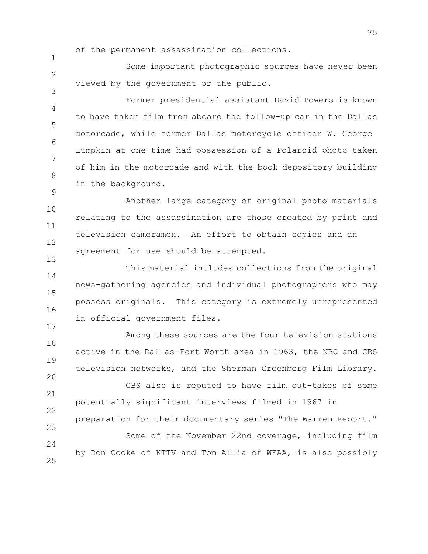of the permanent assassination collections.

1

3

9

13

17

 $\mathfrak{D}$ Some important photographic sources have never been viewed by the government or the public.

4 5 6 7 8 Former presidential assistant David Powers is known to have taken film from aboard the follow-up car in the Dallas motorcade, while former Dallas motorcycle officer W. George Lumpkin at one time had possession of a Polaroid photo taken of him in the motorcade and with the book depository building in the background.

10 11 12 Another large category of original photo materials relating to the assassination are those created by print and television cameramen. An effort to obtain copies and an agreement for use should be attempted.

14 15 16 This material includes collections from the original news-gathering agencies and individual photographers who may possess originals. This category is extremely unrepresented in official government files.

18 19 20 21 22 23 24 25 Among these sources are the four television stations active in the Dallas-Fort Worth area in 1963, the NBC and CBS television networks, and the Sherman Greenberg Film Library. CBS also is reputed to have film out-takes of some potentially significant interviews filmed in 1967 in preparation for their documentary series "The Warren Report." Some of the November 22nd coverage, including film by Don Cooke of KTTV and Tom Allia of WFAA, is also possibly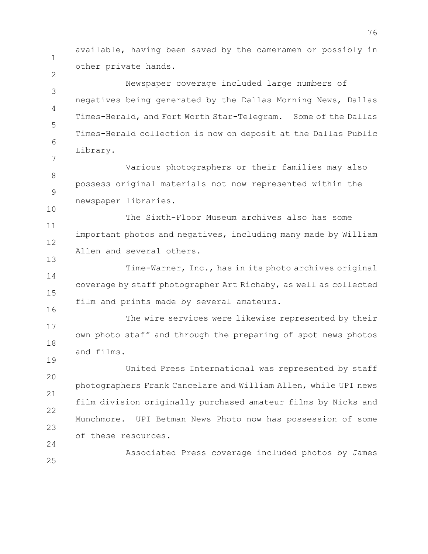1 2 3 4 5 6 7 8 9 10 11 12 13 14 15 16 17 18 19 20 21 22 23 24 25 available, having been saved by the cameramen or possibly in other private hands. Newspaper coverage included large numbers of negatives being generated by the Dallas Morning News, Dallas Times-Herald, and Fort Worth Star-Telegram. Some of the Dallas Times-Herald collection is now on deposit at the Dallas Public Library. Various photographers or their families may also possess original materials not now represented within the newspaper libraries. The Sixth-Floor Museum archives also has some important photos and negatives, including many made by William Allen and several others. Time-Warner, Inc., has in its photo archives original coverage by staff photographer Art Richaby, as well as collected film and prints made by several amateurs. The wire services were likewise represented by their own photo staff and through the preparing of spot news photos and films. United Press International was represented by staff photographers Frank Cancelare and William Allen, while UPI news film division originally purchased amateur films by Nicks and Munchmore. UPI Betman News Photo now has possession of some of these resources. Associated Press coverage included photos by James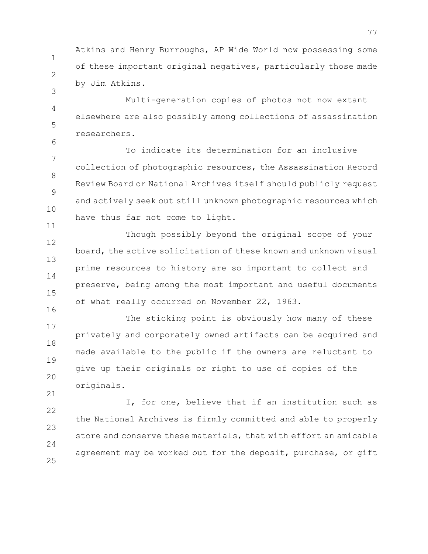Atkins and Henry Burroughs, AP Wide World now possessing some of these important original negatives, particularly those made by Jim Atkins.

1

2

3

6

16

21

4 5 Multi-generation copies of photos not now extant elsewhere are also possibly among collections of assassination researchers.

7 8 9 10 11 To indicate its determination for an inclusive collection of photographic resources, the Assassination Record Review Board or National Archives itself should publicly request and actively seek out still unknown photographic resources which have thus far not come to light.

12 13 14 15 Though possibly beyond the original scope of your board, the active solicitation of these known and unknown visual prime resources to history are so important to collect and preserve, being among the most important and useful documents of what really occurred on November 22, 1963.

17 18 19 20 The sticking point is obviously how many of these privately and corporately owned artifacts can be acquired and made available to the public if the owners are reluctant to give up their originals or right to use of copies of the originals.

22 23  $24$ 25 I, for one, believe that if an institution such as the National Archives is firmly committed and able to properly store and conserve these materials, that with effort an amicable agreement may be worked out for the deposit, purchase, or gift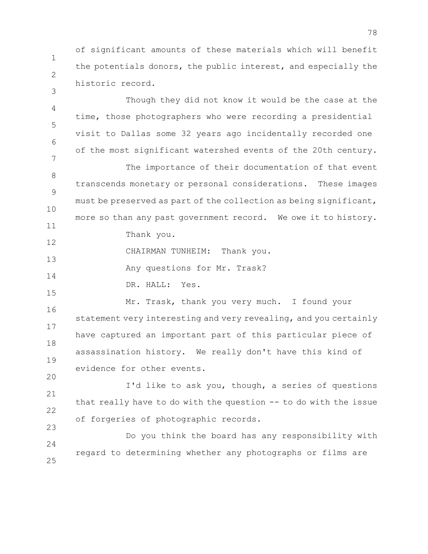1 2 of significant amounts of these materials which will benefit the potentials donors, the public interest, and especially the historic record.

3

20

4 5 6 7 8 9 10 11 12 13 14 15 16 17 18 19 Though they did not know it would be the case at the time, those photographers who were recording a presidential visit to Dallas some 32 years ago incidentally recorded one of the most significant watershed events of the 20th century. The importance of their documentation of that event transcends monetary or personal considerations. These images must be preserved as part of the collection as being significant, more so than any past government record. We owe it to history. Thank you. CHAIRMAN TUNHEIM: Thank you. Any questions for Mr. Trask? DR. HALL: Yes. Mr. Trask, thank you very much. I found your statement very interesting and very revealing, and you certainly have captured an important part of this particular piece of assassination history. We really don't have this kind of evidence for other events.

21 22 23 I'd like to ask you, though, a series of questions that really have to do with the question -- to do with the issue of forgeries of photographic records.

 $24$ 25 Do you think the board has any responsibility with regard to determining whether any photographs or films are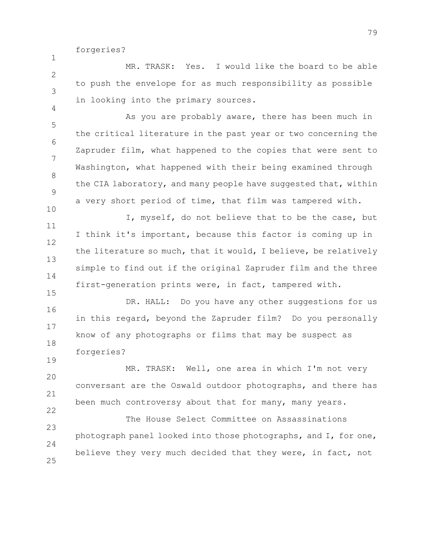forgeries?

1

19

 $\mathfrak{D}$ 3 4 MR. TRASK: Yes. I would like the board to be able to push the envelope for as much responsibility as possible in looking into the primary sources.

5 6 7 8 9 10 As you are probably aware, there has been much in the critical literature in the past year or two concerning the Zapruder film, what happened to the copies that were sent to Washington, what happened with their being examined through the CIA laboratory, and many people have suggested that, within a very short period of time, that film was tampered with.

11 12 13 14 15 I, myself, do not believe that to be the case, but I think it's important, because this factor is coming up in the literature so much, that it would, I believe, be relatively simple to find out if the original Zapruder film and the three first-generation prints were, in fact, tampered with.

16 17 18 DR. HALL: Do you have any other suggestions for us in this regard, beyond the Zapruder film? Do you personally know of any photographs or films that may be suspect as forgeries?

20 21 22 MR. TRASK: Well, one area in which I'm not very conversant are the Oswald outdoor photographs, and there has been much controversy about that for many, many years.

23  $24$ 25 The House Select Committee on Assassinations photograph panel looked into those photographs, and I, for one, believe they very much decided that they were, in fact, not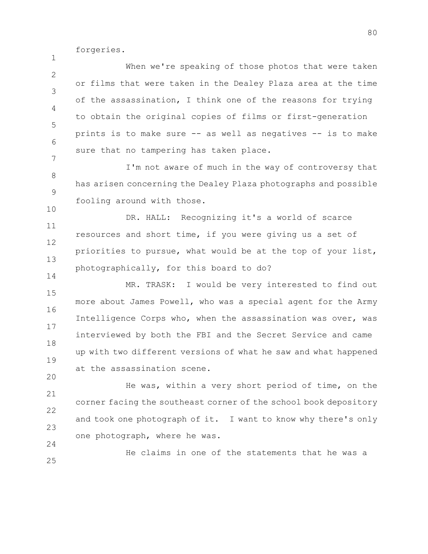forgeries.

1

14

20

 $24$ 

 $\mathfrak{D}$ 3 4 5 6 7 When we're speaking of those photos that were taken or films that were taken in the Dealey Plaza area at the time of the assassination, I think one of the reasons for trying to obtain the original copies of films or first-generation prints is to make sure -- as well as negatives -- is to make sure that no tampering has taken place.

8 9 10 I'm not aware of much in the way of controversy that has arisen concerning the Dealey Plaza photographs and possible fooling around with those.

11 12 13 DR. HALL: Recognizing it's a world of scarce resources and short time, if you were giving us a set of priorities to pursue, what would be at the top of your list, photographically, for this board to do?

15 16 17 18 19 MR. TRASK: I would be very interested to find out more about James Powell, who was a special agent for the Army Intelligence Corps who, when the assassination was over, was interviewed by both the FBI and the Secret Service and came up with two different versions of what he saw and what happened at the assassination scene.

21 22 23 He was, within a very short period of time, on the corner facing the southeast corner of the school book depository and took one photograph of it. I want to know why there's only one photograph, where he was.

25 He claims in one of the statements that he was a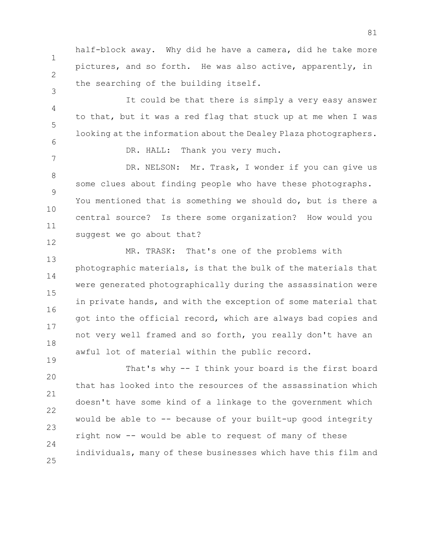half-block away. Why did he have a camera, did he take more pictures, and so forth. He was also active, apparently, in the searching of the building itself.

1

2

3

7

19

4 5 6 It could be that there is simply a very easy answer to that, but it was a red flag that stuck up at me when I was looking at the information about the Dealey Plaza photographers.

DR. HALL: Thank you very much.

8 9 10 11 12 DR. NELSON: Mr. Trask, I wonder if you can give us some clues about finding people who have these photographs. You mentioned that is something we should do, but is there a central source? Is there some organization? How would you suggest we go about that?

13 14 15 16 17 18 MR. TRASK: That's one of the problems with photographic materials, is that the bulk of the materials that were generated photographically during the assassination were in private hands, and with the exception of some material that got into the official record, which are always bad copies and not very well framed and so forth, you really don't have an awful lot of material within the public record.

20 21 22 23  $24$ 25 That's why -- I think your board is the first board that has looked into the resources of the assassination which doesn't have some kind of a linkage to the government which would be able to -- because of your built-up good integrity right now -- would be able to request of many of these individuals, many of these businesses which have this film and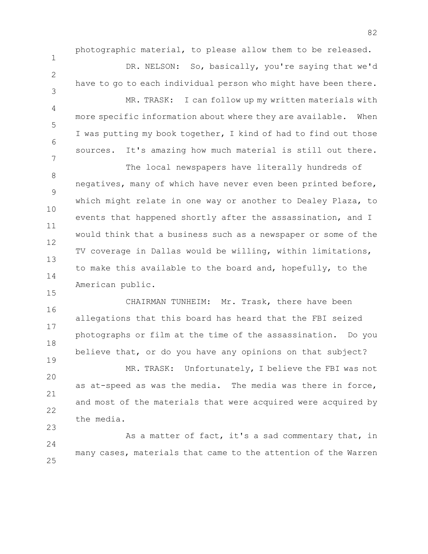photographic material, to please allow them to be released.

1

2

3

4

5

6

7

15

19

DR. NELSON: So, basically, you're saying that we'd have to go to each individual person who might have been there. MR. TRASK: I can follow up my written materials with more specific information about where they are available. When I was putting my book together, I kind of had to find out those sources. It's amazing how much material is still out there.

8 9 10 11 12 13 14 The local newspapers have literally hundreds of negatives, many of which have never even been printed before, which might relate in one way or another to Dealey Plaza, to events that happened shortly after the assassination, and I would think that a business such as a newspaper or some of the TV coverage in Dallas would be willing, within limitations, to make this available to the board and, hopefully, to the American public.

16 17 18 CHAIRMAN TUNHEIM: Mr. Trask, there have been allegations that this board has heard that the FBI seized photographs or film at the time of the assassination. Do you believe that, or do you have any opinions on that subject?

20 21 22 23 MR. TRASK: Unfortunately, I believe the FBI was not as at-speed as was the media. The media was there in force, and most of the materials that were acquired were acquired by the media.

 $24$ 25 As a matter of fact, it's a sad commentary that, in many cases, materials that came to the attention of the Warren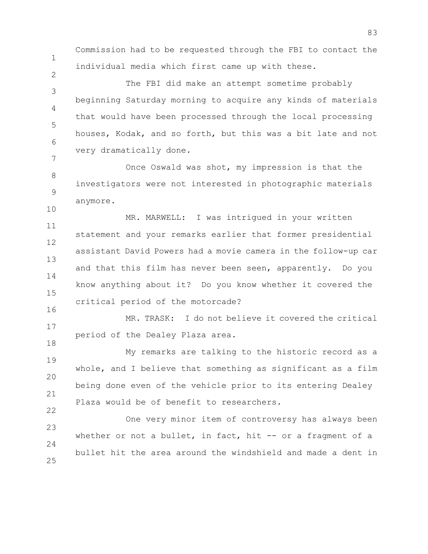Commission had to be requested through the FBI to contact the individual media which first came up with these.

1

2

22

3 4 5 6 7 The FBI did make an attempt sometime probably beginning Saturday morning to acquire any kinds of materials that would have been processed through the local processing houses, Kodak, and so forth, but this was a bit late and not very dramatically done.

8 9 10 Once Oswald was shot, my impression is that the investigators were not interested in photographic materials anymore.

11 12 13 14 15 16 MR. MARWELL: I was intrigued in your written statement and your remarks earlier that former presidential assistant David Powers had a movie camera in the follow-up car and that this film has never been seen, apparently. Do you know anything about it? Do you know whether it covered the critical period of the motorcade?

17 18 MR. TRASK: I do not believe it covered the critical period of the Dealey Plaza area.

19 20 21 My remarks are talking to the historic record as a whole, and I believe that something as significant as a film being done even of the vehicle prior to its entering Dealey Plaza would be of benefit to researchers.

23 24 25 One very minor item of controversy has always been whether or not a bullet, in fact, hit -- or a fragment of a bullet hit the area around the windshield and made a dent in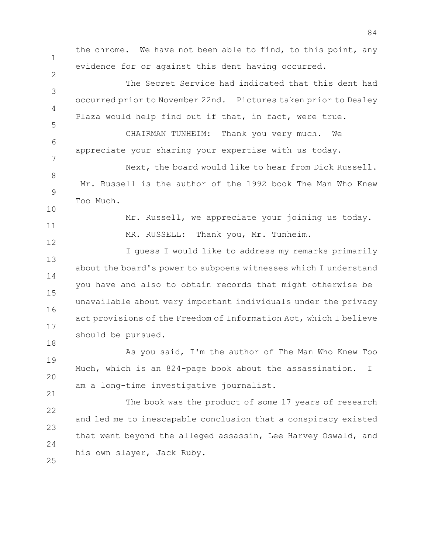1 2 3 4 5 6 7 8 9 10 11 12 13 14 15 16 17 18 19 20 21 22 23 24 25 the chrome. We have not been able to find, to this point, any evidence for or against this dent having occurred. The Secret Service had indicated that this dent had occurred prior to November 22nd. Pictures taken prior to Dealey Plaza would help find out if that, in fact, were true. CHAIRMAN TUNHEIM: Thank you very much. We appreciate your sharing your expertise with us today. Next, the board would like to hear from Dick Russell. Mr. Russell is the author of the 1992 book The Man Who Knew Too Much. Mr. Russell, we appreciate your joining us today. MR. RUSSELL: Thank you, Mr. Tunheim. I guess I would like to address my remarks primarily about the board's power to subpoena witnesses which I understand you have and also to obtain records that might otherwise be unavailable about very important individuals under the privacy act provisions of the Freedom of Information Act, which I believe should be pursued. As you said, I'm the author of The Man Who Knew Too Much, which is an 824-page book about the assassination. I am a long-time investigative journalist. The book was the product of some 17 years of research and led me to inescapable conclusion that a conspiracy existed that went beyond the alleged assassin, Lee Harvey Oswald, and his own slayer, Jack Ruby.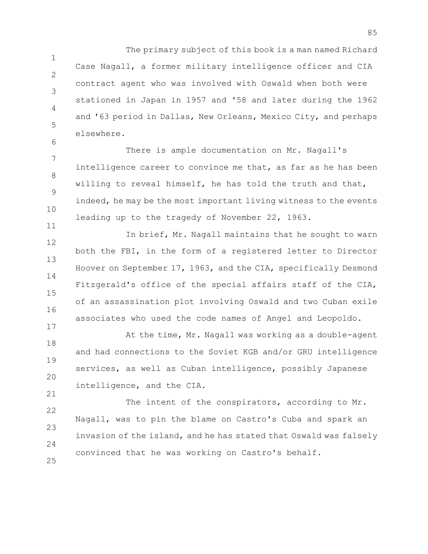1 2 3 4 5 The primary subject of this book is a man named Richard Case Nagall, a former military intelligence officer and CIA contract agent who was involved with Oswald when both were stationed in Japan in 1957 and '58 and later during the 1962 and '63 period in Dallas, New Orleans, Mexico City, and perhaps elsewhere.

7 8 9 10 There is ample documentation on Mr. Nagall's intelligence career to convince me that, as far as he has been willing to reveal himself, he has told the truth and that, indeed, he may be the most important living witness to the events leading up to the tragedy of November 22, 1963.

6

11

12 13 14 15 16 17 In brief, Mr. Nagall maintains that he sought to warn both the FBI, in the form of a registered letter to Director Hoover on September 17, 1963, and the CIA, specifically Desmond Fitzgerald's office of the special affairs staff of the CIA, of an assassination plot involving Oswald and two Cuban exile associates who used the code names of Angel and Leopoldo.

18 19 20 21 At the time, Mr. Nagall was working as a double-agent and had connections to the Soviet KGB and/or GRU intelligence services, as well as Cuban intelligence, possibly Japanese intelligence, and the CIA.

22 23  $24$ 25 The intent of the conspirators, according to Mr. Nagall, was to pin the blame on Castro's Cuba and spark an invasion of the island, and he has stated that Oswald was falsely convinced that he was working on Castro's behalf.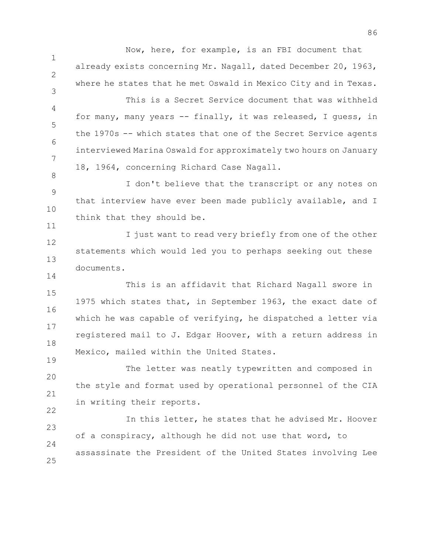Now, here, for example, is an FBI document that already exists concerning Mr. Nagall, dated December 20, 1963, where he states that he met Oswald in Mexico City and in Texas.

1

2

3

8

11

14

19

4 5 6 7 This is a Secret Service document that was withheld for many, many years -- finally, it was released, I guess, in the 1970s -- which states that one of the Secret Service agents interviewed Marina Oswald for approximately two hours on January 18, 1964, concerning Richard Case Nagall.

9 10 I don't believe that the transcript or any notes on that interview have ever been made publicly available, and I think that they should be.

12 13 I just want to read very briefly from one of the other statements which would led you to perhaps seeking out these documents.

15 16 17 18 This is an affidavit that Richard Nagall swore in 1975 which states that, in September 1963, the exact date of which he was capable of verifying, he dispatched a letter via registered mail to J. Edgar Hoover, with a return address in Mexico, mailed within the United States.

20 21 22 The letter was neatly typewritten and composed in the style and format used by operational personnel of the CIA in writing their reports.

23  $24$ 25 In this letter, he states that he advised Mr. Hoover of a conspiracy, although he did not use that word, to assassinate the President of the United States involving Lee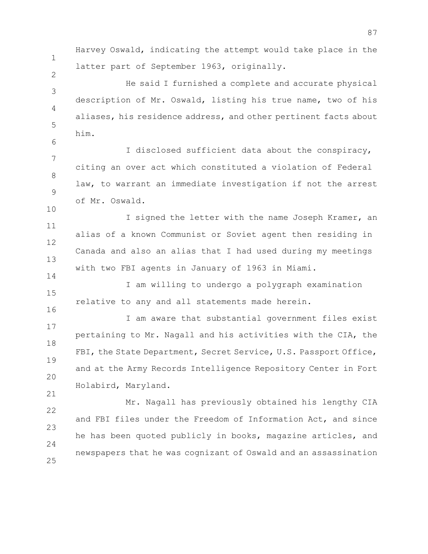1

2

6

14

16

21

Harvey Oswald, indicating the attempt would take place in the latter part of September 1963, originally.

3 4 5 He said I furnished a complete and accurate physical description of Mr. Oswald, listing his true name, two of his aliases, his residence address, and other pertinent facts about him.

7 8 9 10 I disclosed sufficient data about the conspiracy, citing an over act which constituted a violation of Federal law, to warrant an immediate investigation if not the arrest of Mr. Oswald.

11 12 13 I signed the letter with the name Joseph Kramer, an alias of a known Communist or Soviet agent then residing in Canada and also an alias that I had used during my meetings with two FBI agents in January of 1963 in Miami.

15 I am willing to undergo a polygraph examination relative to any and all statements made herein.

17 18 19 20 I am aware that substantial government files exist pertaining to Mr. Nagall and his activities with the CIA, the FBI, the State Department, Secret Service, U.S. Passport Office, and at the Army Records Intelligence Repository Center in Fort Holabird, Maryland.

22 23  $24$ 25 Mr. Nagall has previously obtained his lengthy CIA and FBI files under the Freedom of Information Act, and since he has been quoted publicly in books, magazine articles, and newspapers that he was cognizant of Oswald and an assassination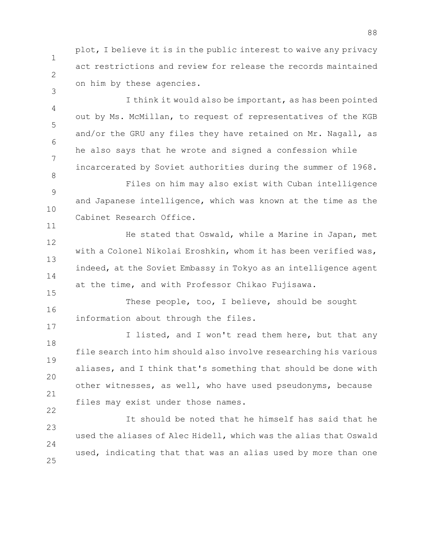1 plot, I believe it is in the public interest to waive any privacy act restrictions and review for release the records maintained on him by these agencies.

2

3

8

11

15

17

4 5 6 7 I think it would also be important, as has been pointed out by Ms. McMillan, to request of representatives of the KGB and/or the GRU any files they have retained on Mr. Nagall, as he also says that he wrote and signed a confession while incarcerated by Soviet authorities during the summer of 1968.

9 10 Files on him may also exist with Cuban intelligence and Japanese intelligence, which was known at the time as the Cabinet Research Office.

12 13 14 He stated that Oswald, while a Marine in Japan, met with a Colonel Nikolai Eroshkin, whom it has been verified was, indeed, at the Soviet Embassy in Tokyo as an intelligence agent at the time, and with Professor Chikao Fujisawa.

16 These people, too, I believe, should be sought information about through the files.

18 19 20 21 22 I listed, and I won't read them here, but that any file search into him should also involve researching his various aliases, and I think that's something that should be done with other witnesses, as well, who have used pseudonyms, because files may exist under those names.

23  $24$ 25 It should be noted that he himself has said that he used the aliases of Alec Hidell, which was the alias that Oswald used, indicating that that was an alias used by more than one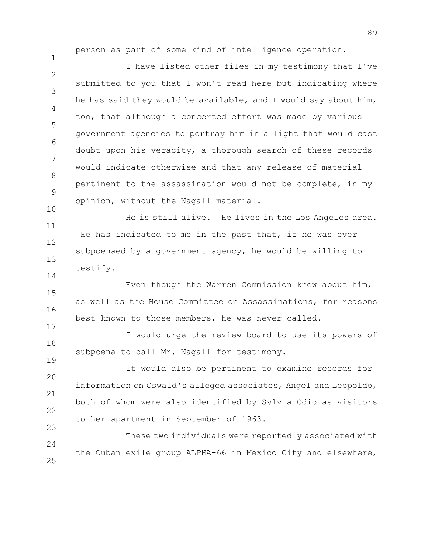person as part of some kind of intelligence operation.

1

14

17

19

 $\mathfrak{D}$ 3 4 5 6 7 8 9 10 I have listed other files in my testimony that I've submitted to you that I won't read here but indicating where he has said they would be available, and I would say about him, too, that although a concerted effort was made by various government agencies to portray him in a light that would cast doubt upon his veracity, a thorough search of these records would indicate otherwise and that any release of material pertinent to the assassination would not be complete, in my opinion, without the Nagall material.

11 12 13 He is still alive. He lives in the Los Angeles area. He has indicated to me in the past that, if he was ever subpoenaed by a government agency, he would be willing to testify.

15 16 Even though the Warren Commission knew about him, as well as the House Committee on Assassinations, for reasons best known to those members, he was never called.

18 I would urge the review board to use its powers of subpoena to call Mr. Nagall for testimony.

20 21 22 23 It would also be pertinent to examine records for information on Oswald's alleged associates, Angel and Leopoldo, both of whom were also identified by Sylvia Odio as visitors to her apartment in September of 1963.

24 25 These two individuals were reportedly associated with the Cuban exile group ALPHA-66 in Mexico City and elsewhere,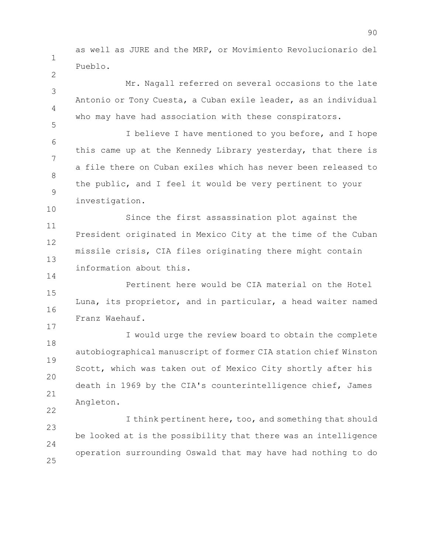1 as well as JURE and the MRP, or Movimiento Revolucionario del Pueblo.

2

5

10

14

3 4 Mr. Nagall referred on several occasions to the late Antonio or Tony Cuesta, a Cuban exile leader, as an individual who may have had association with these conspirators.

6 7 8 9 I believe I have mentioned to you before, and I hope this came up at the Kennedy Library yesterday, that there is a file there on Cuban exiles which has never been released to the public, and I feel it would be very pertinent to your investigation.

11 12 13 Since the first assassination plot against the President originated in Mexico City at the time of the Cuban missile crisis, CIA files originating there might contain information about this.

15 16 17 Pertinent here would be CIA material on the Hotel Luna, its proprietor, and in particular, a head waiter named Franz Waehauf.

18 19 20 21 22 I would urge the review board to obtain the complete autobiographical manuscript of former CIA station chief Winston Scott, which was taken out of Mexico City shortly after his death in 1969 by the CIA's counterintelligence chief, James Angleton.

23  $24$ 25 I think pertinent here, too, and something that should be looked at is the possibility that there was an intelligence operation surrounding Oswald that may have had nothing to do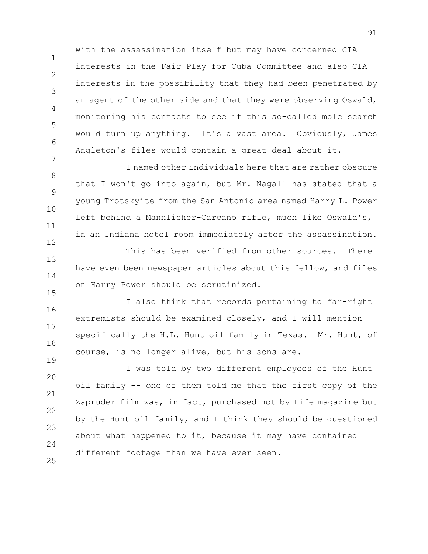1 2 5 7 with the assassination itself but may have concerned CIA interests in the Fair Play for Cuba Committee and also CIA interests in the possibility that they had been penetrated by an agent of the other side and that they were observing Oswald, monitoring his contacts to see if this so-called mole search would turn up anything. It's a vast area. Obviously, James Angleton's files would contain a great deal about it.

3

4

6

15

19

8 9 10 11 12 I named other individuals here that are rather obscure that I won't go into again, but Mr. Nagall has stated that a young Trotskyite from the San Antonio area named Harry L. Power left behind a Mannlicher-Carcano rifle, much like Oswald's, in an Indiana hotel room immediately after the assassination.

13 14 This has been verified from other sources. There have even been newspaper articles about this fellow, and files on Harry Power should be scrutinized.

16 17 18 I also think that records pertaining to far-right extremists should be examined closely, and I will mention specifically the H.L. Hunt oil family in Texas. Mr. Hunt, of course, is no longer alive, but his sons are.

20 21 22 23  $24$ 25 I was told by two different employees of the Hunt oil family -- one of them told me that the first copy of the Zapruder film was, in fact, purchased not by Life magazine but by the Hunt oil family, and I think they should be questioned about what happened to it, because it may have contained different footage than we have ever seen.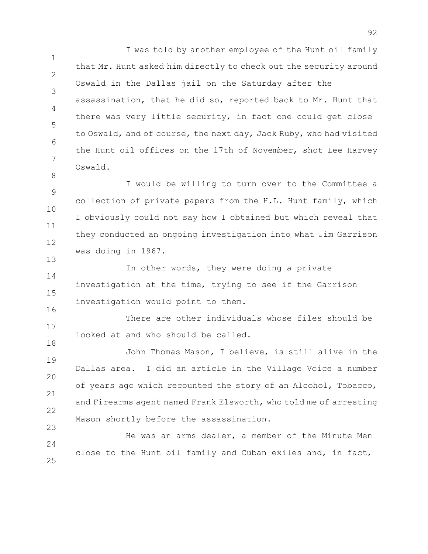1 2 3 4 5 6 7 I was told by another employee of the Hunt oil family that Mr. Hunt asked him directly to check out the security around Oswald in the Dallas jail on the Saturday after the assassination, that he did so, reported back to Mr. Hunt that there was very little security, in fact one could get close to Oswald, and of course, the next day, Jack Ruby, who had visited the Hunt oil offices on the 17th of November, shot Lee Harvey Oswald.

9 10 11 12 I would be willing to turn over to the Committee a collection of private papers from the H.L. Hunt family, which I obviously could not say how I obtained but which reveal that they conducted an ongoing investigation into what Jim Garrison was doing in 1967.

8

13

18

14 15 16 In other words, they were doing a private investigation at the time, trying to see if the Garrison investigation would point to them.

17 There are other individuals whose files should be looked at and who should be called.

19 20 21 22 23 John Thomas Mason, I believe, is still alive in the Dallas area. I did an article in the Village Voice a number of years ago which recounted the story of an Alcohol, Tobacco, and Firearms agent named Frank Elsworth, who told me of arresting Mason shortly before the assassination.

 $24$ 25 He was an arms dealer, a member of the Minute Men close to the Hunt oil family and Cuban exiles and, in fact,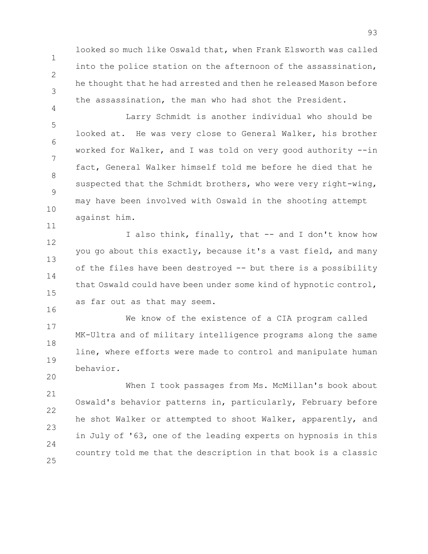looked so much like Oswald that, when Frank Elsworth was called into the police station on the afternoon of the assassination, he thought that he had arrested and then he released Mason before the assassination, the man who had shot the President.

1

2

3

4

11

20

5 6 7 8 9 10 Larry Schmidt is another individual who should be looked at. He was very close to General Walker, his brother worked for Walker, and I was told on very good authority --in fact, General Walker himself told me before he died that he suspected that the Schmidt brothers, who were very right-wing, may have been involved with Oswald in the shooting attempt against him.

12 13 14 15 16 I also think, finally, that -- and I don't know how you go about this exactly, because it's a vast field, and many of the files have been destroyed -- but there is a possibility that Oswald could have been under some kind of hypnotic control, as far out as that may seem.

17 18 19 We know of the existence of a CIA program called MK-Ultra and of military intelligence programs along the same line, where efforts were made to control and manipulate human behavior.

21 22 23  $24$ 25 When I took passages from Ms. McMillan's book about Oswald's behavior patterns in, particularly, February before he shot Walker or attempted to shoot Walker, apparently, and in July of '63, one of the leading experts on hypnosis in this country told me that the description in that book is a classic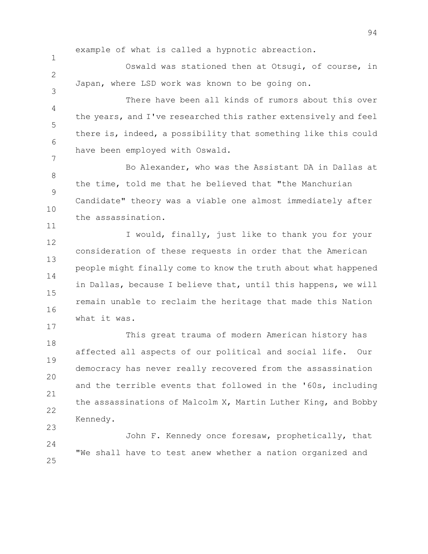example of what is called a hypnotic abreaction.

1

 $\mathcal{P}$ 

3

11

17

Oswald was stationed then at Otsugi, of course, in Japan, where LSD work was known to be going on.

4 5 6 7 There have been all kinds of rumors about this over the years, and I've researched this rather extensively and feel there is, indeed, a possibility that something like this could have been employed with Oswald.

8 9 10 Bo Alexander, who was the Assistant DA in Dallas at the time, told me that he believed that "the Manchurian Candidate" theory was a viable one almost immediately after the assassination.

12 13 14 15 16 I would, finally, just like to thank you for your consideration of these requests in order that the American people might finally come to know the truth about what happened in Dallas, because I believe that, until this happens, we will remain unable to reclaim the heritage that made this Nation what it was.

18 19 20 21 22 23 This great trauma of modern American history has affected all aspects of our political and social life. Our democracy has never really recovered from the assassination and the terrible events that followed in the '60s, including the assassinations of Malcolm X, Martin Luther King, and Bobby Kennedy.

 $24$ 25 John F. Kennedy once foresaw, prophetically, that "We shall have to test anew whether a nation organized and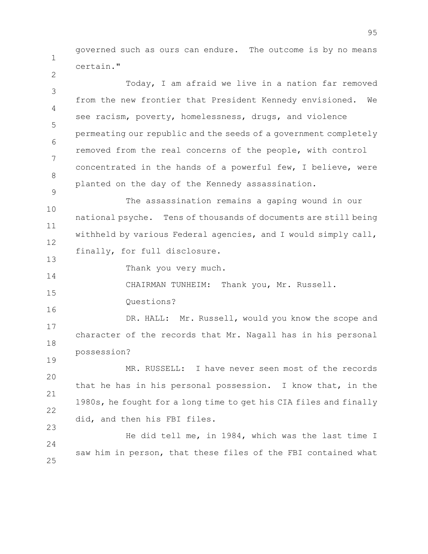1 governed such as ours can endure. The outcome is by no means certain."

3 4 5 6 7 8 Today, I am afraid we live in a nation far removed from the new frontier that President Kennedy envisioned. We see racism, poverty, homelessness, drugs, and violence permeating our republic and the seeds of a government completely removed from the real concerns of the people, with control concentrated in the hands of a powerful few, I believe, were planted on the day of the Kennedy assassination.

10 11 12 The assassination remains a gaping wound in our national psyche. Tens of thousands of documents are still being withheld by various Federal agencies, and I would simply call, finally, for full disclosure.

Thank you very much.

CHAIRMAN TUNHEIM: Thank you, Mr. Russell.

Questions?

2

9

13

14

15

16

19

17 18 DR. HALL: Mr. Russell, would you know the scope and character of the records that Mr. Nagall has in his personal possession?

20 21 22 23 MR. RUSSELL: I have never seen most of the records that he has in his personal possession. I know that, in the 1980s, he fought for a long time to get his CIA files and finally did, and then his FBI files.

 $24$ 25 He did tell me, in 1984, which was the last time I saw him in person, that these files of the FBI contained what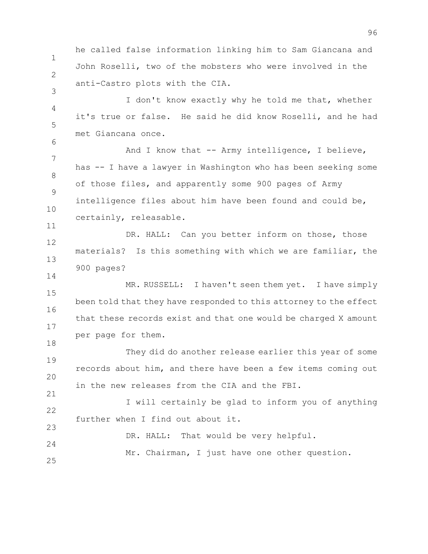he called false information linking him to Sam Giancana and John Roselli, two of the mobsters who were involved in the anti-Castro plots with the CIA.

1

2

3

6

11

14

21

4 5 I don't know exactly why he told me that, whether it's true or false. He said he did know Roselli, and he had met Giancana once.

7 8 9 10 And I know that -- Army intelligence, I believe, has -- I have a lawyer in Washington who has been seeking some of those files, and apparently some 900 pages of Army intelligence files about him have been found and could be, certainly, releasable.

12 13 DR. HALL: Can you better inform on those, those materials? Is this something with which we are familiar, the 900 pages?

15 16 17 18 MR. RUSSELL: I haven't seen them yet. I have simply been told that they have responded to this attorney to the effect that these records exist and that one would be charged X amount per page for them.

19 20 They did do another release earlier this year of some records about him, and there have been a few items coming out in the new releases from the CIA and the FBI.

22 23 I will certainly be glad to inform you of anything further when I find out about it.

 $24$ 25 DR. HALL: That would be very helpful. Mr. Chairman, I just have one other question.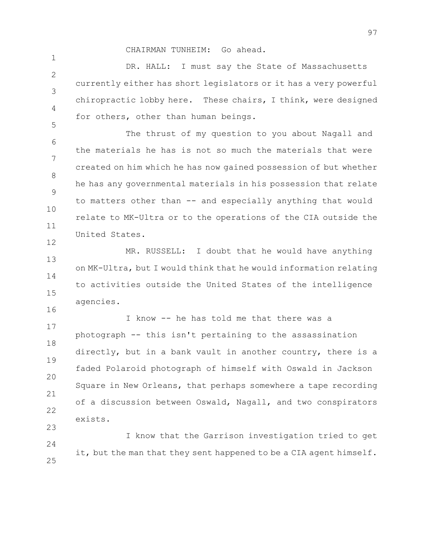CHAIRMAN TUNHEIM: Go ahead.

1

5

16

 $\mathcal{P}$ 3 4 DR. HALL: I must say the State of Massachusetts currently either has short legislators or it has a very powerful chiropractic lobby here. These chairs, I think, were designed for others, other than human beings.

6 7 8 9 10 11 12 The thrust of my question to you about Nagall and the materials he has is not so much the materials that were created on him which he has now gained possession of but whether he has any governmental materials in his possession that relate to matters other than -- and especially anything that would relate to MK-Ultra or to the operations of the CIA outside the United States.

13 14 15 MR. RUSSELL: I doubt that he would have anything on MK-Ultra, but I would think that he would information relating to activities outside the United States of the intelligence agencies.

17 18 19 20 21 22 23 I know -- he has told me that there was a photograph -- this isn't pertaining to the assassination directly, but in a bank vault in another country, there is a faded Polaroid photograph of himself with Oswald in Jackson Square in New Orleans, that perhaps somewhere a tape recording of a discussion between Oswald, Nagall, and two conspirators exists.

 $24$ 25 I know that the Garrison investigation tried to get it, but the man that they sent happened to be a CIA agent himself.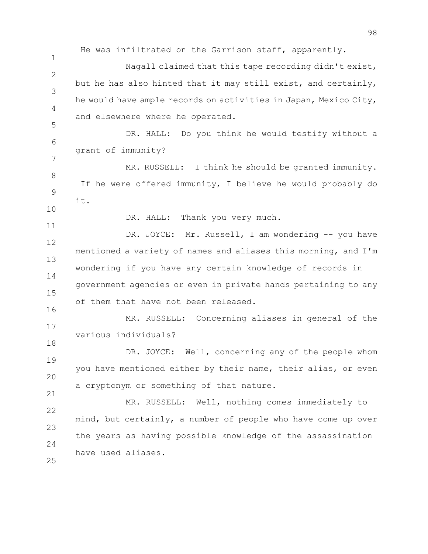1  $\mathcal{P}$ 3 4 5 6 7 8 9 10 11 12 13 14 15 16 17 18 19 20 21 22 23 24 25 He was infiltrated on the Garrison staff, apparently. Nagall claimed that this tape recording didn't exist, but he has also hinted that it may still exist, and certainly, he would have ample records on activities in Japan, Mexico City, and elsewhere where he operated. DR. HALL: Do you think he would testify without a grant of immunity? MR. RUSSELL: I think he should be granted immunity. If he were offered immunity, I believe he would probably do it. DR. HALL: Thank you very much. DR. JOYCE: Mr. Russell, I am wondering -- you have mentioned a variety of names and aliases this morning, and I'm wondering if you have any certain knowledge of records in government agencies or even in private hands pertaining to any of them that have not been released. MR. RUSSELL: Concerning aliases in general of the various individuals? DR. JOYCE: Well, concerning any of the people whom you have mentioned either by their name, their alias, or even a cryptonym or something of that nature. MR. RUSSELL: Well, nothing comes immediately to mind, but certainly, a number of people who have come up over the years as having possible knowledge of the assassination have used aliases.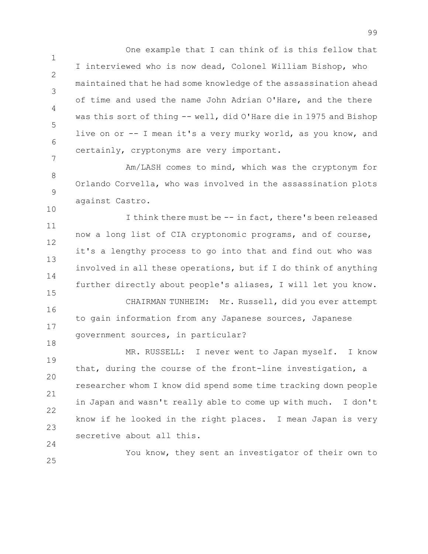1 2 3 4 5 6 7 One example that I can think of is this fellow that I interviewed who is now dead, Colonel William Bishop, who maintained that he had some knowledge of the assassination ahead of time and used the name John Adrian O'Hare, and the there was this sort of thing -- well, did O'Hare die in 1975 and Bishop live on or -- I mean it's a very murky world, as you know, and certainly, cryptonyms are very important.

8 9 Am/LASH comes to mind, which was the cryptonym for Orlando Corvella, who was involved in the assassination plots against Castro.

10

11 12 13 14 15 16 I think there must be -- in fact, there's been released now a long list of CIA cryptonomic programs, and of course, it's a lengthy process to go into that and find out who was involved in all these operations, but if I do think of anything further directly about people's aliases, I will let you know. CHAIRMAN TUNHEIM: Mr. Russell, did you ever attempt to gain information from any Japanese sources, Japanese

17 18 government sources, in particular?

19 20 21 22 23 24 MR. RUSSELL: I never went to Japan myself. I know that, during the course of the front-line investigation, a researcher whom I know did spend some time tracking down people in Japan and wasn't really able to come up with much. I don't know if he looked in the right places. I mean Japan is very secretive about all this.

25 You know, they sent an investigator of their own to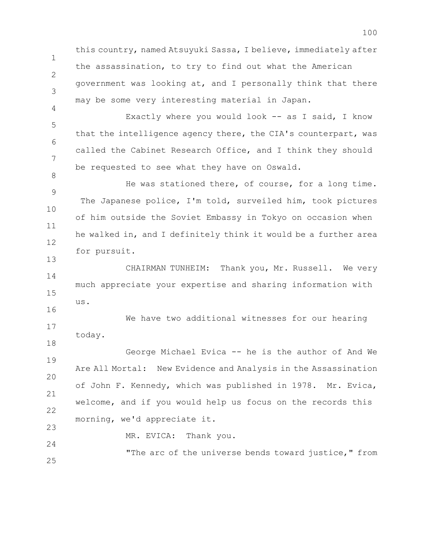this country, named Atsuyuki Sassa, I believe, immediately after the assassination, to try to find out what the American government was looking at, and I personally think that there may be some very interesting material in Japan.

1

2

3

4

8

13

16

18

24

5 6 7 Exactly where you would look -- as I said, I know that the intelligence agency there, the CIA's counterpart, was called the Cabinet Research Office, and I think they should be requested to see what they have on Oswald.

9 10 11 12 He was stationed there, of course, for a long time. The Japanese police, I'm told, surveiled him, took pictures of him outside the Soviet Embassy in Tokyo on occasion when he walked in, and I definitely think it would be a further area for pursuit.

14 15 CHAIRMAN TUNHEIM: Thank you, Mr. Russell. We very much appreciate your expertise and sharing information with us.

17 We have two additional witnesses for our hearing today.

19 20 21 22 23 George Michael Evica -- he is the author of And We Are All Mortal: New Evidence and Analysis in the Assassination of John F. Kennedy, which was published in 1978. Mr. Evica, welcome, and if you would help us focus on the records this morning, we'd appreciate it.

MR. EVICA: Thank you.

25 "The arc of the universe bends toward justice," from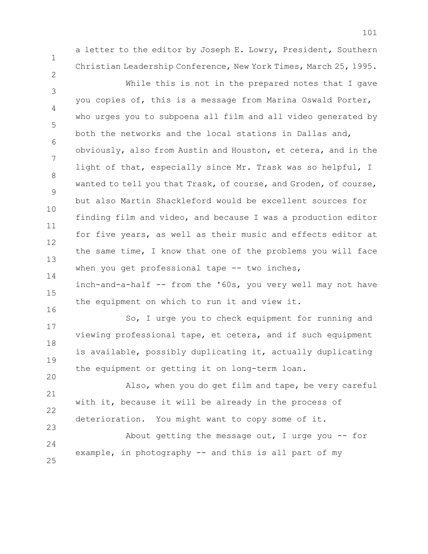a letter to the editor by Joseph E. Lowry, President, Southern Christian Leadership Conference, New York Times, March 25, 1995.

1

2

23

3 4 5 6 7 8 9 10 11 12 13 14 While this is not in the prepared notes that I gave you copies of, this is a message from Marina Oswald Porter, who urges you to subpoena all film and all video generated by both the networks and the local stations in Dallas and, obviously, also from Austin and Houston, et cetera, and in the light of that, especially since Mr. Trask was so helpful, I wanted to tell you that Trask, of course, and Groden, of course, but also Martin Shackleford would be excellent sources for finding film and video, and because I was a production editor for five years, as well as their music and effects editor at the same time, I know that one of the problems you will face when you get professional tape -- two inches,

15 16 inch-and-a-half -- from the '60s, you very well may not have the equipment on which to run it and view it.

17 18 19 20 So, I urge you to check equipment for running and viewing professional tape, et cetera, and if such equipment is available, possibly duplicating it, actually duplicating the equipment or getting it on long-term loan.

21 22 Also, when you do get film and tape, be very careful with it, because it will be already in the process of deterioration. You might want to copy some of it.

 $24$ 25 About getting the message out, I urge you  $-$  for example, in photography -- and this is all part of my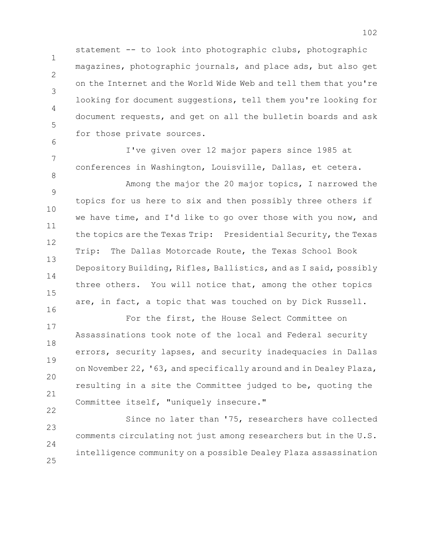statement -- to look into photographic clubs, photographic magazines, photographic journals, and place ads, but also get on the Internet and the World Wide Web and tell them that you're looking for document suggestions, tell them you're looking for document requests, and get on all the bulletin boards and ask for those private sources.

1

2

3

4

5

6

7

8

22

I've given over 12 major papers since 1985 at conferences in Washington, Louisville, Dallas, et cetera.

9 10 11 12 13 14 15 16 Among the major the 20 major topics, I narrowed the topics for us here to six and then possibly three others if we have time, and I'd like to go over those with you now, and the topics are the Texas Trip: Presidential Security, the Texas Trip: The Dallas Motorcade Route, the Texas School Book Depository Building, Rifles, Ballistics, and as I said, possibly three others. You will notice that, among the other topics are, in fact, a topic that was touched on by Dick Russell.

17 18 19 20 21 For the first, the House Select Committee on Assassinations took note of the local and Federal security errors, security lapses, and security inadequacies in Dallas on November 22, '63, and specifically around and in Dealey Plaza, resulting in a site the Committee judged to be, quoting the Committee itself, "uniquely insecure."

23 24 25 Since no later than '75, researchers have collected comments circulating not just among researchers but in the U.S. intelligence community on a possible Dealey Plaza assassination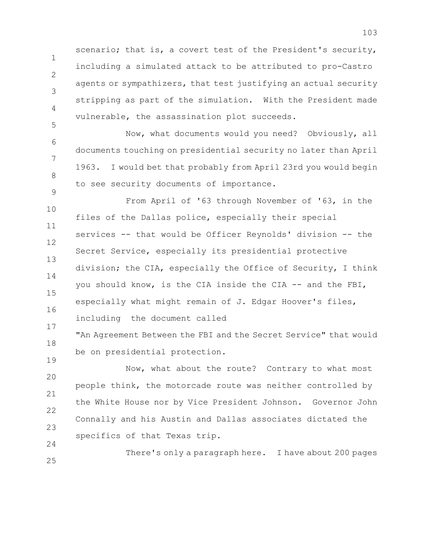1 2 3 4 scenario; that is, a covert test of the President's security, including a simulated attack to be attributed to pro-Castro agents or sympathizers, that test justifying an actual security stripping as part of the simulation. With the President made vulnerable, the assassination plot succeeds.

6 7 8 9 Now, what documents would you need? Obviously, all documents touching on presidential security no later than April 1963. I would bet that probably from April 23rd you would begin to see security documents of importance.

5

19

24

10 11 12 13 14 15 16 17 From April of '63 through November of '63, in the files of the Dallas police, especially their special services -- that would be Officer Reynolds' division -- the Secret Service, especially its presidential protective division; the CIA, especially the Office of Security, I think you should know, is the CIA inside the CIA -- and the FBI, especially what might remain of J. Edgar Hoover's files, including the document called

18 "An Agreement Between the FBI and the Secret Service" that would be on presidential protection.

20 21 22 23 Now, what about the route? Contrary to what most people think, the motorcade route was neither controlled by the White House nor by Vice President Johnson. Governor John Connally and his Austin and Dallas associates dictated the specifics of that Texas trip.

25 There's only a paragraph here. I have about 200 pages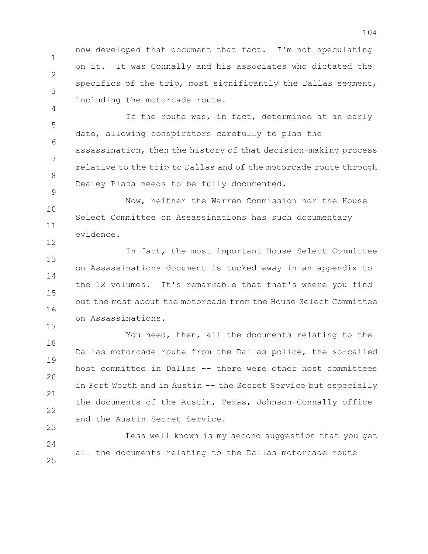1 2 3 now developed that document that fact. I'm not speculating on it. It was Connally and his associates who dictated the specifics of the trip, most significantly the Dallas segment, including the motorcade route.

5 6 7 8 If the route was, in fact, determined at an early date, allowing conspirators carefully to plan the assassination, then the history of that decision-making process relative to the trip to Dallas and of the motorcade route through Dealey Plaza needs to be fully documented.

4

9

17

10 11 12 Now, neither the Warren Commission nor the House Select Committee on Assassinations has such documentary evidence.

13 14 15 16 In fact, the most important House Select Committee on Assassinations document is tucked away in an appendix to the 12 volumes. It's remarkable that that's where you find out the most about the motorcade from the House Select Committee on Assassinations.

18 19 20 21 22 23 You need, then, all the documents relating to the Dallas motorcade route from the Dallas police, the so-called host committee in Dallas -- there were other host committees in Fort Worth and in Austin -- the Secret Service but especially the documents of the Austin, Texas, Johnson-Connally office and the Austin Secret Service.

 $24$ 25 Less well known is my second suggestion that you get all the documents relating to the Dallas motorcade route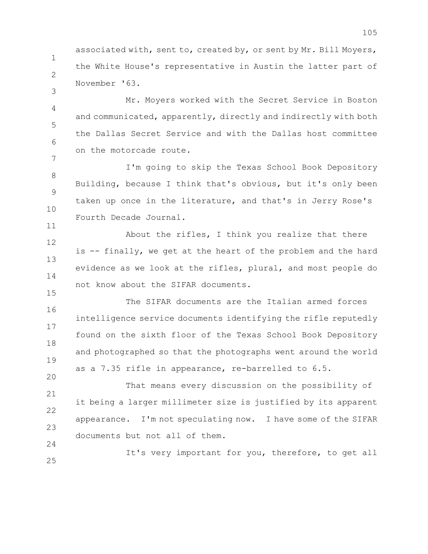associated with, sent to, created by, or sent by Mr. Bill Moyers, the White House's representative in Austin the latter part of November '63.

1

2

3

15

24

4 5 6 7 Mr. Moyers worked with the Secret Service in Boston and communicated, apparently, directly and indirectly with both the Dallas Secret Service and with the Dallas host committee on the motorcade route.

8 9 10 11 I'm going to skip the Texas School Book Depository Building, because I think that's obvious, but it's only been taken up once in the literature, and that's in Jerry Rose's Fourth Decade Journal.

12 13 14 About the rifles, I think you realize that there is -- finally, we get at the heart of the problem and the hard evidence as we look at the rifles, plural, and most people do not know about the SIFAR documents.

16 17 18 19 20 The SIFAR documents are the Italian armed forces intelligence service documents identifying the rifle reputedly found on the sixth floor of the Texas School Book Depository and photographed so that the photographs went around the world as a 7.35 rifle in appearance, re-barrelled to 6.5.

21 22 23 That means every discussion on the possibility of it being a larger millimeter size is justified by its apparent appearance. I'm not speculating now. I have some of the SIFAR documents but not all of them.

25 It's very important for you, therefore, to get all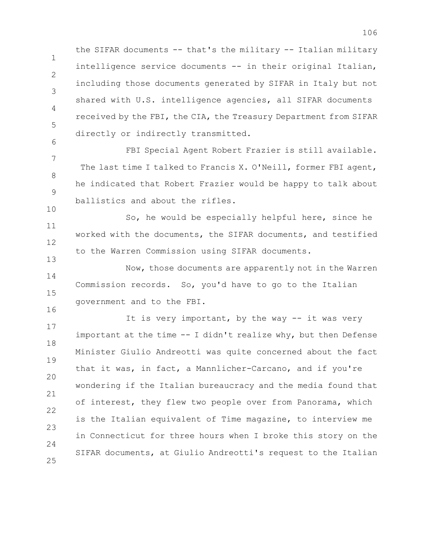1 2 3 4 5 the SIFAR documents -- that's the military -- Italian military intelligence service documents -- in their original Italian, including those documents generated by SIFAR in Italy but not shared with U.S. intelligence agencies, all SIFAR documents received by the FBI, the CIA, the Treasury Department from SIFAR directly or indirectly transmitted.

7 8 9 10 FBI Special Agent Robert Frazier is still available. The last time I talked to Francis X. O'Neill, former FBI agent, he indicated that Robert Frazier would be happy to talk about ballistics and about the rifles.

6

16

11 12 13 So, he would be especially helpful here, since he worked with the documents, the SIFAR documents, and testified to the Warren Commission using SIFAR documents.

14 15 Now, those documents are apparently not in the Warren Commission records. So, you'd have to go to the Italian government and to the FBI.

17 18 19 20 21 22 23  $24$ 25 It is very important, by the way -- it was very important at the time -- I didn't realize why, but then Defense Minister Giulio Andreotti was quite concerned about the fact that it was, in fact, a Mannlicher-Carcano, and if you're wondering if the Italian bureaucracy and the media found that of interest, they flew two people over from Panorama, which is the Italian equivalent of Time magazine, to interview me in Connecticut for three hours when I broke this story on the SIFAR documents, at Giulio Andreotti's request to the Italian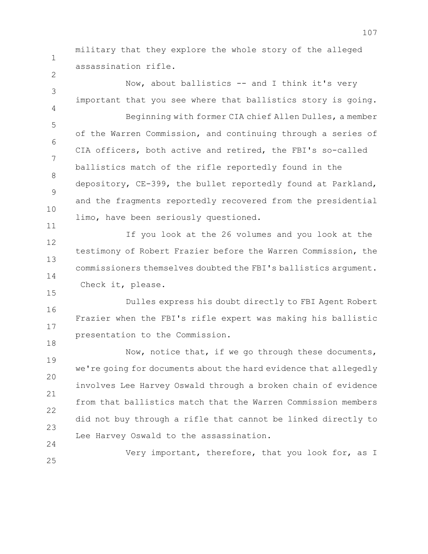military that they explore the whole story of the alleged assassination rifle.

1

2

15

18

3 4 5 6 7 8 9 10 11 Now, about ballistics -- and I think it's very important that you see where that ballistics story is going. Beginning with former CIA chief Allen Dulles, a member of the Warren Commission, and continuing through a series of CIA officers, both active and retired, the FBI's so-called ballistics match of the rifle reportedly found in the depository, CE-399, the bullet reportedly found at Parkland, and the fragments reportedly recovered from the presidential limo, have been seriously questioned.

12 13 14 If you look at the 26 volumes and you look at the testimony of Robert Frazier before the Warren Commission, the commissioners themselves doubted the FBI's ballistics argument. Check it, please.

16 17 Dulles express his doubt directly to FBI Agent Robert Frazier when the FBI's rifle expert was making his ballistic presentation to the Commission.

19 20 21 22 23 24 Now, notice that, if we go through these documents, we're going for documents about the hard evidence that allegedly involves Lee Harvey Oswald through a broken chain of evidence from that ballistics match that the Warren Commission members did not buy through a rifle that cannot be linked directly to Lee Harvey Oswald to the assassination.

25 Very important, therefore, that you look for, as I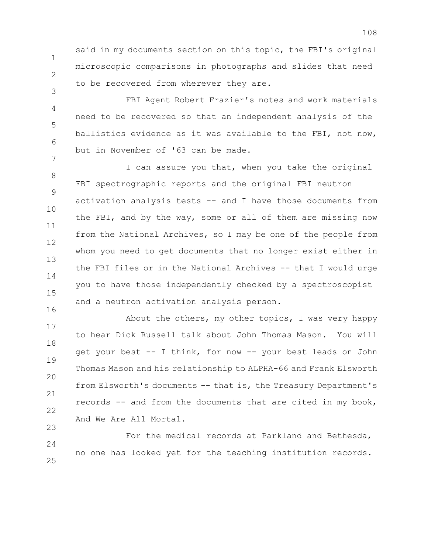said in my documents section on this topic, the FBI's original microscopic comparisons in photographs and slides that need to be recovered from wherever they are.

1

2

3

4 5 6 7 FBI Agent Robert Frazier's notes and work materials need to be recovered so that an independent analysis of the ballistics evidence as it was available to the FBI, not now, but in November of '63 can be made.

8 9 10 11 12 13 14 15 16 I can assure you that, when you take the original FBI spectrographic reports and the original FBI neutron activation analysis tests -- and I have those documents from the FBI, and by the way, some or all of them are missing now from the National Archives, so I may be one of the people from whom you need to get documents that no longer exist either in the FBI files or in the National Archives -- that I would urge you to have those independently checked by a spectroscopist and a neutron activation analysis person.

17 18 19 20 21 22 23 About the others, my other topics, I was very happy to hear Dick Russell talk about John Thomas Mason. You will get your best -- I think, for now -- your best leads on John Thomas Mason and his relationship to ALPHA-66 and Frank Elsworth from Elsworth's documents -- that is, the Treasury Department's records -- and from the documents that are cited in my book, And We Are All Mortal.

 $24$ 25 For the medical records at Parkland and Bethesda, no one has looked yet for the teaching institution records.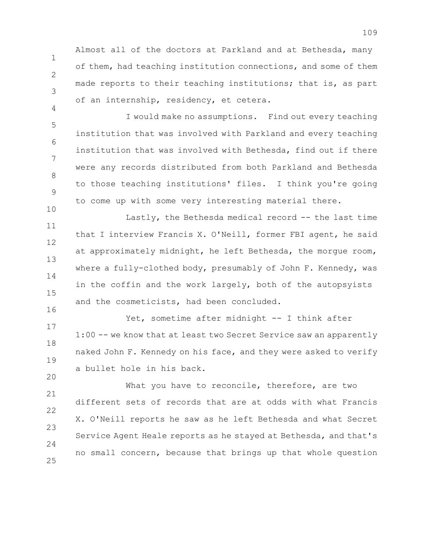Almost all of the doctors at Parkland and at Bethesda, many of them, had teaching institution connections, and some of them made reports to their teaching institutions; that is, as part of an internship, residency, et cetera.

1

2

3

4

10

20

5 6 7 8 9 I would make no assumptions. Find out every teaching institution that was involved with Parkland and every teaching institution that was involved with Bethesda, find out if there were any records distributed from both Parkland and Bethesda to those teaching institutions' files. I think you're going to come up with some very interesting material there.

11 12 13 14 15 16 Lastly, the Bethesda medical record -- the last time that I interview Francis X. O'Neill, former FBI agent, he said at approximately midnight, he left Bethesda, the morgue room, where a fully-clothed body, presumably of John F. Kennedy, was in the coffin and the work largely, both of the autopsyists and the cosmeticists, had been concluded.

17 18 19 Yet, sometime after midnight -- I think after 1:00 -- we know that at least two Secret Service saw an apparently naked John F. Kennedy on his face, and they were asked to verify a bullet hole in his back.

21 22 23  $24$ 25 What you have to reconcile, therefore, are two different sets of records that are at odds with what Francis X. O'Neill reports he saw as he left Bethesda and what Secret Service Agent Heale reports as he stayed at Bethesda, and that's no small concern, because that brings up that whole question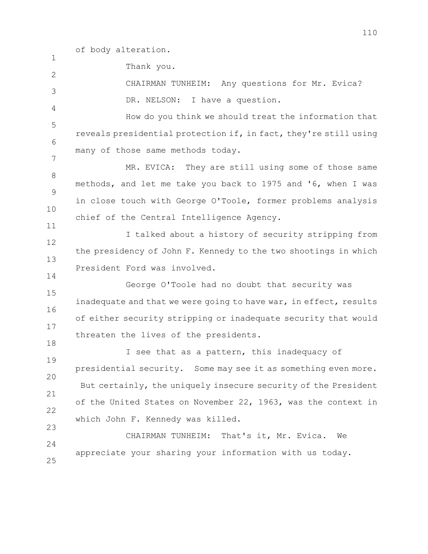of body alteration.

1

 $\mathfrak{D}$ 

4

14

Thank you.

3 CHAIRMAN TUNHEIM: Any questions for Mr. Evica? DR. NELSON: I have a question.

5 6 7 How do you think we should treat the information that reveals presidential protection if, in fact, they're still using many of those same methods today.

8 9 10 11 MR. EVICA: They are still using some of those same methods, and let me take you back to 1975 and '6, when I was in close touch with George O'Toole, former problems analysis chief of the Central Intelligence Agency.

12 13 I talked about a history of security stripping from the presidency of John F. Kennedy to the two shootings in which President Ford was involved.

15 16 17 18 George O'Toole had no doubt that security was inadequate and that we were going to have war, in effect, results of either security stripping or inadequate security that would threaten the lives of the presidents.

19 20 21 22 23 I see that as a pattern, this inadequacy of presidential security. Some may see it as something even more. But certainly, the uniquely insecure security of the President of the United States on November 22, 1963, was the context in which John F. Kennedy was killed.

 $24$ 25 CHAIRMAN TUNHEIM: That's it, Mr. Evica. We appreciate your sharing your information with us today.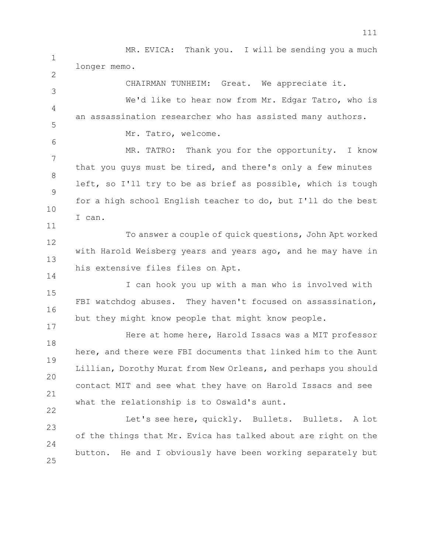1 2 3 4 5 MR. EVICA: Thank you. I will be sending you a much longer memo. CHAIRMAN TUNHEIM: Great. We appreciate it. We'd like to hear now from Mr. Edgar Tatro, who is an assassination researcher who has assisted many authors. Mr. Tatro, welcome.

6 7 8 9 10 MR. TATRO: Thank you for the opportunity. I know that you guys must be tired, and there's only a few minutes left, so I'll try to be as brief as possible, which is tough for a high school English teacher to do, but I'll do the best I can.

12 13 To answer a couple of quick questions, John Apt worked with Harold Weisberg years and years ago, and he may have in his extensive files files on Apt.

11

14

17

22

15 16 I can hook you up with a man who is involved with FBI watchdog abuses. They haven't focused on assassination, but they might know people that might know people.

18 19 20 21 Here at home here, Harold Issacs was a MIT professor here, and there were FBI documents that linked him to the Aunt Lillian, Dorothy Murat from New Orleans, and perhaps you should contact MIT and see what they have on Harold Issacs and see what the relationship is to Oswald's aunt.

23 24 25 Let's see here, quickly. Bullets. Bullets. A lot of the things that Mr. Evica has talked about are right on the button. He and I obviously have been working separately but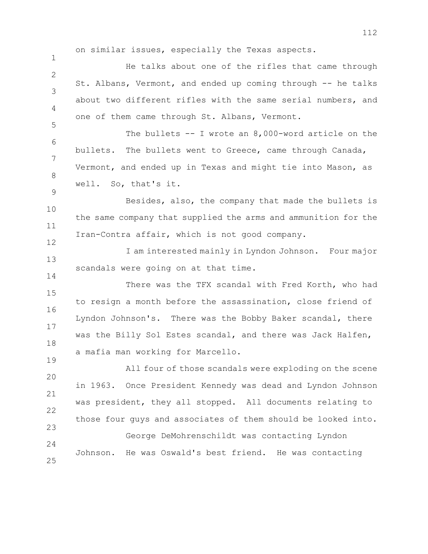on similar issues, especially the Texas aspects.

1

9

14

19

 $\mathcal{P}$ 3 4 5 He talks about one of the rifles that came through St. Albans, Vermont, and ended up coming through -- he talks about two different rifles with the same serial numbers, and one of them came through St. Albans, Vermont.

6 7 8 The bullets -- I wrote an 8,000-word article on the bullets. The bullets went to Greece, came through Canada, Vermont, and ended up in Texas and might tie into Mason, as well. So, that's it.

10 11 12 Besides, also, the company that made the bullets is the same company that supplied the arms and ammunition for the Iran-Contra affair, which is not good company.

13 I am interested mainly in Lyndon Johnson. Four major scandals were going on at that time.

15 16 17 18 There was the TFX scandal with Fred Korth, who had to resign a month before the assassination, close friend of Lyndon Johnson's. There was the Bobby Baker scandal, there was the Billy Sol Estes scandal, and there was Jack Halfen, a mafia man working for Marcello.

20 21 22 23 All four of those scandals were exploding on the scene in 1963. Once President Kennedy was dead and Lyndon Johnson was president, they all stopped. All documents relating to those four guys and associates of them should be looked into.

 $24$ 25 George DeMohrenschildt was contacting Lyndon Johnson. He was Oswald's best friend. He was contacting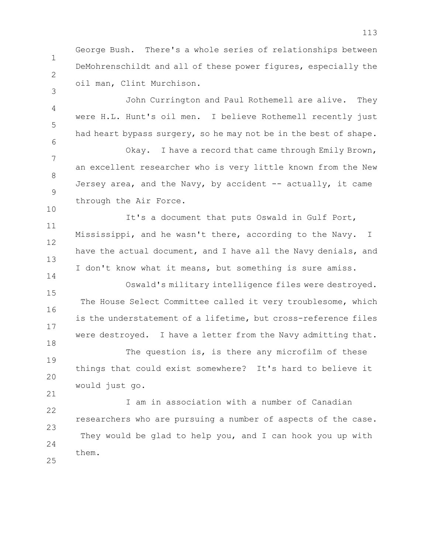George Bush. There's a whole series of relationships between DeMohrenschildt and all of these power figures, especially the oil man, Clint Murchison.

1

2

3

4

5

6

14

21

John Currington and Paul Rothemell are alive. They were H.L. Hunt's oil men. I believe Rothemell recently just had heart bypass surgery, so he may not be in the best of shape.

7 8 9 10 Okay. I have a record that came through Emily Brown, an excellent researcher who is very little known from the New Jersey area, and the Navy, by accident -- actually, it came through the Air Force.

11 12 13 It's a document that puts Oswald in Gulf Port, Mississippi, and he wasn't there, according to the Navy. I have the actual document, and I have all the Navy denials, and I don't know what it means, but something is sure amiss.

15 16 17 18 Oswald's military intelligence files were destroyed. The House Select Committee called it very troublesome, which is the understatement of a lifetime, but cross-reference files were destroyed. I have a letter from the Navy admitting that.

19 20 The question is, is there any microfilm of these things that could exist somewhere? It's hard to believe it would just go.

22 23  $24$ 25 I am in association with a number of Canadian researchers who are pursuing a number of aspects of the case. They would be glad to help you, and I can hook you up with them.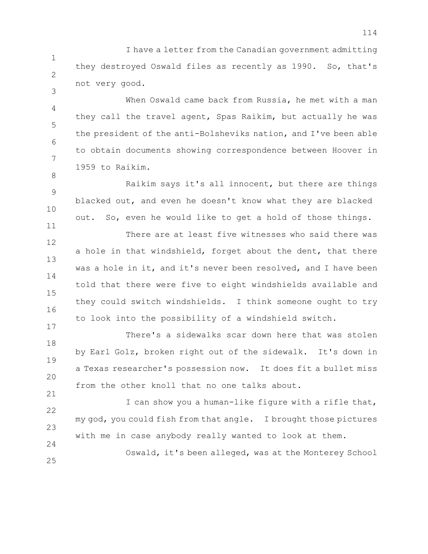1 2 I have a letter from the Canadian government admitting they destroyed Oswald files as recently as 1990. So, that's not very good.

3

8

11

17

24

4 5 6 7 When Oswald came back from Russia, he met with a man they call the travel agent, Spas Raikim, but actually he was the president of the anti-Bolsheviks nation, and I've been able to obtain documents showing correspondence between Hoover in 1959 to Raikim.

9 10 Raikim says it's all innocent, but there are things blacked out, and even he doesn't know what they are blacked out. So, even he would like to get a hold of those things.

12 13 14 15 16 There are at least five witnesses who said there was a hole in that windshield, forget about the dent, that there was a hole in it, and it's never been resolved, and I have been told that there were five to eight windshields available and they could switch windshields. I think someone ought to try to look into the possibility of a windshield switch.

18 19 20 21 There's a sidewalks scar down here that was stolen by Earl Golz, broken right out of the sidewalk. It's down in a Texas researcher's possession now. It does fit a bullet miss from the other knoll that no one talks about.

22 23 I can show you a human-like figure with a rifle that, my god, you could fish from that angle. I brought those pictures with me in case anybody really wanted to look at them.

25 Oswald, it's been alleged, was at the Monterey School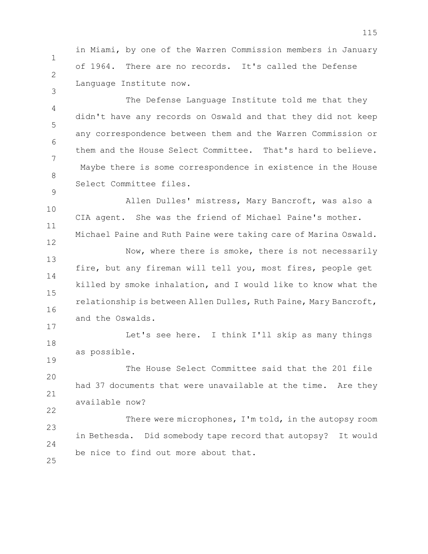1 2 in Miami, by one of the Warren Commission members in January of 1964. There are no records. It's called the Defense Language Institute now.

3

12

17

19

22

4 5 6 7 8 9 The Defense Language Institute told me that they didn't have any records on Oswald and that they did not keep any correspondence between them and the Warren Commission or them and the House Select Committee. That's hard to believe. Maybe there is some correspondence in existence in the House Select Committee files.

10 11 Allen Dulles' mistress, Mary Bancroft, was also a CIA agent. She was the friend of Michael Paine's mother. Michael Paine and Ruth Paine were taking care of Marina Oswald.

13 14 15 16 Now, where there is smoke, there is not necessarily fire, but any fireman will tell you, most fires, people get killed by smoke inhalation, and I would like to know what the relationship is between Allen Dulles, Ruth Paine, Mary Bancroft, and the Oswalds.

18 Let's see here. I think I'll skip as many things as possible.

20 21 The House Select Committee said that the 201 file had 37 documents that were unavailable at the time. Are they available now?

23  $24$ 25 There were microphones, I'm told, in the autopsy room in Bethesda. Did somebody tape record that autopsy? It would be nice to find out more about that.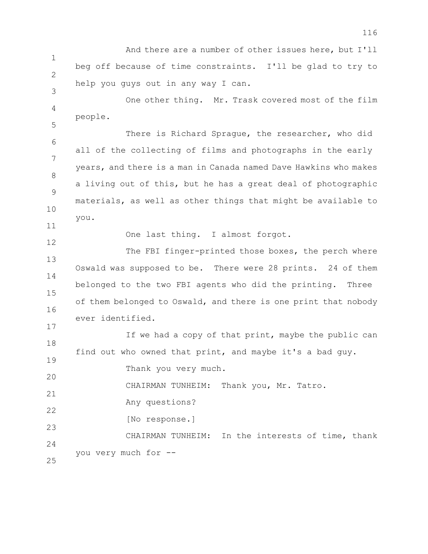1 2 3 And there are a number of other issues here, but I'll beg off because of time constraints. I'll be glad to try to help you guys out in any way I can.

4 5 One other thing. Mr. Trask covered most of the film people.

6 7 8 9 10 There is Richard Sprague, the researcher, who did all of the collecting of films and photographs in the early years, and there is a man in Canada named Dave Hawkins who makes a living out of this, but he has a great deal of photographic materials, as well as other things that might be available to you.

One last thing. I almost forgot.

13 14 15 16 The FBI finger-printed those boxes, the perch where Oswald was supposed to be. There were 28 prints. 24 of them belonged to the two FBI agents who did the printing. Three of them belonged to Oswald, and there is one print that nobody ever identified.

18 If we had a copy of that print, maybe the public can find out who owned that print, and maybe it's a bad guy.

20 Thank you very much.

21 CHAIRMAN TUNHEIM: Thank you, Mr. Tatro.

Any questions?

[No response.]

23 24 CHAIRMAN TUNHEIM: In the interests of time, thank you very much for --

25

11

12

17

19